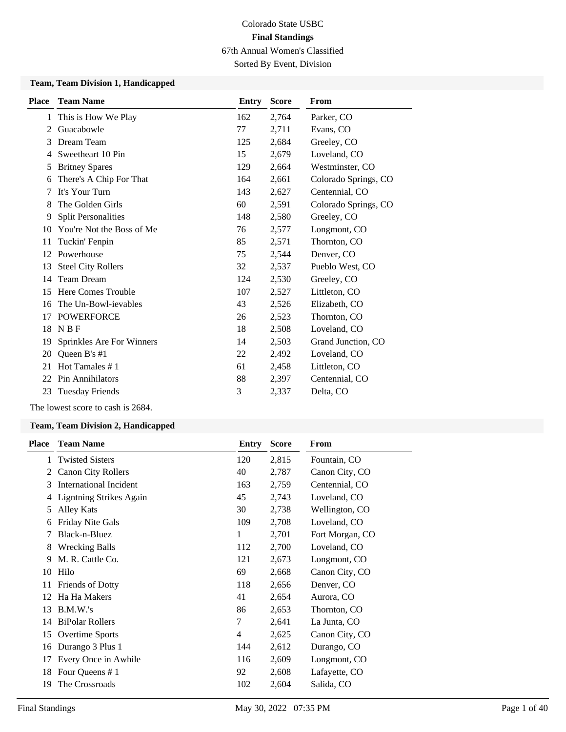Sorted By Event, Division

#### **Team, Team Division 1, Handicapped**

| <b>Place</b> | <b>Team Name</b>           | Entry | <b>Score</b> | From                 |
|--------------|----------------------------|-------|--------------|----------------------|
| 1            | This is How We Play        | 162   | 2,764        | Parker, CO           |
| 2            | Guacabowle                 | 77    | 2,711        | Evans, CO            |
| 3            | Dream Team                 | 125   | 2,684        | Greeley, CO          |
| 4            | Sweetheart 10 Pin          | 15    | 2,679        | Loveland, CO         |
| 5            | <b>Britney Spares</b>      | 129   | 2,664        | Westminster, CO      |
| 6            | There's A Chip For That    | 164   | 2,661        | Colorado Springs, CO |
| 7            | It's Your Turn             | 143   | 2,627        | Centennial, CO       |
| 8            | The Golden Girls           | 60    | 2,591        | Colorado Springs, CO |
| 9            | <b>Split Personalities</b> | 148   | 2,580        | Greeley, CO          |
| 10           | You're Not the Boss of Me  | 76    | 2,577        | Longmont, CO         |
| 11           | Tuckin' Fenpin             | 85    | 2,571        | Thornton, CO         |
| 12           | Powerhouse                 | 75    | 2,544        | Denver, CO           |
| 13           | <b>Steel City Rollers</b>  | 32    | 2,537        | Pueblo West, CO      |
| 14           | <b>Team Dream</b>          | 124   | 2,530        | Greeley, CO          |
| 15           | Here Comes Trouble         | 107   | 2,527        | Littleton, CO        |
| 16           | The Un-Bowl-ievables       | 43    | 2,526        | Elizabeth, CO        |
| 17           | <b>POWERFORCE</b>          | 26    | 2,523        | Thornton, CO         |
| 18           | <b>NBF</b>                 | 18    | 2,508        | Loveland, CO         |
| 19           | Sprinkles Are For Winners  | 14    | 2,503        | Grand Junction, CO   |
| 20           | Queen B's #1               | 22    | 2,492        | Loveland, CO         |
| 21           | Hot Tamales #1             | 61    | 2,458        | Littleton, CO        |
|              | 22 Pin Annihilators        | 88    | 2,397        | Centennial, CO       |
| 23           | <b>Tuesday Friends</b>     | 3     | 2,337        | Delta, CO            |

The lowest score to cash is 2684.

#### **Team, Team Division 2, Handicapped**

| <b>Place</b> | <b>Team Name</b>               | <b>Entry</b> | <b>Score</b> | From            |
|--------------|--------------------------------|--------------|--------------|-----------------|
| 1            | <b>Twisted Sisters</b>         | 120          | 2,815        | Fountain, CO    |
| 2            | <b>Canon City Rollers</b>      | 40           | 2,787        | Canon City, CO  |
| 3            | International Incident         | 163          | 2,759        | Centennial, CO  |
| 4            | <b>Ligntning Strikes Again</b> | 45           | 2,743        | Loveland, CO    |
| 5            | Alley Kats                     | 30           | 2,738        | Wellington, CO  |
| 6            | Friday Nite Gals               | 109          | 2,708        | Loveland, CO    |
| 7            | Black-n-Bluez                  | 1            | 2,701        | Fort Morgan, CO |
| 8            | <b>Wrecking Balls</b>          | 112          | 2,700        | Loveland, CO    |
| 9            | M. R. Cattle Co.               | 121          | 2,673        | Longmont, CO    |
| 10           | Hilo                           | 69           | 2,668        | Canon City, CO  |
| 11           | <b>Friends of Dotty</b>        | 118          | 2,656        | Denver, CO      |
| 12           | Ha Ha Makers                   | 41           | 2,654        | Aurora, CO      |
| 13           | B.M.W.'s                       | 86           | 2,653        | Thornton, CO    |
| 14           | <b>BiPolar Rollers</b>         | 7            | 2,641        | La Junta, CO    |
| 15           | <b>Overtime Sports</b>         | 4            | 2,625        | Canon City, CO  |
| 16           | Durango 3 Plus 1               | 144          | 2,612        | Durango, CO     |
| 17           | Every Once in Awhile           | 116          | 2,609        | Longmont, CO    |
| 18           | Four Queens #1                 | 92           | 2,608        | Lafayette, CO   |
| 19           | The Crossroads                 | 102          | 2,604        | Salida, CO      |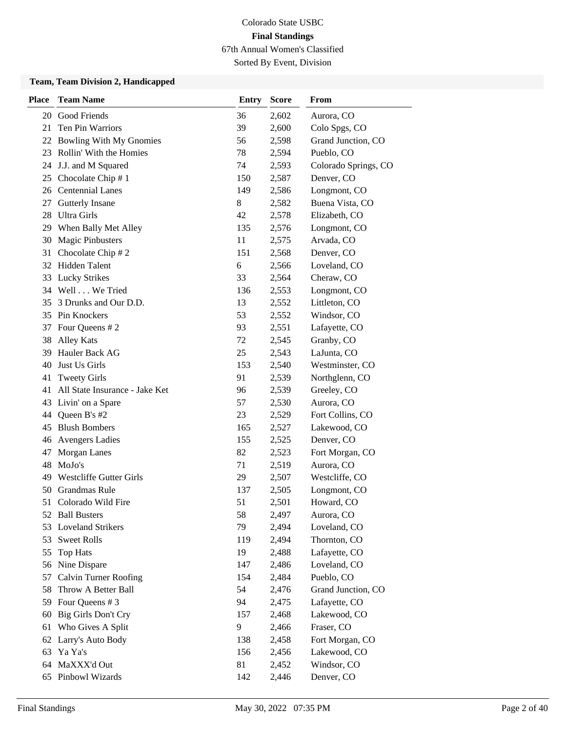Sorted By Event, Division

#### **Team, Team Division 2, Handicapped**

| <b>Place</b> | <b>Team Name</b>               | <b>Entry</b> | <b>Score</b> | From                 |
|--------------|--------------------------------|--------------|--------------|----------------------|
| 20           | Good Friends                   | 36           | 2,602        | Aurora, CO           |
| 21           | <b>Ten Pin Warriors</b>        | 39           | 2,600        | Colo Spgs, CO        |
|              | 22 Bowling With My Gnomies     | 56           | 2,598        | Grand Junction, CO   |
|              | 23 Rollin' With the Homies     | 78           | 2,594        | Pueblo, CO           |
| 24           | J.J. and M Squared             | 74           | 2,593        | Colorado Springs, CO |
| 25           | Chocolate Chip #1              | 150          | 2,587        | Denver, CO           |
|              | 26 Centennial Lanes            | 149          | 2,586        | Longmont, CO         |
| 27           | Gutterly Insane                | 8            | 2,582        | Buena Vista, CO      |
| 28           | <b>Ultra Girls</b>             | 42           | 2,578        | Elizabeth, CO        |
| 29           | When Bally Met Alley           | 135          | 2,576        | Longmont, CO         |
| 30           | <b>Magic Pinbusters</b>        | 11           | 2,575        | Arvada, CO           |
| 31           | Chocolate Chip #2              | 151          | 2,568        | Denver, CO           |
|              | 32 Hidden Talent               | 6            | 2,566        | Loveland, CO         |
| 33           | <b>Lucky Strikes</b>           | 33           | 2,564        | Cheraw, CO           |
|              | 34 Well We Tried               | 136          | 2,553        | Longmont, CO         |
| 35           | 3 Drunks and Our D.D.          | 13           | 2,552        | Littleton, CO        |
| 35           | Pin Knockers                   | 53           | 2,552        | Windsor, CO          |
| 37           | Four Queens # 2                | 93           | 2,551        | Lafayette, CO        |
| 38           | <b>Alley Kats</b>              | 72           | 2,545        | Granby, CO           |
| 39           | Hauler Back AG                 | 25           | 2,543        | LaJunta, CO          |
| 40           | Just Us Girls                  | 153          | 2,540        | Westminster, CO      |
| 41           | <b>Tweety Girls</b>            | 91           | 2,539        | Northglenn, CO       |
| 41           | All State Insurance - Jake Ket | 96           | 2,539        | Greeley, CO          |
| 43           | Livin' on a Spare              | 57           | 2,530        | Aurora, CO           |
| 44           | Queen B's #2                   | 23           | 2,529        | Fort Collins, CO     |
| 45           | <b>Blush Bombers</b>           | 165          | 2,527        | Lakewood, CO         |
|              | 46 Avengers Ladies             | 155          | 2,525        | Denver, CO           |
| 47           | Morgan Lanes                   | 82           | 2,523        | Fort Morgan, CO      |
| 48           | MoJo's                         | 71           | 2,519        | Aurora, CO           |
| 49           | Westcliffe Gutter Girls        | 29           | 2,507        | Westcliffe, CO       |
| 50           | Grandmas Rule                  | 137          | 2,505        | Longmont, CO         |
| 51           | Colorado Wild Fire             | 51           | 2,501        | Howard, CO           |
|              | 52 Ball Busters                | 58           | 2,497        | Aurora, CO           |
| 53           | <b>Loveland Strikers</b>       | 79           | 2,494        | Loveland, CO         |
| 53           | <b>Sweet Rolls</b>             | 119          | 2,494        | Thornton, CO         |
| 55           | <b>Top Hats</b>                | 19           | 2,488        | Lafayette, CO        |
|              | 56 Nine Dispare                | 147          | 2,486        | Loveland, CO         |
| 57           | <b>Calvin Turner Roofing</b>   | 154          | 2,484        | Pueblo, CO           |
| 58           | Throw A Better Ball            | 54           | 2,476        | Grand Junction, CO   |
| 59           | Four Queens # 3                | 94           | 2,475        | Lafayette, CO        |
| 60           | Big Girls Don't Cry            | 157          | 2,468        | Lakewood, CO         |
| 61           | Who Gives A Split              | 9            | 2,466        | Fraser, CO           |
| 62           | Larry's Auto Body              | 138          | 2,458        | Fort Morgan, CO      |
| 63           | Ya Ya's                        | 156          | 2,456        | Lakewood, CO         |
| 64           | MaXXX'd Out                    | 81           | 2,452        | Windsor, CO          |
|              | 65 Pinbowl Wizards             | 142          | 2,446        | Denver, CO           |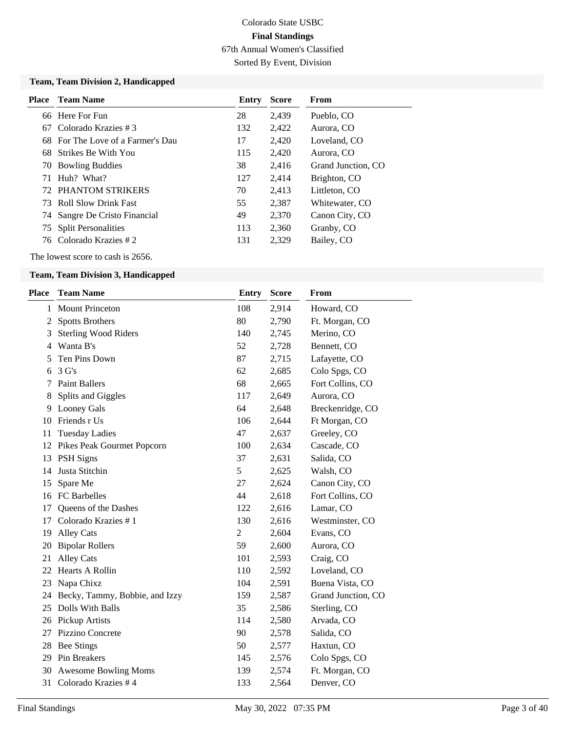Sorted By Event, Division

#### **Team, Team Division 2, Handicapped**

|    | <b>Place</b> Team Name            | Entry | <b>Score</b> | <b>From</b>        |
|----|-----------------------------------|-------|--------------|--------------------|
|    | 66 Here For Fun                   | 28    | 2,439        | Pueblo, CO         |
| 67 | Colorado Krazies #3               | 132   | 2,422        | Aurora, CO         |
|    | 68 For The Love of a Farmer's Dau | 17    | 2,420        | Loveland, CO       |
|    | 68 Strikes Be With You            | 115   | 2,420        | Aurora, CO         |
|    | 70 Bowling Buddies                | 38    | 2,416        | Grand Junction, CO |
| 71 | Huh? What?                        | 127   | 2,414        | Brighton, CO       |
|    | 72 PHANTOM STRIKERS               | 70    | 2,413        | Littleton, CO      |
|    | 73 Roll Slow Drink Fast           | 55    | 2,387        | Whitewater, CO     |
|    | 74 Sangre De Cristo Financial     | 49    | 2,370        | Canon City, CO     |
|    | 75 Split Personalities            | 113   | 2,360        | Granby, CO         |
|    | 76 Colorado Krazies # 2           | 131   | 2,329        | Bailey, CO         |

The lowest score to cash is 2656.

#### **Team, Team Division 3, Handicapped**

| <b>Place</b> | <b>Team Name</b>               | <b>Entry</b>   | <b>Score</b> | From               |
|--------------|--------------------------------|----------------|--------------|--------------------|
| 1            | <b>Mount Princeton</b>         | 108            | 2,914        | Howard, CO         |
| 2            | <b>Spotts Brothers</b>         | 80             | 2,790        | Ft. Morgan, CO     |
| 3            | <b>Sterling Wood Riders</b>    | 140            | 2,745        | Merino, CO         |
| 4            | Wanta B's                      | 52             | 2,728        | Bennett, CO        |
| 5            | Ten Pins Down                  | 87             | 2,715        | Lafayette, CO      |
| 6            | 3 <sub>G</sub> 's              | 62             | 2,685        | Colo Spgs, CO      |
| 7            | <b>Paint Ballers</b>           | 68             | 2,665        | Fort Collins, CO   |
| 8            | Splits and Giggles             | 117            | 2,649        | Aurora, CO         |
| 9            | Looney Gals                    | 64             | 2,648        | Breckenridge, CO   |
| 10           | Friends r Us                   | 106            | 2,644        | Ft Morgan, CO      |
| 11           | <b>Tuesday Ladies</b>          | 47             | 2,637        | Greeley, CO        |
| 12           | Pikes Peak Gourmet Popcorn     | 100            | 2,634        | Cascade, CO        |
| 13           | <b>PSH</b> Signs               | 37             | 2,631        | Salida, CO         |
| 14           | Justa Stitchin                 | 5              | 2,625        | Walsh, CO          |
| 15           | Spare Me                       | 27             | 2,624        | Canon City, CO     |
| 16           | <b>FC</b> Barbelles            | 44             | 2,618        | Fort Collins, CO   |
| 17           | Queens of the Dashes           | 122            | 2,616        | Lamar, CO          |
| 17           | Colorado Krazies #1            | 130            | 2,616        | Westminster, CO    |
| 19           | <b>Alley Cats</b>              | $\overline{c}$ | 2,604        | Evans, CO          |
| 20           | <b>Bipolar Rollers</b>         | 59             | 2,600        | Aurora, CO         |
| 21           | <b>Alley Cats</b>              | 101            | 2,593        | Craig, CO          |
| 22           | Hearts A Rollin                | 110            | 2,592        | Loveland, CO       |
| 23           | Napa Chixz                     | 104            | 2,591        | Buena Vista, CO    |
| 24           | Becky, Tammy, Bobbie, and Izzy | 159            | 2,587        | Grand Junction, CO |
| 25           | Dolls With Balls               | 35             | 2,586        | Sterling, CO       |
| 26           | Pickup Artists                 | 114            | 2,580        | Arvada, CO         |
| 27           | Pizzino Concrete               | 90             | 2,578        | Salida, CO         |
| 28           | Bee Stings                     | 50             | 2,577        | Haxtun, CO         |
| 29           | Pin Breakers                   | 145            | 2,576        | Colo Spgs, CO      |
| 30           | <b>Awesome Bowling Moms</b>    | 139            | 2,574        | Ft. Morgan, CO     |
| 31           | Colorado Krazies #4            | 133            | 2,564        | Denver, CO         |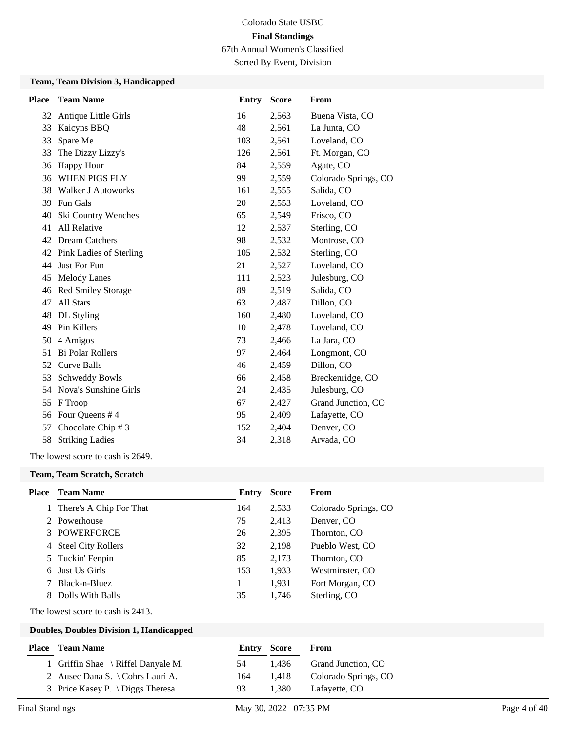Sorted By Event, Division

#### **Team, Team Division 3, Handicapped**

| <b>Place</b> | <b>Team Name</b>          | <b>Entry</b> | <b>Score</b> | From                 |
|--------------|---------------------------|--------------|--------------|----------------------|
| 32           | Antique Little Girls      | 16           | 2,563        | Buena Vista, CO      |
| 33           | Kaicyns BBQ               | 48           | 2,561        | La Junta, CO         |
| 33           | Spare Me                  | 103          | 2,561        | Loveland, CO         |
| 33           | The Dizzy Lizzy's         | 126          | 2,561        | Ft. Morgan, CO       |
| 36           | Happy Hour                | 84           | 2,559        | Agate, CO            |
| 36           | WHEN PIGS FLY             | 99           | 2,559        | Colorado Springs, CO |
| 38           | <b>Walker J Autoworks</b> | 161          | 2,555        | Salida, CO           |
| 39           | Fun Gals                  | 20           | 2,553        | Loveland, CO         |
| 40           | Ski Country Wenches       | 65           | 2,549        | Frisco, CO           |
| 41           | All Relative              | 12           | 2,537        | Sterling, CO         |
| 42           | <b>Dream Catchers</b>     | 98           | 2,532        | Montrose, CO         |
| 42           | Pink Ladies of Sterling   | 105          | 2,532        | Sterling, CO         |
| 44           | Just For Fun              | 21           | 2,527        | Loveland, CO         |
| 45           | <b>Melody Lanes</b>       | 111          | 2,523        | Julesburg, CO        |
| 46           | <b>Red Smiley Storage</b> | 89           | 2,519        | Salida, CO           |
| 47           | All Stars                 | 63           | 2,487        | Dillon, CO           |
| 48           | DL Styling                | 160          | 2,480        | Loveland, CO         |
| 49           | Pin Killers               | 10           | 2,478        | Loveland, CO         |
| 50           | 4 Amigos                  | 73           | 2,466        | La Jara, CO          |
| 51           | <b>Bi Polar Rollers</b>   | 97           | 2,464        | Longmont, CO         |
| 52           | <b>Curve Balls</b>        | 46           | 2,459        | Dillon, CO           |
| 53           | <b>Schweddy Bowls</b>     | 66           | 2,458        | Breckenridge, CO     |
| 54           | Nova's Sunshine Girls     | 24           | 2,435        | Julesburg, CO        |
| 55           | F Troop                   | 67           | 2,427        | Grand Junction, CO   |
| 56           | Four Queens #4            | 95           | 2,409        | Lafayette, CO        |
| 57           | Chocolate Chip # 3        | 152          | 2,404        | Denver, CO           |
| 58           | <b>Striking Ladies</b>    | 34           | 2,318        | Arvada, CO           |

The lowest score to cash is 2649.

#### **Team, Team Scratch, Scratch**

| Place | Team Name                 | Entry | <b>Score</b> | From                 |
|-------|---------------------------|-------|--------------|----------------------|
|       | There's A Chip For That   | 164   | 2,533        | Colorado Springs, CO |
|       | 2 Powerhouse              | 75    | 2,413        | Denver, CO           |
|       | 3 POWERFORCE              | 26    | 2,395        | Thornton, CO         |
| 4     | <b>Steel City Rollers</b> | 32    | 2,198        | Pueblo West, CO      |
|       | 5 Tuckin' Fenpin          | 85    | 2,173        | Thornton, CO         |
| 6     | Just Us Girls             | 153   | 1,933        | Westminster, CO      |
|       | Black-n-Bluez             |       | 1,931        | Fort Morgan, CO      |
| 8     | Dolls With Balls          | 35    | 1.746        | Sterling, CO         |
|       |                           |       |              |                      |

The lowest score to cash is 2413.

| Place | <b>Team Name</b>                         | <b>Entry Score</b> |       | From                 |
|-------|------------------------------------------|--------------------|-------|----------------------|
|       | 1 Griffin Shae \ Riffel Danyale M.       | -54                | 1.436 | Grand Junction, CO   |
|       | 2 Ausec Dana S. \ Cohrs Lauri A.         | 164                | 1.418 | Colorado Springs, CO |
|       | 3 Price Kasey P. $\bigcup$ Diggs Theresa | 93                 | 1.380 | Lafayette, CO        |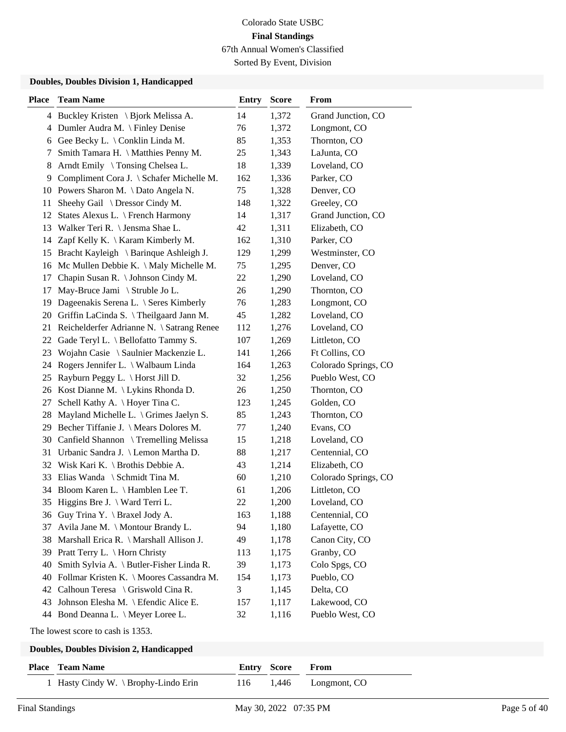Sorted By Event, Division

#### **Doubles, Doubles Division 1, Handicapped**

| <b>Place</b> | <b>Team Name</b>                           | <b>Entry</b> | <b>Score</b> | From                 |
|--------------|--------------------------------------------|--------------|--------------|----------------------|
|              | 4 Buckley Kristen \ Bjork Melissa A.       | 14           | 1,372        | Grand Junction, CO   |
| 4            | Dumler Audra M. \ Finley Denise            | 76           | 1,372        | Longmont, CO         |
| 6            | Gee Becky L. \ Conklin Linda M.            | 85           | 1,353        | Thornton, CO         |
| 7            | Smith Tamara H. \ Matthies Penny M.        | 25           | 1,343        | LaJunta, CO          |
| 8            | Arndt Emily \ Tonsing Chelsea L.           | 18           | 1,339        | Loveland, CO         |
| 9            | Compliment Cora J. \ Schafer Michelle M.   | 162          | 1,336        | Parker, CO           |
|              | 10 Powers Sharon M. \Dato Angela N.        | 75           | 1,328        | Denver, CO           |
| 11           | Sheehy Gail \ Dressor Cindy M.             | 148          | 1,322        | Greeley, CO          |
| 12           | States Alexus L. \ French Harmony          | 14           | 1,317        | Grand Junction, CO   |
| 13           | Walker Teri R. \ Jensma Shae L.            | 42           | 1,311        | Elizabeth, CO        |
| 14           | Zapf Kelly K. \ Karam Kimberly M.          | 162          | 1,310        | Parker, CO           |
| 15           | Bracht Kayleigh \ Barinque Ashleigh J.     | 129          | 1,299        | Westminster, CO      |
|              | 16 Mc Mullen Debbie K. \ Maly Michelle M.  | 75           | 1,295        | Denver, CO           |
| 17           | Chapin Susan R. \ Johnson Cindy M.         | 22           | 1,290        | Loveland, CO         |
| 17           | May-Bruce Jami \ Struble Jo L.             | 26           | 1,290        | Thornton, CO         |
| 19           | Dageenakis Serena L. \ Seres Kimberly      | 76           | 1,283        | Longmont, CO         |
| 20           | Griffin LaCinda S. \Theilgaard Jann M.     | 45           | 1,282        | Loveland, CO         |
| 21           | Reichelderfer Adrianne N. \ Satrang Renee  | 112          | 1,276        | Loveland, CO         |
| 22           | Gade Teryl L. \ Bellofatto Tammy S.        | 107          | 1,269        | Littleton, CO        |
| 23           | Wojahn Casie \ Saulnier Mackenzie L.       | 141          | 1,266        | Ft Collins, CO       |
| 24           | Rogers Jennifer L. \ Walbaum Linda         | 164          | 1,263        | Colorado Springs, CO |
| 25           | Rayburn Peggy L. \ Horst Jill D.           | 32           | 1,256        | Pueblo West, CO      |
| 26           | Kost Dianne M. \ Lykins Rhonda D.          | 26           | 1,250        | Thornton, CO         |
| 27           | Schell Kathy A. \ Hoyer Tina C.            | 123          | 1,245        | Golden, CO           |
| 28           | Mayland Michelle L. \ Grimes Jaelyn S.     | 85           | 1,243        | Thornton, CO         |
| 29           | Becher Tiffanie J. \ Mears Dolores M.      | 77           | 1,240        | Evans, CO            |
|              | 30 Canfield Shannon \Tremelling Melissa    | 15           | 1,218        | Loveland, CO         |
| 31           | Urbanic Sandra J. \ Lemon Martha D.        | 88           | 1,217        | Centennial, CO       |
| 32           | Wisk Kari K. $\setminus$ Brothis Debbie A. | 43           | 1,214        | Elizabeth, CO        |
|              | 33 Elias Wanda \ Schmidt Tina M.           | 60           | 1,210        | Colorado Springs, CO |
|              | 34 Bloom Karen L. \ Hamblen Lee T.         | 61           | 1,206        | Littleton, CO        |
|              | 35 Higgins Bre J. \ Ward Terri L.          | 22           | 1,200        | Loveland, CO         |
|              | 36 Guy Trina Y. \ Braxel Jody A.           | 163          | 1,188        | Centennial, CO       |
| 37           | Avila Jane M. \ Montour Brandy L.          | 94           | 1,180        | Lafayette, CO        |
| 38           | Marshall Erica R. \ Marshall Allison J.    | 49           | 1,178        | Canon City, CO       |
| 39           | Pratt Terry L. \ Horn Christy              | 113          | 1,175        | Granby, CO           |
| 40           | Smith Sylvia A. \ Butler-Fisher Linda R.   | 39           | 1,173        | Colo Spgs, CO        |
| 40           | Follmar Kristen K. \ Moores Cassandra M.   | 154          | 1,173        | Pueblo, CO           |
|              | 42 Calhoun Teresa \ Griswold Cina R.       | 3            | 1,145        | Delta, CO            |
|              | 43 Johnson Elesha M. \ Efendic Alice E.    | 157          | 1,117        | Lakewood, CO         |
|              | 44 Bond Deanna L. \ Meyer Loree L.         | 32           | 1,116        | Pueblo West, CO      |

The lowest score to cash is 1353.

| <b>Place</b> Team Name             | <b>Entry Score From</b> |                        |
|------------------------------------|-------------------------|------------------------|
| Hasty Cindy W. \ Brophy-Lindo Erin |                         | 116 1,446 Longmont, CO |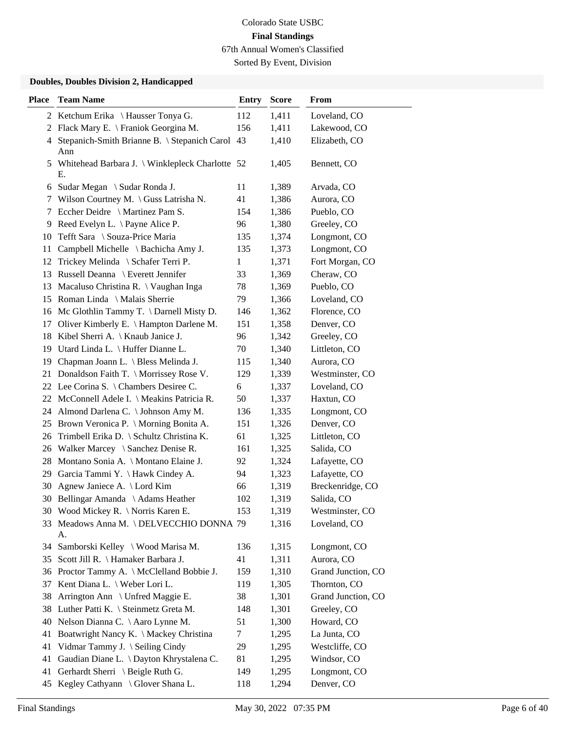Sorted By Event, Division

| <b>Place</b> | <b>Team Name</b>                                        | <b>Entry</b> | <b>Score</b> | From               |
|--------------|---------------------------------------------------------|--------------|--------------|--------------------|
|              | 2 Ketchum Erika \ Hausser Tonya G.                      | 112          | 1,411        | Loveland, CO       |
| 2            | Flack Mary E. \ Franiok Georgina M.                     | 156          | 1,411        | Lakewood, CO       |
|              | 4 Stepanich-Smith Brianne B. \ Stepanich Carol<br>Ann   | 43           | 1,410        | Elizabeth, CO      |
|              | 5 Whitehead Barbara J. \ Winklepleck Charlotte 52<br>E. |              | 1,405        | Bennett, CO        |
| 6            | Sudar Megan \ Sudar Ronda J.                            | 11           | 1,389        | Arvada, CO         |
| 7            | Wilson Courtney M. \ Guss Latrisha N.                   | 41           | 1,386        | Aurora, CO         |
| 7            | Eccher Deidre \ Martinez Pam S.                         | 154          | 1,386        | Pueblo, CO         |
| 9            | Reed Evelyn L. $\setminus$ Payne Alice P.               | 96           | 1,380        | Greeley, CO        |
| 10           | Tefft Sara \ Souza-Price Maria                          | 135          | 1,374        | Longmont, CO       |
| 11           | Campbell Michelle \ Bachicha Amy J.                     | 135          | 1,373        | Longmont, CO       |
| 12           | Trickey Melinda \ Schafer Terri P.                      | 1            | 1,371        | Fort Morgan, CO    |
| 13           | Russell Deanna \ Everett Jennifer                       | 33           | 1,369        | Cheraw, CO         |
| 13           | Macaluso Christina R. \ Vaughan Inga                    | 78           | 1,369        | Pueblo, CO         |
|              | 15 Roman Linda \ Malais Sherrie                         | 79           | 1,366        | Loveland, CO       |
|              | 16 Mc Glothlin Tammy T. \ Darnell Misty D.              | 146          | 1,362        | Florence, CO       |
| 17           | Oliver Kimberly E. \ Hampton Darlene M.                 | 151          | 1,358        | Denver, CO         |
| 18           | Kibel Sherri A. $\setminus$ Knaub Janice J.             | 96           | 1,342        | Greeley, CO        |
| 19           | Utard Linda L. \ Huffer Dianne L.                       | 70           | 1,340        | Littleton, CO      |
| 19           | Chapman Joann L. \ Bless Melinda J.                     | 115          | 1,340        | Aurora, CO         |
| 21           | Donaldson Faith T. \ Morrissey Rose V.                  | 129          | 1,339        | Westminster, CO    |
|              | 22 Lee Corina S. \ Chambers Desiree C.                  | 6            | 1,337        | Loveland, CO       |
|              | 22 McConnell Adele I. \ Meakins Patricia R.             | 50           | 1,337        | Haxtun, CO         |
|              | 24 Almond Darlena C. \ Johnson Amy M.                   | 136          | 1,335        | Longmont, CO       |
|              | 25 Brown Veronica P. \ Morning Bonita A.                | 151          | 1,326        | Denver, CO         |
| 26           | Trimbell Erika D. \ Schultz Christina K.                | 61           | 1,325        | Littleton, CO      |
| 26           | Walker Marcey $\setminus$ Sanchez Denise R.             | 161          | 1,325        | Salida, CO         |
| 28           | Montano Sonia A. \ Montano Elaine J.                    | 92           | 1,324        | Lafayette, CO      |
| 29           | Garcia Tammi Y. \ Hawk Cindey A.                        | 94           | 1,323        | Lafayette, CO      |
| 30           | Agnew Janiece A. \ Lord Kim                             | 66           | 1,319        | Breckenridge, CO   |
|              | 30 Bellingar Amanda \ Adams Heather                     | 102          | 1,319        | Salida, CO         |
|              | 30 Wood Mickey R. \ Norris Karen E.                     | 153          | 1,319        | Westminster, CO    |
|              | 33 Meadows Anna M. \DELVECCHIO DONNA 79<br>А.           |              | 1,316        | Loveland, CO       |
| 34           | Samborski Kelley \ Wood Marisa M.                       | 136          | 1,315        | Longmont, CO       |
|              | 35 Scott Jill R. \ Hamaker Barbara J.                   | 41           | 1,311        | Aurora, CO         |
|              | 36 Proctor Tammy A. \ McClelland Bobbie J.              | 159          | 1,310        | Grand Junction, CO |
|              | 37 Kent Diana L. \ Weber Lori L.                        | 119          | 1,305        | Thornton, CO       |
| 38           | Arrington Ann \ Unfred Maggie E.                        | 38           | 1,301        | Grand Junction, CO |
|              | 38 Luther Patti K. \ Steinmetz Greta M.                 | 148          | 1,301        | Greeley, CO        |
| 40           | Nelson Dianna C. \ Aaro Lynne M.                        | 51           | 1,300        | Howard, CO         |
| 41           | Boatwright Nancy K. \ Mackey Christina                  | 7            | 1,295        | La Junta, CO       |
| 41           | Vidmar Tammy J. \ Seiling Cindy                         | 29           | 1,295        | Westcliffe, CO     |
| 41           | Gaudian Diane L. \ Dayton Khrystalena C.                | 81           | 1,295        | Windsor, CO        |
| 41           | Gerhardt Sherri \ Beigle Ruth G.                        | 149          | 1,295        | Longmont, CO       |
|              | 45 Kegley Cathyann \ Glover Shana L.                    | 118          | 1,294        | Denver, CO         |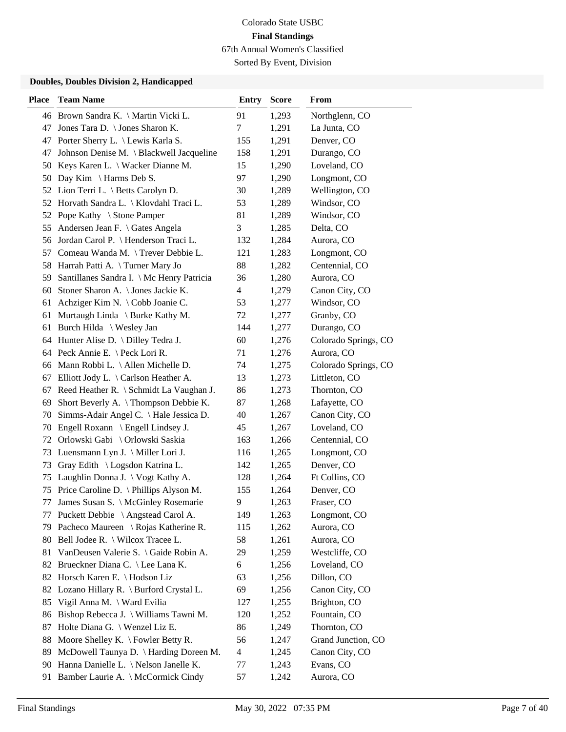Sorted By Event, Division

| <b>Place</b> | <b>Team Name</b>                               | <b>Entry</b>   | <b>Score</b> | From                 |
|--------------|------------------------------------------------|----------------|--------------|----------------------|
|              | 46 Brown Sandra K. \ Martin Vicki L.           | 91             | 1,293        | Northglenn, CO       |
| 47           | Jones Tara D. \ Jones Sharon K.                | 7              | 1,291        | La Junta, CO         |
| 47           | Porter Sherry L. \ Lewis Karla S.              | 155            | 1,291        | Denver, CO           |
| 47           | Johnson Denise M. \ Blackwell Jacqueline       | 158            | 1,291        | Durango, CO          |
|              | 50 Keys Karen L. \ Wacker Dianne M.            | 15             | 1,290        | Loveland, CO         |
| 50           | Day Kim $\{ \}$ Harms Deb S.                   | 97             | 1,290        | Longmont, CO         |
|              | 52 Lion Terri L. \ Betts Carolyn D.            | 30             | 1,289        | Wellington, CO       |
|              | 52 Horvath Sandra L.   Klovdahl Traci L.       | 53             | 1,289        | Windsor, CO          |
|              | 52 Pope Kathy \ Stone Pamper                   | 81             | 1,289        | Windsor, CO          |
| 55           | Andersen Jean F. \ Gates Angela                | 3              | 1,285        | Delta, CO            |
| 56           | Jordan Carol P.   Henderson Traci L.           | 132            | 1,284        | Aurora, CO           |
|              | 57 Comeau Wanda M. \Trever Debbie L.           | 121            | 1,283        | Longmont, CO         |
| 58           | Harrah Patti A. \Turner Mary Jo                | 88             | 1,282        | Centennial, CO       |
| 59           | Santillanes Sandra I. \ Mc Henry Patricia      | 36             | 1,280        | Aurora, CO           |
| 60           | Stoner Sharon A. \ Jones Jackie K.             | $\overline{4}$ | 1,279        | Canon City, CO       |
| 61           | Achziger Kim N. \ Cobb Joanie C.               | 53             | 1,277        | Windsor, CO          |
| 61           | Murtaugh Linda $\setminus$ Burke Kathy M.      | 72             | 1,277        | Granby, CO           |
| 61           | Burch Hilda \ Wesley Jan                       | 144            | 1,277        | Durango, CO          |
|              | 64 Hunter Alise D. \ Dilley Tedra J.           | 60             | 1,276        | Colorado Springs, CO |
|              | 64 Peck Annie E. \ Peck Lori R.                | 71             | 1,276        | Aurora, CO           |
| 66           | Mann Robbi L. \ Allen Michelle D.              | 74             | 1,275        | Colorado Springs, CO |
| 67           | Elliott Jody L. $\setminus$ Carlson Heather A. | 13             | 1,273        | Littleton, CO        |
| 67           | Reed Heather R. \ Schmidt La Vaughan J.        | 86             | 1,273        | Thornton, CO         |
| 69           | Short Beverly A. \Thompson Debbie K.           | 87             | 1,268        | Lafayette, CO        |
| 70           | Simms-Adair Angel C. \Hale Jessica D.          | 40             | 1,267        | Canon City, CO       |
| 70           | Engell Roxann \ Engell Lindsey J.              | 45             | 1,267        | Loveland, CO         |
| 72           | Orlowski Gabi \ Orlowski Saskia                | 163            | 1,266        | Centennial, CO       |
|              | 73 Luensmann Lyn J. \ Miller Lori J.           | 116            | 1,265        | Longmont, CO         |
| 73           | Gray Edith \ Logsdon Katrina L.                | 142            | 1,265        | Denver, CO           |
| 75           | Laughlin Donna J. \ Vogt Kathy A.              | 128            | 1,264        | Ft Collins, CO       |
| 75           | Price Caroline D. \ Phillips Alyson M.         | 155            | 1,264        | Denver, CO           |
| 77           | James Susan S. \ McGinley Rosemarie            | 9              | 1,263        | Fraser, CO           |
| 77           | Puckett Debbie \ Angstead Carol A.             | 149            | 1,263        | Longmont, CO         |
| 79           | Pacheco Maureen \ Rojas Katherine R.           | 115            | 1,262        | Aurora, CO           |
| 80           | Bell Jodee R. \ Wilcox Tracee L.               | 58             | 1,261        | Aurora, CO           |
| 81           | VanDeusen Valerie S. \ Gaide Robin A.          | 29             | 1,259        | Westcliffe, CO       |
| 82           | Brueckner Diana C. \ Lee Lana K.               | 6              | 1,256        | Loveland, CO         |
| 82           | Horsch Karen E. \ Hodson Liz                   | 63             | 1,256        | Dillon, CO           |
| 82           | Lozano Hillary R. \ Burford Crystal L.         | 69             | 1,256        | Canon City, CO       |
| 85           | Vigil Anna M. \ Ward Evilia                    | 127            | 1,255        | Brighton, CO         |
| 86           | Bishop Rebecca J. \ Williams Tawni M.          | 120            | 1,252        | Fountain, CO         |
| 87           | Holte Diana G. \ Wenzel Liz E.                 | 86             | 1,249        | Thornton, CO         |
| 88           | Moore Shelley K. $\backslash$ Fowler Betty R.  | 56             | 1,247        | Grand Junction, CO   |
| 89           | McDowell Taunya D. \ Harding Doreen M.         | 4              | 1,245        | Canon City, CO       |
| 90           | Hanna Danielle L. \ Nelson Janelle K.          | 77             | 1,243        | Evans, CO            |
| 91           | Bamber Laurie A. \ McCormick Cindy             | 57             | 1,242        | Aurora, CO           |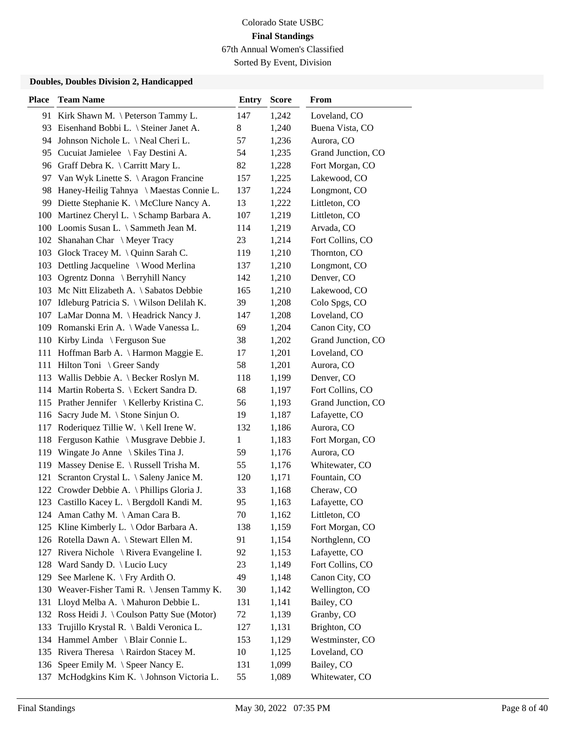Sorted By Event, Division

| <b>Place</b> | <b>Team Name</b>                             | <b>Entry</b> | <b>Score</b> | From               |
|--------------|----------------------------------------------|--------------|--------------|--------------------|
|              | 91 Kirk Shawn M. \ Peterson Tammy L.         | 147          | 1,242        | Loveland, CO       |
|              | 93 Eisenhand Bobbi L. \ Steiner Janet A.     | 8            | 1,240        | Buena Vista, CO    |
| 94           | Johnson Nichole L. \ Neal Cheri L.           | 57           | 1,236        | Aurora, CO         |
| 95           | Cucuiat Jamielee \ Fay Destini A.            | 54           | 1,235        | Grand Junction, CO |
|              | 96 Graff Debra K. \ Carritt Mary L.          | 82           | 1,228        | Fort Morgan, CO    |
| 97           | Van Wyk Linette S. \ Aragon Francine         | 157          | 1,225        | Lakewood, CO       |
| 98           | Haney-Heilig Tahnya \ Maestas Connie L.      | 137          | 1,224        | Longmont, CO       |
|              | 99 Diette Stephanie K. \ McClure Nancy A.    | 13           | 1,222        | Littleton, CO      |
|              | 100 Martinez Cheryl L. \ Schamp Barbara A.   | 107          | 1,219        | Littleton, CO      |
|              | 100 Loomis Susan L. \ Sammeth Jean M.        | 114          | 1,219        | Arvada, CO         |
|              | 102 Shanahan Char \ Meyer Tracy              | 23           | 1,214        | Fort Collins, CO   |
| 103          | Glock Tracey M. \ Quinn Sarah C.             | 119          | 1,210        | Thornton, CO       |
| 103          | Dettling Jacqueline \ Wood Merlina           | 137          | 1,210        | Longmont, CO       |
| 103          | Ogrentz Donna \ Berryhill Nancy              | 142          | 1,210        | Denver, CO         |
|              | 103 Mc Nitt Elizabeth A. \ Sabatos Debbie    | 165          | 1,210        | Lakewood, CO       |
|              | 107 Idleburg Patricia S. \ Wilson Delilah K. | 39           | 1,208        | Colo Spgs, CO      |
|              | 107 LaMar Donna M. \ Headrick Nancy J.       | 147          | 1,208        | Loveland, CO       |
|              | 109 Romanski Erin A.   Wade Vanessa L.       | 69           | 1,204        | Canon City, CO     |
|              | 110 Kirby Linda \ Ferguson Sue               | 38           | 1,202        | Grand Junction, CO |
| 111          | Hoffman Barb A. \ Harmon Maggie E.           | 17           | 1,201        | Loveland, CO       |
| 111          | Hilton Toni \ Greer Sandy                    | 58           | 1,201        | Aurora, CO         |
|              | 113 Wallis Debbie A. \ Becker Roslyn M.      | 118          | 1,199        | Denver, CO         |
|              | 114 Martin Roberta S. \ Eckert Sandra D.     | 68           | 1,197        | Fort Collins, CO   |
|              | 115 Prather Jennifer \ Kellerby Kristina C.  | 56           | 1,193        | Grand Junction, CO |
| 116          | Sacry Jude M. \ Stone Sinjun O.              | 19           | 1,187        | Lafayette, CO      |
| 117          | Roderiquez Tillie W. \ Kell Irene W.         | 132          | 1,186        | Aurora, CO         |
| 118          | Ferguson Kathie \ Musgrave Debbie J.         | 1            | 1,183        | Fort Morgan, CO    |
| 119          | Wingate Jo Anne $\setminus$ Skiles Tina J.   | 59           | 1,176        | Aurora, CO         |
| 119          | Massey Denise E. \ Russell Trisha M.         | 55           | 1,176        | Whitewater, CO     |
| 121          | Scranton Crystal L. \ Saleny Janice M.       | 120          | 1,171        | Fountain, CO       |
|              | 122 Crowder Debbie A. \ Phillips Gloria J.   | 33           | 1,168        | Cheraw, CO         |
|              | 123 Castillo Kacey L. \ Bergdoll Kandi M.    | 95           | 1,163        | Lafayette, CO      |
|              | 124 Aman Cathy M. \Aman Cara B.              | 70           | 1,162        | Littleton, CO      |
| 125          | Kline Kimberly L. \ Odor Barbara A.          | 138          | 1,159        | Fort Morgan, CO    |
|              | 126 Rotella Dawn A. \ Stewart Ellen M.       | 91           | 1,154        | Northglenn, CO     |
|              | 127 Rivera Nichole \ Rivera Evangeline I.    | 92           | 1,153        | Lafayette, CO      |
| 128          | Ward Sandy D. \ Lucio Lucy                   | 23           | 1,149        | Fort Collins, CO   |
| 129          | See Marlene K. \ Fry Ardith O.               | 49           | 1,148        | Canon City, CO     |
| 130          | Weaver-Fisher Tami R. \ Jensen Tammy K.      | 30           | 1,142        | Wellington, CO     |
| 131          | Lloyd Melba A. \ Mahuron Debbie L.           | 131          | 1,141        | Bailey, CO         |
| 132          | Ross Heidi J. \ Coulson Patty Sue (Motor)    | 72           | 1,139        | Granby, CO         |
| 133          | Trujillo Krystal R. \ Baldi Veronica L.      | 127          | 1,131        | Brighton, CO       |
| 134          | Hammel Amber \ Blair Connie L.               | 153          | 1,129        | Westminster, CO    |
|              | 135 Rivera Theresa \ Rairdon Stacey M.       | 10           | 1,125        | Loveland, CO       |
| 136          | Speer Emily M. \ Speer Nancy E.              | 131          | 1,099        | Bailey, CO         |
| 137          | McHodgkins Kim K. \ Johnson Victoria L.      | 55           | 1,089        | Whitewater, CO     |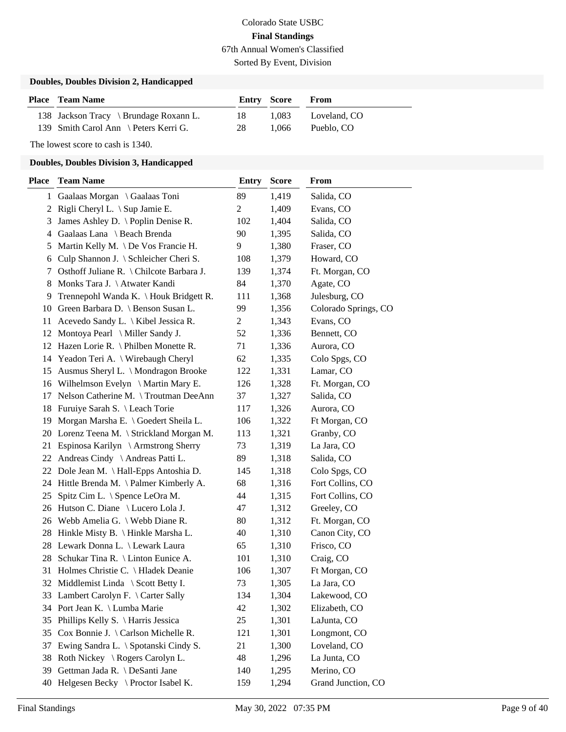Sorted By Event, Division

#### **Doubles, Doubles Division 2, Handicapped**

| <b>Place</b> Team Name                 | Entry Score |       | From         |
|----------------------------------------|-------------|-------|--------------|
| 138 Jackson Tracy \ Brundage Roxann L. | 18.         | 1.083 | Loveland, CO |
| 139 Smith Carol Ann \ Peters Kerri G.  | -28         | 1.066 | Pueblo. CO   |

The lowest score to cash is 1340.

| Place | <b>Team Name</b>                          | Entry          | <b>Score</b> | From                 |
|-------|-------------------------------------------|----------------|--------------|----------------------|
|       | 1 Gaalaas Morgan \ Gaalaas Toni           | 89             | 1,419        | Salida, CO           |
|       | 2 Rigli Cheryl L. \ Sup Jamie E.          | 2              | 1,409        | Evans, CO            |
| 3     | James Ashley D. \ Poplin Denise R.        | 102            | 1,404        | Salida, CO           |
| 4     | Gaalaas Lana \ Beach Brenda               | 90             | 1,395        | Salida, CO           |
| 5     | Martin Kelly M. \ De Vos Francie H.       | 9              | 1,380        | Fraser, CO           |
| 6     | Culp Shannon J. \ Schleicher Cheri S.     | 108            | 1,379        | Howard, CO           |
| 7     | Osthoff Juliane R. \ Chilcote Barbara J.  | 139            | 1,374        | Ft. Morgan, CO       |
| 8     | Monks Tara J. \ Atwater Kandi             | 84             | 1,370        | Agate, CO            |
|       | 9 Trennepohl Wanda K. \ Houk Bridgett R.  | 111            | 1,368        | Julesburg, CO        |
|       | 10 Green Barbara D. \ Benson Susan L.     | 99             | 1,356        | Colorado Springs, CO |
|       | 11 Acevedo Sandy L. \ Kibel Jessica R.    | $\overline{2}$ | 1,343        | Evans, CO            |
|       | 12 Montoya Pearl \ Miller Sandy J.        | 52             | 1,336        | Bennett, CO          |
|       | 12 Hazen Lorie R. \ Philben Monette R.    | 71             | 1,336        | Aurora, CO           |
|       | 14 Yeadon Teri A. \ Wirebaugh Cheryl      | 62             | 1,335        | Colo Spgs, CO        |
|       | 15 Ausmus Sheryl L. \ Mondragon Brooke    | 122            | 1,331        | Lamar, CO            |
|       | 16 Wilhelmson Evelyn \ Martin Mary E.     | 126            | 1,328        | Ft. Morgan, CO       |
|       | 17 Nelson Catherine M. \Troutman DeeAnn   | 37             | 1,327        | Salida, CO           |
|       | 18 Furuiye Sarah S. \ Leach Torie         | 117            | 1,326        | Aurora, CO           |
|       | 19 Morgan Marsha E. \ Goedert Sheila L.   | 106            | 1,322        | Ft Morgan, CO        |
|       | 20 Lorenz Teena M. \ Strickland Morgan M. | 113            | 1,321        | Granby, CO           |
|       | 21 Espinosa Karilyn \ Armstrong Sherry    | 73             | 1,319        | La Jara, CO          |
|       | 22 Andreas Cindy \ Andreas Patti L.       | 89             | 1,318        | Salida, CO           |
|       | 22 Dole Jean M. \ Hall-Epps Antoshia D.   | 145            | 1,318        | Colo Spgs, CO        |
|       | 24 Hittle Brenda M. \Palmer Kimberly A.   | 68             | 1,316        | Fort Collins, CO     |
| 25    | Spitz Cim L. \ Spence LeOra M.            | 44             | 1,315        | Fort Collins, CO     |
|       | 26 Hutson C. Diane \ Lucero Lola J.       | 47             | 1,312        | Greeley, CO          |
|       | 26 Webb Amelia G. \ Webb Diane R.         | 80             | 1,312        | Ft. Morgan, CO       |
|       | 28 Hinkle Misty B. \ Hinkle Marsha L.     | 40             | 1,310        | Canon City, CO       |
|       | 28 Lewark Donna L. \ Lewark Laura         | 65             | 1,310        | Frisco, CO           |
|       | 28 Schukar Tina R. \ Linton Eunice A.     | 101            | 1,310        | Craig, CO            |
|       | 31 Holmes Christie C. \ Hladek Deanie     | 106            | 1,307        | Ft Morgan, CO        |
|       | 32 Middlemist Linda \ Scott Betty I.      | 73             | 1,305        | La Jara, CO          |
|       | 33 Lambert Carolyn F. \ Carter Sally      | 134            | 1,304        | Lakewood, CO         |
|       | 34 Port Jean K. \ Lumba Marie             | 42             | 1,302        | Elizabeth, CO        |
| 35    | Phillips Kelly S. \ Harris Jessica        | 25             | 1,301        | LaJunta, CO          |
| 35    | Cox Bonnie J. \ Carlson Michelle R.       | 121            | 1,301        | Longmont, CO         |
| 37    | Ewing Sandra L. \ Spotanski Cindy S.      | 21             | 1,300        | Loveland, CO         |
| 38    | Roth Nickey \ Rogers Carolyn L.           | 48             | 1,296        | La Junta, CO         |
| 39    | Gettman Jada R. \ DeSanti Jane            | 140            | 1,295        | Merino, CO           |
| 40    | Helgesen Becky \ Proctor Isabel K.        | 159            | 1,294        | Grand Junction, CO   |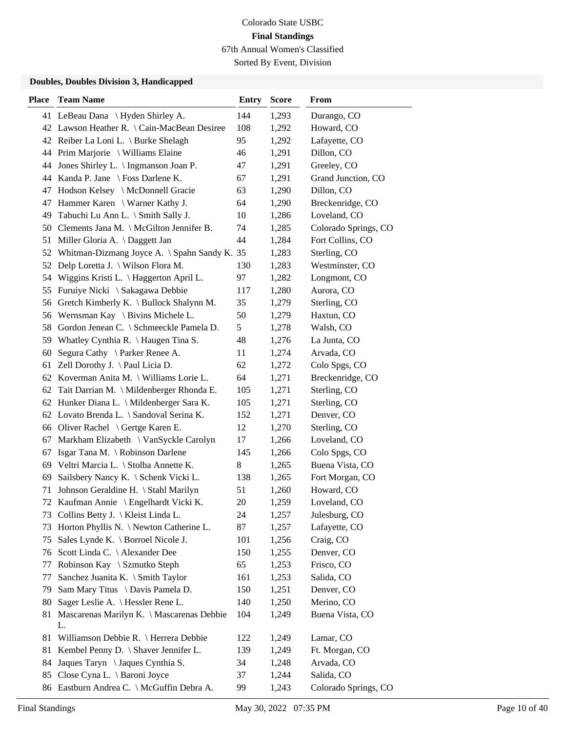Sorted By Event, Division

| <b>Place</b> | <b>Team Name</b>                                | <b>Entry</b> | <b>Score</b> | From                 |
|--------------|-------------------------------------------------|--------------|--------------|----------------------|
|              | 41 LeBeau Dana \ Hyden Shirley A.               | 144          | 1,293        | Durango, CO          |
|              | 42 Lawson Heather R. \Cain-MacBean Desiree      | 108          | 1,292        | Howard, CO           |
|              | 42 Reiber La Loni L. \ Burke Shelagh            | 95           | 1,292        | Lafayette, CO        |
|              | 44 Prim Marjorie \ Williams Elaine              | 46           | 1,291        | Dillon, CO           |
|              | 44 Jones Shirley L. \ Ingmanson Joan P.         | 47           | 1,291        | Greeley, CO          |
|              | 44 Kanda P. Jane \ Foss Darlene K.              | 67           | 1,291        | Grand Junction, CO   |
| 47           | Hodson Kelsey \ McDonnell Gracie                | 63           | 1,290        | Dillon, CO           |
|              | 47 Hammer Karen \ Warner Kathy J.               | 64           | 1,290        | Breckenridge, CO     |
|              | 49 Tabuchi Lu Ann L. \ Smith Sally J.           | 10           | 1,286        | Loveland, CO         |
|              | 50 Clements Jana M. \ McGilton Jennifer B.      | 74           | 1,285        | Colorado Springs, CO |
| 51           | Miller Gloria A. \ Daggett Jan                  | 44           | 1,284        | Fort Collins, CO     |
| 52           | Whitman-Dizmang Joyce A. \ Spahn Sandy K. 35    |              | 1,283        | Sterling, CO         |
| 52           | Delp Loretta J. \ Wilson Flora M.               | 130          | 1,283        | Westminster, CO      |
|              | 54 Wiggins Kristi L. \Haggerton April L.        | 97           | 1,282        | Longmont, CO         |
| 55           | Furuiye Nicki \ Sakagawa Debbie                 | 117          | 1,280        | Aurora, CO           |
| 56           | Gretch Kimberly K. \ Bullock Shalynn M.         | 35           | 1,279        | Sterling, CO         |
| 56           | Wernsman Kay $\setminus$ Bivins Michele L.      | 50           | 1,279        | Haxtun, CO           |
| 58           | Gordon Jenean C. \ Schmeeckle Pamela D.         | 5            | 1,278        | Walsh, CO            |
| 59           | Whatley Cynthia R. \ Haugen Tina S.             | 48           | 1,276        | La Junta, CO         |
| 60           | Segura Cathy \ Parker Renee A.                  | 11           | 1,274        | Arvada, CO           |
| 61           | Zell Dorothy J. $\langle$ Paul Licia D.         | 62           | 1,272        | Colo Spgs, CO        |
|              | 62 Koverman Anita M. \ Williams Lorie L.        | 64           | 1,271        | Breckenridge, CO     |
| 62           | Tait Darrian M. \ Mildenberger Rhonda E.        | 105          | 1,271        | Sterling, CO         |
|              | 62 Hunker Diana L. \ Mildenberger Sara K.       | 105          | 1,271        | Sterling, CO         |
|              | 62 Lovato Brenda L. \ Sandoval Serina K.        | 152          | 1,271        | Denver, CO           |
|              | 66 Oliver Rachel \ Gertge Karen E.              | 12           | 1,270        | Sterling, CO         |
| 67           | Markham Elizabeth \ VanSyckle Carolyn           | 17           | 1,266        | Loveland, CO         |
| 67           | Isgar Tana M. \ Robinson Darlene                | 145          | 1,266        | Colo Spgs, CO        |
|              | 69 Veltri Marcia L. \ Stolba Annette K.         | 8            | 1,265        | Buena Vista, CO      |
| 69           | Sailsbery Nancy K. \ Schenk Vicki L.            | 138          | 1,265        | Fort Morgan, CO      |
| 71           | Johnson Geraldine H. \ Stahl Marilyn            | 51           | 1,260        | Howard, CO           |
| 72           | Kaufman Annie \ Engelhardt Vicki K.             | 20           | 1,259        | Loveland, CO         |
|              | 73 Collins Betty J. \ Kleist Linda L.           | 24           | 1,257        | Julesburg, CO        |
| 73           | Horton Phyllis N. \Newton Catherine L.          | 87           | 1,257        | Lafayette, CO        |
| 75           | Sales Lynde K. \ Borroel Nicole J.              | 101          | 1,256        | Craig, CO            |
| 76           | Scott Linda C. \ Alexander Dee                  | 150          | 1,255        | Denver, CO           |
| 77           | Robinson Kay \ Szmutko Steph                    | 65           | 1,253        | Frisco, CO           |
| 77           | Sanchez Juanita K. \ Smith Taylor               | 161          | 1,253        | Salida, CO           |
| 79           | Sam Mary Titus \ Davis Pamela D.                | 150          | 1,251        | Denver, CO           |
| 80           | Sager Leslie A. \ Hessler Rene L.               | 140          | 1,250        | Merino, CO           |
| 81           | Mascarenas Marilyn K. \ Mascarenas Debbie<br>L. | 104          | 1,249        | Buena Vista, CO      |
| 81           | Williamson Debbie R. \ Herrera Debbie           | 122          | 1,249        | Lamar, CO            |
| 81           | Kembel Penny D. \ Shaver Jennifer L.            | 139          | 1,249        | Ft. Morgan, CO       |
| 84           | Jaques Taryn \ Jaques Cynthia S.                | 34           | 1,248        | Arvada, CO           |
|              | 85 Close Cyna L. \ Baroni Joyce                 | 37           | 1,244        | Salida, CO           |
|              | 86 Eastburn Andrea C. \ McGuffin Debra A.       | 99           | 1,243        | Colorado Springs, CO |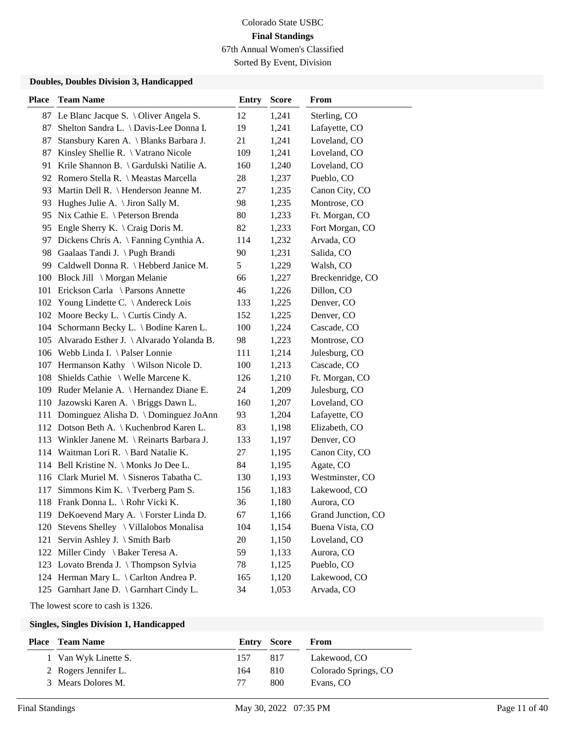Sorted By Event, Division

#### **Doubles, Doubles Division 3, Handicapped**

| <b>Place</b> | <b>Team Name</b>                             | <b>Entry</b> | <b>Score</b> | From               |
|--------------|----------------------------------------------|--------------|--------------|--------------------|
|              | 87 Le Blanc Jacque S. \ Oliver Angela S.     | 12           | 1,241        | Sterling, CO       |
| 87           | Shelton Sandra L. \ Davis-Lee Donna I.       | 19           | 1,241        | Lafayette, CO      |
| 87           | Stansbury Karen A. \ Blanks Barbara J.       | 21           | 1,241        | Loveland, CO       |
| 87           | Kinsley Shellie R. \ Vatrano Nicole          | 109          | 1,241        | Loveland, CO       |
| 91           | Krile Shannon B. \ Gardulski Natilie A.      | 160          | 1,240        | Loveland, CO       |
| 92           | Romero Stella R. \ Meastas Marcella          | 28           | 1,237        | Pueblo, CO         |
|              | 93 Martin Dell R. \ Henderson Jeanne M.      | 27           | 1,235        | Canon City, CO     |
| 93           | Hughes Julie A. $\Im$ Jiron Sally M.         | 98           | 1,235        | Montrose, CO       |
| 95           | Nix Cathie E. \ Peterson Brenda              | 80           | 1,233        | Ft. Morgan, CO     |
| 95           | Engle Sherry K. $\setminus$ Craig Doris M.   | 82           | 1,233        | Fort Morgan, CO    |
| 97           | Dickens Chris A. \ Fanning Cynthia A.        | 114          | 1,232        | Arvada, CO         |
| 98           | Gaalaas Tandi J. \ Pugh Brandi               | 90           | 1,231        | Salida, CO         |
| 99           | Caldwell Donna R. \ Hebberd Janice M.        | 5            | 1,229        | Walsh, CO          |
| 100          | Block Jill $\setminus$ Morgan Melanie        | 66           | 1,227        | Breckenridge, CO   |
| 101          | Erickson Carla \ Parsons Annette             | 46           | 1,226        | Dillon, CO         |
|              | 102 Young Lindette C. \ Andereck Lois        | 133          | 1,225        | Denver, CO         |
| 102          | Moore Becky L. $\setminus$ Curtis Cindy A.   | 152          | 1,225        | Denver, CO         |
| 104          | Schormann Becky L. \ Bodine Karen L.         | 100          | 1,224        | Cascade, CO        |
|              | 105 Alvarado Esther J. \ Alvarado Yolanda B. | 98           | 1,223        | Montrose, CO       |
|              | 106 Webb Linda I. \ Palser Lonnie            | 111          | 1,214        | Julesburg, CO      |
| 107          | Hermanson Kathy \ Wilson Nicole D.           | 100          | 1,213        | Cascade, CO        |
| 108          | Shields Cathie \ Welle Marcene K.            | 126          | 1,210        | Ft. Morgan, CO     |
|              | 109 Ruder Melanie A. \ Hernandez Diane E.    | 24           | 1,209        | Julesburg, CO      |
| 110          | Jazowski Karen A. \ Briggs Dawn L.           | 160          | 1,207        | Loveland, CO       |
| 111          | Dominguez Alisha D. \ Dominguez JoAnn        | 93           | 1,204        | Lafayette, CO      |
|              | 112 Dotson Beth A. \ Kuchenbrod Karen L.     | 83           | 1,198        | Elizabeth, CO      |
|              | 113 Winkler Janene M. \ Reinarts Barbara J.  | 133          | 1,197        | Denver, CO         |
| 114          | Waitman Lori R. \ Bard Natalie K.            | 27           | 1,195        | Canon City, CO     |
|              | 114 Bell Kristine N. \ Monks Jo Dee L.       | 84           | 1,195        | Agate, CO          |
|              | 116 Clark Muriel M. \ Sisneros Tabatha C.    | 130          | 1,193        | Westminster, CO    |
| 117          | Simmons Kim K. $\Upsilon$ Tverberg Pam S.    | 156          | 1,183        | Lakewood, CO       |
|              | 118 Frank Donna L. \Rohr Vicki K.            | 36           | 1,180        | Aurora, CO         |
|              | 119 DeKoevend Mary A. \ Forster Linda D.     | 67           | 1,166        | Grand Junction, CO |
| 120          | Stevens Shelley \ Villalobos Monalisa        | 104          | 1,154        | Buena Vista, CO    |
| 121          | Servin Ashley J. \ Smith Barb                | 20           | 1,150        | Loveland, CO       |
|              | 122 Miller Cindy \ Baker Teresa A.           | 59           | 1,133        | Aurora, CO         |
|              | 123 Lovato Brenda J. \Thompson Sylvia        | 78           | 1,125        | Pueblo, CO         |
|              | 124 Herman Mary L. \ Carlton Andrea P.       | 165          | 1,120        | Lakewood, CO       |
|              | 125 Garnhart Jane D. \ Garnhart Cindy L.     | 34           | 1,053        | Arvada, CO         |

The lowest score to cash is 1326.

| Place | <b>Team Name</b>     | <b>Entry Score</b> |     | From                 |
|-------|----------------------|--------------------|-----|----------------------|
|       | 1 Van Wyk Linette S. | 157                | 817 | Lakewood, CO         |
|       | 2 Rogers Jennifer L. | 164                | 810 | Colorado Springs, CO |
|       | 3 Mears Dolores M.   |                    | 800 | Evans. CO            |
|       |                      |                    |     |                      |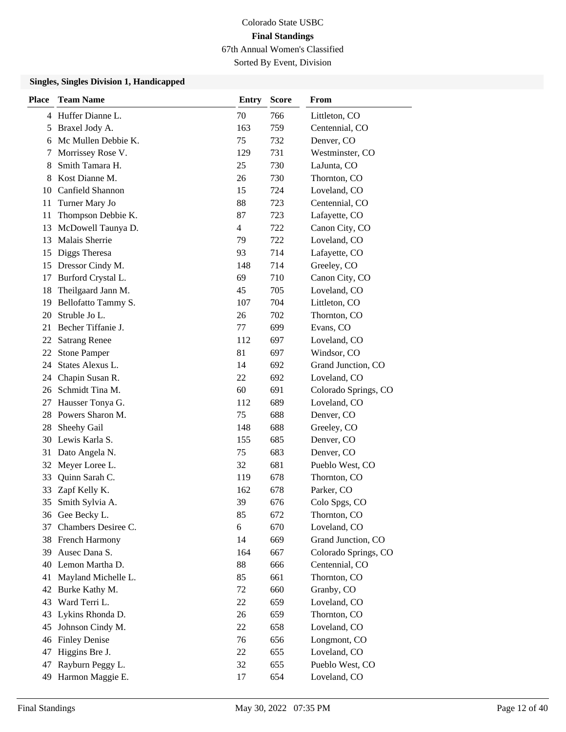Sorted By Event, Division

| <b>Place</b> | <b>Team Name</b>     | <b>Entry</b> | <b>Score</b> | From                 |
|--------------|----------------------|--------------|--------------|----------------------|
|              | 4 Huffer Dianne L.   | 70           | 766          | Littleton, CO        |
| 5            | Braxel Jody A.       | 163          | 759          | Centennial, CO       |
| 6            | Mc Mullen Debbie K.  | 75           | 732          | Denver, CO           |
| 7            | Morrissey Rose V.    | 129          | 731          | Westminster, CO      |
| 8            | Smith Tamara H.      | 25           | 730          | LaJunta, CO          |
| 8            | Kost Dianne M.       | 26           | 730          | Thornton, CO         |
|              | 10 Canfield Shannon  | 15           | 724          | Loveland, CO         |
| 11           | Turner Mary Jo       | 88           | 723          | Centennial, CO       |
| 11           | Thompson Debbie K.   | 87           | 723          | Lafayette, CO        |
| 13           | McDowell Taunya D.   | 4            | 722          | Canon City, CO       |
| 13           | Malais Sherrie       | 79           | 722          | Loveland, CO         |
| 15           | Diggs Theresa        | 93           | 714          | Lafayette, CO        |
| 15           | Dressor Cindy M.     | 148          | 714          | Greeley, CO          |
| 17           | Burford Crystal L.   | 69           | 710          | Canon City, CO       |
| 18           | Theilgaard Jann M.   | 45           | 705          | Loveland, CO         |
| 19           | Bellofatto Tammy S.  | 107          | 704          | Littleton, CO        |
| 20           | Struble Jo L.        | 26           | 702          | Thornton, CO         |
| 21           | Becher Tiffanie J.   | 77           | 699          | Evans, CO            |
| 22           | <b>Satrang Renee</b> | 112          | 697          | Loveland, CO         |
| 22           | <b>Stone Pamper</b>  | 81           | 697          | Windsor, CO          |
| 24           | States Alexus L.     | 14           | 692          | Grand Junction, CO   |
| 24           | Chapin Susan R.      | 22           | 692          | Loveland, CO         |
|              | 26 Schmidt Tina M.   | 60           | 691          | Colorado Springs, CO |
| 27           | Hausser Tonya G.     | 112          | 689          | Loveland, CO         |
| 28           | Powers Sharon M.     | 75           | 688          | Denver, CO           |
| 28           | Sheehy Gail          | 148          | 688          | Greeley, CO          |
|              | 30 Lewis Karla S.    | 155          | 685          | Denver, CO           |
| 31           | Dato Angela N.       | 75           | 683          | Denver, CO           |
| 32           | Meyer Loree L.       | 32           | 681          | Pueblo West, CO      |
| 33           | Quinn Sarah C.       | 119          | 678          | Thornton, CO         |
| 33           | Zapf Kelly K.        | 162          | 678          | Parker, CO           |
| 35           | Smith Sylvia A.      | 39           | 676          | Colo Spgs, CO        |
|              | 36 Gee Becky L.      | 85           | 672          | Thornton, CO         |
| 37           | Chambers Desiree C.  | 6            | 670          | Loveland, CO         |
|              | 38 French Harmony    | 14           | 669          | Grand Junction, CO   |
| 39           | Ausec Dana S.        | 164          | 667          | Colorado Springs, CO |
| 40           | Lemon Martha D.      | 88           | 666          | Centennial, CO       |
| 41           | Mayland Michelle L.  | 85           | 661          | Thornton, CO         |
| 42           | Burke Kathy M.       | 72           | 660          | Granby, CO           |
| 43           | Ward Terri L.        | 22           | 659          | Loveland, CO         |
| 43           | Lykins Rhonda D.     | 26           | 659          | Thornton, CO         |
| 45           | Johnson Cindy M.     | 22           | 658          | Loveland, CO         |
| 46           | <b>Finley Denise</b> | 76           | 656          | Longmont, CO         |
| 47           | Higgins Bre J.       | 22           | 655          | Loveland, CO         |
| 47           | Rayburn Peggy L.     | 32           | 655          | Pueblo West, CO      |
| 49           | Harmon Maggie E.     | 17           | 654          | Loveland, CO         |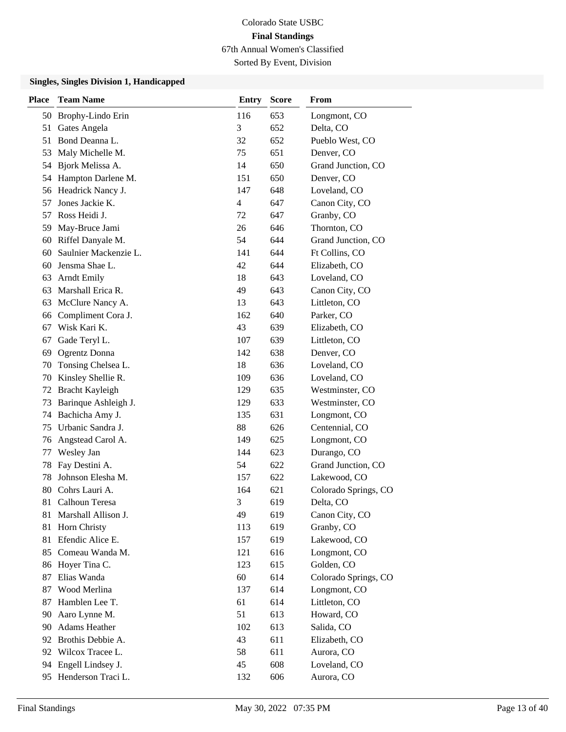Sorted By Event, Division

| Place | <b>Team Name</b>      | <b>Entry</b> | <b>Score</b> | From                 |
|-------|-----------------------|--------------|--------------|----------------------|
| 50    | Brophy-Lindo Erin     | 116          | 653          | Longmont, CO         |
| 51    | Gates Angela          | 3            | 652          | Delta, CO            |
| 51    | Bond Deanna L.        | 32           | 652          | Pueblo West, CO      |
| 53    | Maly Michelle M.      | 75           | 651          | Denver, CO           |
| 54    | Bjork Melissa A.      | 14           | 650          | Grand Junction, CO   |
| 54    | Hampton Darlene M.    | 151          | 650          | Denver, CO           |
| 56    | Headrick Nancy J.     | 147          | 648          | Loveland, CO         |
| 57    | Jones Jackie K.       | 4            | 647          | Canon City, CO       |
| 57    | Ross Heidi J.         | 72           | 647          | Granby, CO           |
| 59    | May-Bruce Jami        | 26           | 646          | Thornton, CO         |
| 60    | Riffel Danyale M.     | 54           | 644          | Grand Junction, CO   |
| 60    | Saulnier Mackenzie L. | 141          | 644          | Ft Collins, CO       |
| 60    | Jensma Shae L.        | 42           | 644          | Elizabeth, CO        |
| 63    | <b>Arndt Emily</b>    | 18           | 643          | Loveland, CO         |
| 63    | Marshall Erica R.     | 49           | 643          | Canon City, CO       |
| 63    | McClure Nancy A.      | 13           | 643          | Littleton, CO        |
| 66    | Compliment Cora J.    | 162          | 640          | Parker, CO           |
| 67    | Wisk Kari K.          | 43           | 639          | Elizabeth, CO        |
| 67    | Gade Teryl L.         | 107          | 639          | Littleton, CO        |
| 69    | <b>Ogrentz</b> Donna  | 142          | 638          | Denver, CO           |
| 70    | Tonsing Chelsea L.    | 18           | 636          | Loveland, CO         |
| 70    | Kinsley Shellie R.    | 109          | 636          | Loveland, CO         |
| 72    | Bracht Kayleigh       | 129          | 635          | Westminster, CO      |
| 73    | Barinque Ashleigh J.  | 129          | 633          | Westminster, CO      |
| 74    | Bachicha Amy J.       | 135          | 631          | Longmont, CO         |
| 75    | Urbanic Sandra J.     | 88           | 626          | Centennial, CO       |
| 76    | Angstead Carol A.     | 149          | 625          | Longmont, CO         |
| 77    | Wesley Jan            | 144          | 623          | Durango, CO          |
| 78    | Fay Destini A.        | 54           | 622          | Grand Junction, CO   |
| 78    | Johnson Elesha M.     | 157          | 622          | Lakewood, CO         |
| 80    | Cohrs Lauri A.        | 164          | 621          | Colorado Springs, CO |
| 81    | Calhoun Teresa        | 3            | 619          | Delta, CO            |
| 81    | Marshall Allison J.   | 49           | 619          | Canon City, CO       |
| 81    | Horn Christy          | 113          | 619          | Granby, CO           |
| 81    | Efendic Alice E.      | 157          | 619          | Lakewood, CO         |
|       | 85 Comeau Wanda M.    | 121          | 616          | Longmont, CO         |
| 86    | Hoyer Tina C.         | 123          | 615          | Golden, CO           |
| 87    | Elias Wanda           | 60           | 614          | Colorado Springs, CO |
| 87    | Wood Merlina          | 137          | 614          | Longmont, CO         |
| 87    | Hamblen Lee T.        | 61           | 614          | Littleton, CO        |
| 90    | Aaro Lynne M.         | 51           | 613          | Howard, CO           |
| 90    | Adams Heather         | 102          | 613          | Salida, CO           |
| 92    | Brothis Debbie A.     | 43           | 611          | Elizabeth, CO        |
| 92    | Wilcox Tracee L.      | 58           | 611          | Aurora, CO           |
| 94    | Engell Lindsey J.     | 45           | 608          | Loveland, CO         |
| 95    | Henderson Traci L.    | 132          | 606          | Aurora, CO           |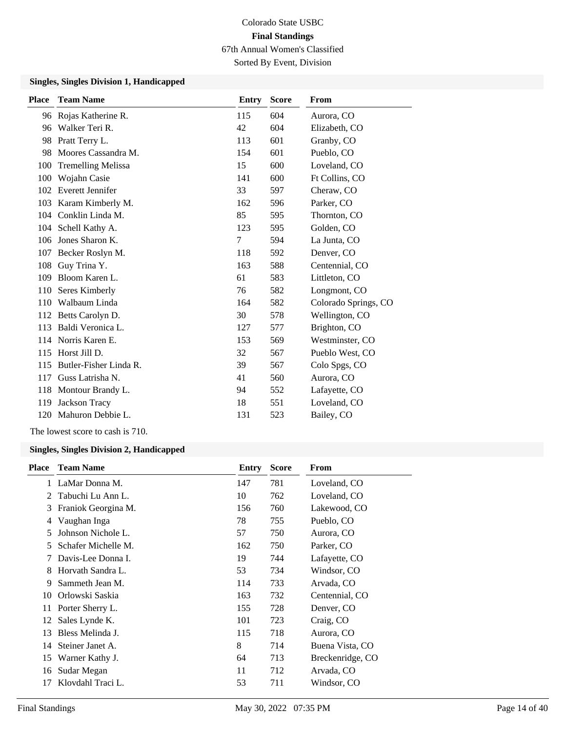Sorted By Event, Division

#### **Singles, Singles Division 1, Handicapped**

| <b>Place</b> | <b>Team Name</b>          | <b>Entry</b> | <b>Score</b> | From                 |
|--------------|---------------------------|--------------|--------------|----------------------|
|              | 96 Rojas Katherine R.     | 115          | 604          | Aurora, CO           |
| 96           | Walker Teri R.            | 42           | 604          | Elizabeth, CO        |
| 98           | Pratt Terry L.            | 113          | 601          | Granby, CO           |
| 98           | Moores Cassandra M.       | 154          | 601          | Pueblo, CO           |
| 100          | <b>Tremelling Melissa</b> | 15           | 600          | Loveland, CO         |
| 100          | Wojahn Casie              | 141          | 600          | Ft Collins, CO       |
| 102          | Everett Jennifer          | 33           | 597          | Cheraw, CO           |
| 103          | Karam Kimberly M.         | 162          | 596          | Parker, CO           |
| 104          | Conklin Linda M.          | 85           | 595          | Thornton, CO         |
| 104          | Schell Kathy A.           | 123          | 595          | Golden, CO           |
| 106          | Jones Sharon K.           | 7            | 594          | La Junta, CO         |
| 107          | Becker Roslyn M.          | 118          | 592          | Denver, CO           |
| 108          | Guy Trina Y.              | 163          | 588          | Centennial, CO       |
| 109          | Bloom Karen L.            | 61           | 583          | Littleton, CO        |
| 110          | Seres Kimberly            | 76           | 582          | Longmont, CO         |
| 110          | Walbaum Linda             | 164          | 582          | Colorado Springs, CO |
| 112          | Betts Carolyn D.          | 30           | 578          | Wellington, CO       |
| 113          | Baldi Veronica L.         | 127          | 577          | Brighton, CO         |
|              | 114 Norris Karen E.       | 153          | 569          | Westminster, CO      |
| 115          | Horst Jill D.             | 32           | 567          | Pueblo West, CO      |
| 115          | Butler-Fisher Linda R.    | 39           | 567          | Colo Spgs, CO        |
| 117          | Guss Latrisha N.          | 41           | 560          | Aurora, CO           |
| 118          | Montour Brandy L.         | 94           | 552          | Lafayette, CO        |
| 119          | Jackson Tracy             | 18           | 551          | Loveland, CO         |
| 120          | Mahuron Debbie L.         | 131          | 523          | Bailey, CO           |

The lowest score to cash is 710.

| <b>Place</b> | <b>Team Name</b>    | Entry | <b>Score</b> | From             |
|--------------|---------------------|-------|--------------|------------------|
| 1            | LaMar Donna M.      | 147   | 781          | Loveland, CO     |
| 2            | Tabuchi Lu Ann L.   | 10    | 762          | Loveland, CO     |
| 3            | Franiok Georgina M. | 156   | 760          | Lakewood, CO     |
| 4            | Vaughan Inga        | 78    | 755          | Pueblo, CO       |
| 5            | Johnson Nichole L.  | 57    | 750          | Aurora, CO       |
| 5            | Schafer Michelle M. | 162   | 750          | Parker, CO       |
| 7            | Davis-Lee Donna I.  | 19    | 744          | Lafayette, CO    |
| 8            | Horvath Sandra L.   | 53    | 734          | Windsor, CO      |
| 9            | Sammeth Jean M.     | 114   | 733          | Arvada, CO       |
| 10           | Orlowski Saskia     | 163   | 732          | Centennial, CO   |
| 11           | Porter Sherry L.    | 155   | 728          | Denver, CO       |
| 12           | Sales Lynde K.      | 101   | 723          | Craig, CO        |
| 13           | Bless Melinda J.    | 115   | 718          | Aurora, CO       |
| 14           | Steiner Janet A.    | 8     | 714          | Buena Vista, CO  |
| 15           | Warner Kathy J.     | 64    | 713          | Breckenridge, CO |
| 16           | Sudar Megan         | 11    | 712          | Arvada, CO       |
| 17           | Klovdahl Traci L.   | 53    | 711          | Windsor, CO      |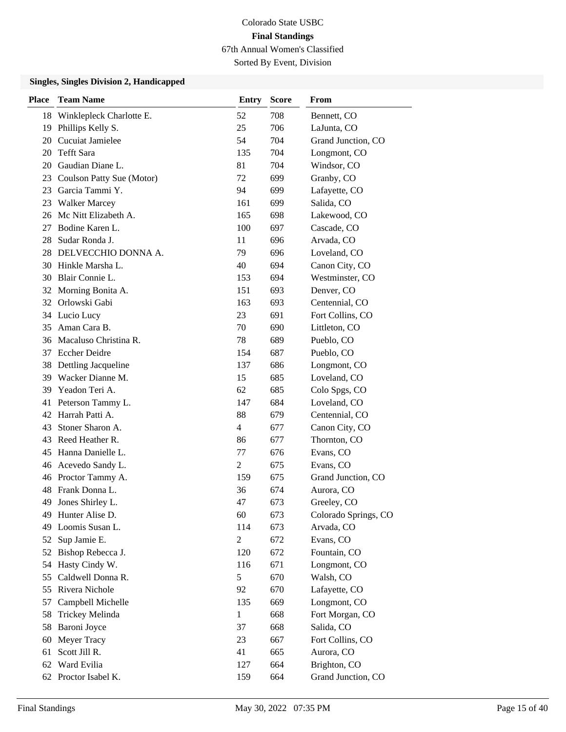Sorted By Event, Division

| <b>Place</b> | <b>Team Name</b>          | <b>Entry</b>   | <b>Score</b> | From                 |
|--------------|---------------------------|----------------|--------------|----------------------|
| 18           | Winklepleck Charlotte E.  | 52             | 708          | Bennett, CO          |
| 19           | Phillips Kelly S.         | 25             | 706          | LaJunta, CO          |
| 20           | Cucuiat Jamielee          | 54             | 704          | Grand Junction, CO   |
| 20           | Tefft Sara                | 135            | 704          | Longmont, CO         |
| 20           | Gaudian Diane L.          | 81             | 704          | Windsor, CO          |
| 23           | Coulson Patty Sue (Motor) | 72             | 699          | Granby, CO           |
| 23           | Garcia Tammi Y.           | 94             | 699          | Lafayette, CO        |
| 23           | <b>Walker Marcey</b>      | 161            | 699          | Salida, CO           |
| 26           | Mc Nitt Elizabeth A.      | 165            | 698          | Lakewood, CO         |
| 27           | Bodine Karen L.           | 100            | 697          | Cascade, CO          |
| 28           | Sudar Ronda J.            | 11             | 696          | Arvada, CO           |
|              | 28 DELVECCHIO DONNA A.    | 79             | 696          | Loveland, CO         |
| 30           | Hinkle Marsha L.          | 40             | 694          | Canon City, CO       |
| 30           | Blair Connie L.           | 153            | 694          | Westminster, CO      |
|              | 32 Morning Bonita A.      | 151            | 693          | Denver, CO           |
| 32           | Orlowski Gabi             | 163            | 693          | Centennial, CO       |
|              | 34 Lucio Lucy             | 23             | 691          | Fort Collins, CO     |
| 35           | Aman Cara B.              | 70             | 690          | Littleton, CO        |
| 36           | Macaluso Christina R.     | 78             | 689          | Pueblo, CO           |
| 37           | <b>Eccher Deidre</b>      | 154            | 687          | Pueblo, CO           |
| 38           | Dettling Jacqueline       | 137            | 686          | Longmont, CO         |
| 39           | Wacker Dianne M.          | 15             | 685          | Loveland, CO         |
| 39           | Yeadon Teri A.            | 62             | 685          | Colo Spgs, CO        |
| 41           | Peterson Tammy L.         | 147            | 684          | Loveland, CO         |
| 42           | Harrah Patti A.           | 88             | 679          | Centennial, CO       |
| 43           | Stoner Sharon A.          | $\overline{4}$ | 677          | Canon City, CO       |
| 43           | Reed Heather R.           | 86             | 677          | Thornton, CO         |
| 45           | Hanna Danielle L.         | 77             | 676          | Evans, CO            |
| 46           | Acevedo Sandy L.          | $\overline{c}$ | 675          | Evans, CO            |
|              | 46 Proctor Tammy A.       | 159            | 675          | Grand Junction, CO   |
| 48           | Frank Donna L.            | 36             | 674          | Aurora, CO           |
| 49           | Jones Shirley L.          | 47             | 673          | Greeley, CO          |
| 49           | Hunter Alise D.           | 60             | 673          | Colorado Springs, CO |
| 49           | Loomis Susan L.           | 114            | 673          | Arvada, CO           |
| 52           | Sup Jamie E.              | $\overline{2}$ | 672          | Evans, CO            |
|              | 52 Bishop Rebecca J.      | 120            | 672          | Fountain, CO         |
| 54           | Hasty Cindy W.            | 116            | 671          | Longmont, CO         |
| 55           | Caldwell Donna R.         | $\sqrt{5}$     | 670          | Walsh, CO            |
| 55           | Rivera Nichole            | 92             | 670          | Lafayette, CO        |
| 57           | Campbell Michelle         | 135            | 669          | Longmont, CO         |
| 58           | Trickey Melinda           | $\mathbf{1}$   | 668          | Fort Morgan, CO      |
| 58           | Baroni Joyce              | 37             | 668          | Salida, CO           |
| 60           | Meyer Tracy               | 23             | 667          | Fort Collins, CO     |
| 61           | Scott Jill R.             | 41             | 665          | Aurora, CO           |
| 62           | Ward Evilia               | 127            | 664          | Brighton, CO         |
|              | 62 Proctor Isabel K.      | 159            | 664          | Grand Junction, CO   |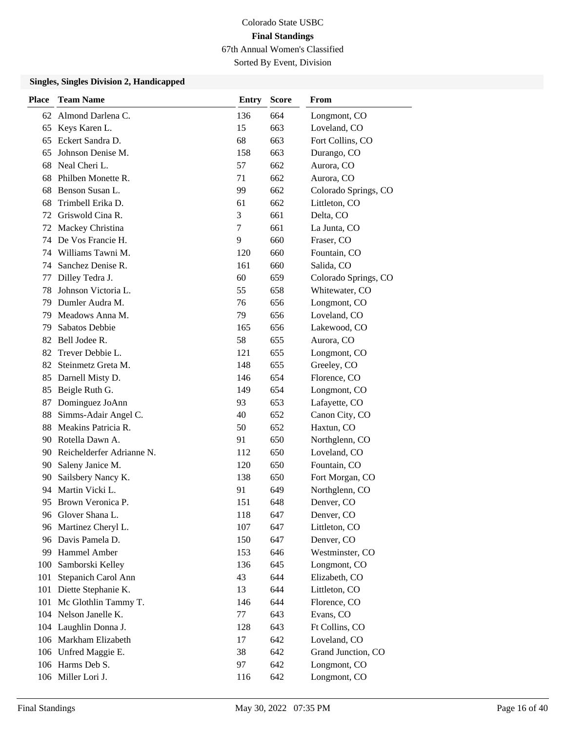Sorted By Event, Division

| <b>Place</b> | <b>Team Name</b>             | <b>Entry</b> | <b>Score</b> | From                 |
|--------------|------------------------------|--------------|--------------|----------------------|
| 62           | Almond Darlena C.            | 136          | 664          | Longmont, CO         |
| 65           | Keys Karen L.                | 15           | 663          | Loveland, CO         |
| 65           | Eckert Sandra D.             | 68           | 663          | Fort Collins, CO     |
| 65           | Johnson Denise M.            | 158          | 663          | Durango, CO          |
| 68           | Neal Cheri L.                | 57           | 662          | Aurora, CO           |
| 68           | Philben Monette R.           | 71           | 662          | Aurora, CO           |
| 68           | Benson Susan L.              | 99           | 662          | Colorado Springs, CO |
| 68           | Trimbell Erika D.            | 61           | 662          | Littleton, CO        |
| 72           | Griswold Cina R.             | 3            | 661          | Delta, CO            |
| 72           | Mackey Christina             | 7            | 661          | La Junta, CO         |
| 74           | De Vos Francie H.            | 9            | 660          | Fraser, CO           |
| 74           | Williams Tawni M.            | 120          | 660          | Fountain, CO         |
| 74           | Sanchez Denise R.            | 161          | 660          | Salida, CO           |
| 77           | Dilley Tedra J.              | 60           | 659          | Colorado Springs, CO |
| 78           | Johnson Victoria L.          | 55           | 658          | Whitewater, CO       |
| 79           | Dumler Audra M.              | 76           | 656          | Longmont, CO         |
| 79           | Meadows Anna M.              | 79           | 656          | Loveland, CO         |
| 79           | Sabatos Debbie               | 165          | 656          | Lakewood, CO         |
| 82           | Bell Jodee R.                | 58           | 655          | Aurora, CO           |
| 82           | Trever Debbie L.             | 121          | 655          | Longmont, CO         |
| 82           | Steinmetz Greta M.           | 148          | 655          | Greeley, CO          |
| 85           | Darnell Misty D.             | 146          | 654          | Florence, CO         |
| 85           | Beigle Ruth G.               | 149          | 654          | Longmont, CO         |
| 87           | Dominguez JoAnn              | 93           | 653          | Lafayette, CO        |
| 88           | Simms-Adair Angel C.         | 40           | 652          | Canon City, CO       |
| 88           | Meakins Patricia R.          | 50           | 652          | Haxtun, CO           |
| 90           | Rotella Dawn A.              | 91           | 650          | Northglenn, CO       |
|              | 90 Reichelderfer Adrianne N. | 112          | 650          | Loveland, CO         |
| 90           | Saleny Janice M.             | 120          | 650          | Fountain, CO         |
| 90           | Sailsbery Nancy K.           | 138          | 650          | Fort Morgan, CO      |
| 94           | Martin Vicki L.              | 91           | 649          | Northglenn, CO       |
| 95.          | Brown Veronica P.            | 151          | 648          | Denver, CO           |
| 96           | Glover Shana L.              | 118          | 647          | Denver, CO           |
|              | 96 Martinez Cheryl L.        | 107          | 647          | Littleton, CO        |
| 96           | Davis Pamela D.              | 150          | 647          | Denver, CO           |
| 99           | Hammel Amber                 | 153          | 646          | Westminster, CO      |
| 100          | Samborski Kelley             | 136          | 645          | Longmont, CO         |
| 101          | Stepanich Carol Ann          | 43           | 644          | Elizabeth, CO        |
| 101          | Diette Stephanie K.          | 13           | 644          | Littleton, CO        |
| 101          | Mc Glothlin Tammy T.         | 146          | 644          | Florence, CO         |
|              | 104 Nelson Janelle K.        | 77           | 643          | Evans, CO            |
|              | 104 Laughlin Donna J.        | 128          | 643          | Ft Collins, CO       |
|              | 106 Markham Elizabeth        | 17           | 642          | Loveland, CO         |
|              | 106 Unfred Maggie E.         | 38           | 642          | Grand Junction, CO   |
|              | 106 Harms Deb S.             | 97           | 642          | Longmont, CO         |
|              | 106 Miller Lori J.           | 116          | 642          | Longmont, CO         |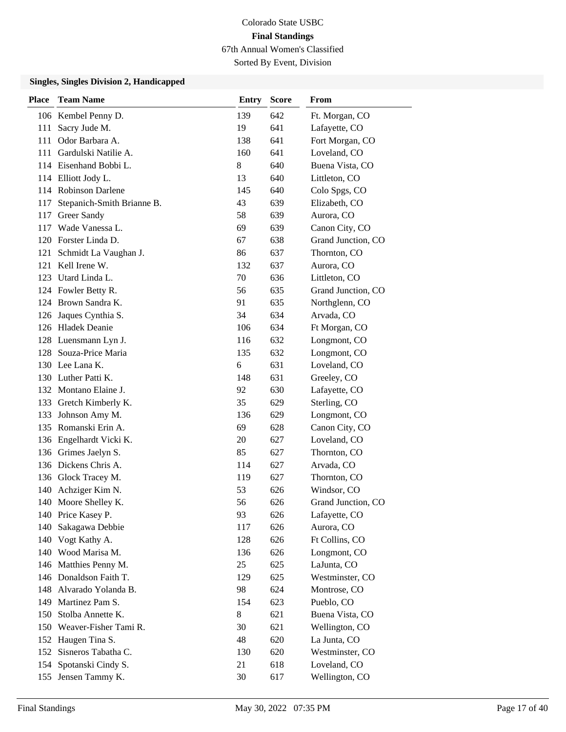Sorted By Event, Division

| <b>Place</b> | <b>Team Name</b>           | <b>Entry</b> | <b>Score</b> | From               |
|--------------|----------------------------|--------------|--------------|--------------------|
|              | 106 Kembel Penny D.        | 139          | 642          | Ft. Morgan, CO     |
| 111          | Sacry Jude M.              | 19           | 641          | Lafayette, CO      |
| 111          | Odor Barbara A.            | 138          | 641          | Fort Morgan, CO    |
|              | 111 Gardulski Natilie A.   | 160          | 641          | Loveland, CO       |
|              | 114 Eisenhand Bobbi L.     | 8            | 640          | Buena Vista, CO    |
|              | 114 Elliott Jody L.        | 13           | 640          | Littleton, CO      |
|              | 114 Robinson Darlene       | 145          | 640          | Colo Spgs, CO      |
| 117          | Stepanich-Smith Brianne B. | 43           | 639          | Elizabeth, CO      |
| 117          | Greer Sandy                | 58           | 639          | Aurora, CO         |
| 117          | Wade Vanessa L.            | 69           | 639          | Canon City, CO     |
|              | 120 Forster Linda D.       | 67           | 638          | Grand Junction, CO |
| 121          | Schmidt La Vaughan J.      | 86           | 637          | Thornton, CO       |
| 121          | Kell Irene W.              | 132          | 637          | Aurora, CO         |
|              | 123 Utard Linda L.         | 70           | 636          | Littleton, CO      |
|              | 124 Fowler Betty R.        | 56           | 635          | Grand Junction, CO |
|              | 124 Brown Sandra K.        | 91           | 635          | Northglenn, CO     |
|              | 126 Jaques Cynthia S.      | 34           | 634          | Arvada, CO         |
|              | 126 Hladek Deanie          | 106          | 634          | Ft Morgan, CO      |
|              | 128 Luensmann Lyn J.       | 116          | 632          | Longmont, CO       |
|              | 128 Souza-Price Maria      | 135          | 632          | Longmont, CO       |
|              | 130 Lee Lana K.            | 6            | 631          | Loveland, CO       |
|              | 130 Luther Patti K.        | 148          | 631          | Greeley, CO        |
|              | 132 Montano Elaine J.      | 92           | 630          | Lafayette, CO      |
|              | 133 Gretch Kimberly K.     | 35           | 629          | Sterling, CO       |
| 133          | Johnson Amy M.             | 136          | 629          | Longmont, CO       |
| 135          | Romanski Erin A.           | 69           | 628          | Canon City, CO     |
|              | 136 Engelhardt Vicki K.    | 20           | 627          | Loveland, CO       |
|              | 136 Grimes Jaelyn S.       | 85           | 627          | Thornton, CO       |
|              | 136 Dickens Chris A.       | 114          | 627          | Arvada, CO         |
|              | 136 Glock Tracey M.        | 119          | 627          | Thornton, CO       |
| 140          | Achziger Kim N.            | 53           | 626          | Windsor, CO        |
|              | 140 Moore Shelley K.       | 56           | 626          | Grand Junction, CO |
|              | 140 Price Kasey P.         | 93           | 626          | Lafayette, CO      |
| 140          | Sakagawa Debbie            | 117          | 626          | Aurora, CO         |
| 140          | Vogt Kathy A.              | 128          | 626          | Ft Collins, CO     |
|              | 140 Wood Marisa M.         | 136          | 626          | Longmont, CO       |
| 146          | Matthies Penny M.          | 25           | 625          | LaJunta, CO        |
|              | 146 Donaldson Faith T.     | 129          | 625          | Westminster, CO    |
| 148          | Alvarado Yolanda B.        | 98           | 624          | Montrose, CO       |
| 149          | Martinez Pam S.            | 154          | 623          | Pueblo, CO         |
| 150          | Stolba Annette K.          | 8            | 621          | Buena Vista, CO    |
|              | 150 Weaver-Fisher Tami R.  | 30           | 621          | Wellington, CO     |
|              | 152 Haugen Tina S.         | 48           | 620          | La Junta, CO       |
| 152          | Sisneros Tabatha C.        | 130          | 620          | Westminster, CO    |
| 154          | Spotanski Cindy S.         | 21           | 618          | Loveland, CO       |
| 155          | Jensen Tammy K.            | 30           | 617          | Wellington, CO     |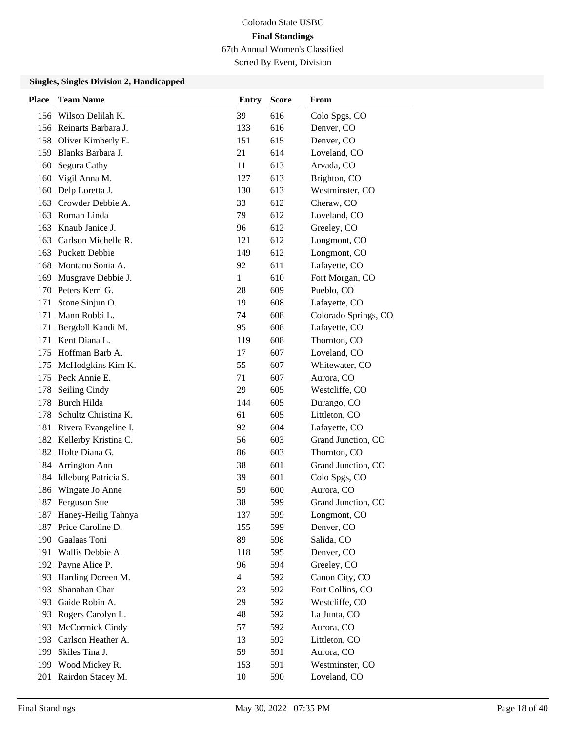Sorted By Event, Division

| Place | <b>Team Name</b>        | <b>Entry</b>   | <b>Score</b> | From                 |
|-------|-------------------------|----------------|--------------|----------------------|
|       | 156 Wilson Delilah K.   | 39             | 616          | Colo Spgs, CO        |
|       | 156 Reinarts Barbara J. | 133            | 616          | Denver, CO           |
|       | 158 Oliver Kimberly E.  | 151            | 615          | Denver, CO           |
| 159   | Blanks Barbara J.       | 21             | 614          | Loveland, CO         |
| 160   | Segura Cathy            | 11             | 613          | Arvada, CO           |
| 160   | Vigil Anna M.           | 127            | 613          | Brighton, CO         |
| 160   | Delp Loretta J.         | 130            | 613          | Westminster, CO      |
| 163   | Crowder Debbie A.       | 33             | 612          | Cheraw, CO           |
| 163   | Roman Linda             | 79             | 612          | Loveland, CO         |
| 163   | Knaub Janice J.         | 96             | 612          | Greeley, CO          |
| 163   | Carlson Michelle R.     | 121            | 612          | Longmont, CO         |
| 163   | <b>Puckett Debbie</b>   | 149            | 612          | Longmont, CO         |
| 168   | Montano Sonia A.        | 92             | 611          | Lafayette, CO        |
| 169   | Musgrave Debbie J.      | 1              | 610          | Fort Morgan, CO      |
|       | 170 Peters Kerri G.     | 28             | 609          | Pueblo, CO           |
| 171   | Stone Sinjun O.         | 19             | 608          | Lafayette, CO        |
| 171   | Mann Robbi L.           | 74             | 608          | Colorado Springs, CO |
| 171   | Bergdoll Kandi M.       | 95             | 608          | Lafayette, CO        |
| 171   | Kent Diana L.           | 119            | 608          | Thornton, CO         |
| 175   | Hoffman Barb A.         | 17             | 607          | Loveland, CO         |
| 175   | McHodgkins Kim K.       | 55             | 607          | Whitewater, CO       |
| 175   | Peck Annie E.           | 71             | 607          | Aurora, CO           |
| 178   | Seiling Cindy           | 29             | 605          | Westcliffe, CO       |
| 178   | Burch Hilda             | 144            | 605          | Durango, CO          |
| 178   | Schultz Christina K.    | 61             | 605          | Littleton, CO        |
| 181   | Rivera Evangeline I.    | 92             | 604          | Lafayette, CO        |
| 182   | Kellerby Kristina C.    | 56             | 603          | Grand Junction, CO   |
|       | 182 Holte Diana G.      | 86             | 603          | Thornton, CO         |
| 184   | Arrington Ann           | 38             | 601          | Grand Junction, CO   |
| 184   | Idleburg Patricia S.    | 39             | 601          | Colo Spgs, CO        |
| 186   | Wingate Jo Anne         | 59             | 600          | Aurora, CO           |
|       | 187 Ferguson Sue        | 38             | 599          | Grand Junction, CO   |
| 187   | Haney-Heilig Tahnya     | 137            | 599          | Longmont, CO         |
| 187   | Price Caroline D.       | 155            | 599          | Denver, CO           |
|       | 190 Gaalaas Toni        | 89             | 598          | Salida, CO           |
| 191   | Wallis Debbie A.        | 118            | 595          | Denver, CO           |
| 192   | Payne Alice P.          | 96             | 594          | Greeley, CO          |
| 193   | Harding Doreen M.       | $\overline{4}$ | 592          | Canon City, CO       |
| 193   | Shanahan Char           | 23             | 592          | Fort Collins, CO     |
| 193   | Gaide Robin A.          | 29             | 592          | Westcliffe, CO       |
| 193   | Rogers Carolyn L.       | 48             | 592          | La Junta, CO         |
| 193   | McCormick Cindy         | 57             | 592          | Aurora, CO           |
|       | 193 Carlson Heather A.  | 13             | 592          | Littleton, CO        |
| 199   | Skiles Tina J.          | 59             | 591          | Aurora, CO           |
|       | 199 Wood Mickey R.      | 153            | 591          | Westminster, CO      |
| 201   | Rairdon Stacey M.       | 10             | 590          | Loveland, CO         |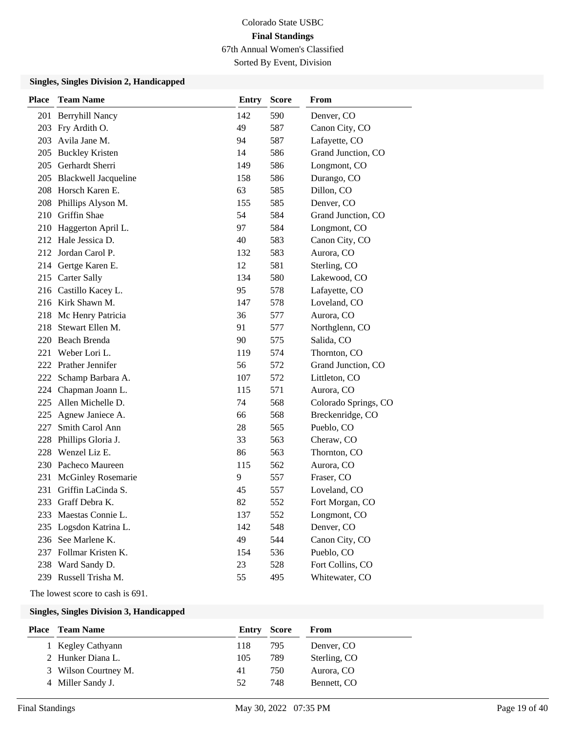Sorted By Event, Division

#### **Singles, Singles Division 2, Handicapped**

| Place | <b>Team Name</b>          | <b>Entry</b> | <b>Score</b> | From                 |
|-------|---------------------------|--------------|--------------|----------------------|
| 201   | <b>Berryhill Nancy</b>    | 142          | 590          | Denver, CO           |
| 203   | Fry Ardith O.             | 49           | 587          | Canon City, CO       |
| 203   | Avila Jane M.             | 94           | 587          | Lafayette, CO        |
|       | 205 Buckley Kristen       | 14           | 586          | Grand Junction, CO   |
| 205   | Gerhardt Sherri           | 149          | 586          | Longmont, CO         |
|       | 205 Blackwell Jacqueline  | 158          | 586          | Durango, CO          |
| 208   | Horsch Karen E.           | 63           | 585          | Dillon, CO           |
|       | 208 Phillips Alyson M.    | 155          | 585          | Denver, CO           |
| 210   | Griffin Shae              | 54           | 584          | Grand Junction, CO   |
| 210   | Haggerton April L.        | 97           | 584          | Longmont, CO         |
|       | 212 Hale Jessica D.       | 40           | 583          | Canon City, CO       |
|       | 212 Jordan Carol P.       | 132          | 583          | Aurora, CO           |
| 214   | Gertge Karen E.           | 12           | 581          | Sterling, CO         |
| 215   | <b>Carter Sally</b>       | 134          | 580          | Lakewood, CO         |
|       | 216 Castillo Kacey L.     | 95           | 578          | Lafayette, CO        |
|       | 216 Kirk Shawn M.         | 147          | 578          | Loveland, CO         |
| 218   | Mc Henry Patricia         | 36           | 577          | Aurora, CO           |
| 218   | Stewart Ellen M.          | 91           | 577          | Northglenn, CO       |
| 220   | <b>Beach Brenda</b>       | 90           | 575          | Salida, CO           |
| 221   | Weber Lori L.             | 119          | 574          | Thornton, CO         |
|       | 222 Prather Jennifer      | 56           | 572          | Grand Junction, CO   |
| 222   | Schamp Barbara A.         | 107          | 572          | Littleton, CO        |
| 224   | Chapman Joann L.          | 115          | 571          | Aurora, CO           |
| 225   | Allen Michelle D.         | 74           | 568          | Colorado Springs, CO |
| 225   | Agnew Janiece A.          | 66           | 568          | Breckenridge, CO     |
| 227   | Smith Carol Ann           | 28           | 565          | Pueblo, CO           |
| 228   | Phillips Gloria J.        | 33           | 563          | Cheraw, CO           |
| 228   | Wenzel Liz E.             | 86           | 563          | Thornton, CO         |
|       | 230 Pacheco Maureen       | 115          | 562          | Aurora, CO           |
| 231   | <b>McGinley Rosemarie</b> | 9            | 557          | Fraser, CO           |
| 231   | Griffin LaCinda S.        | 45           | 557          | Loveland, CO         |
| 233   | Graff Debra K.            | 82           | 552          | Fort Morgan, CO      |
|       | 233 Maestas Connie L.     | 137          | 552          | Longmont, CO         |
| 235   | Logsdon Katrina L.        | 142          | 548          | Denver, CO           |
| 236   | See Marlene K.            | 49           | 544          | Canon City, CO       |
|       | 237 Follmar Kristen K.    | 154          | 536          | Pueblo, CO           |
|       | 238 Ward Sandy D.         | 23           | 528          | Fort Collins, CO     |
|       | 239 Russell Trisha M.     | 55           | 495          | Whitewater, CO       |

The lowest score to cash is 691.

| <b>Place</b> Team Name | Entry Score |     | From         |
|------------------------|-------------|-----|--------------|
| 1 Kegley Cathyann      | 118         | 795 | Denver, CO   |
| 2 Hunker Diana L.      | 105         | 789 | Sterling, CO |
| 3 Wilson Courtney M.   | 41          | 750 | Aurora, CO   |
| 4 Miller Sandy J.      | 52          | 748 | Bennett, CO  |
|                        |             |     |              |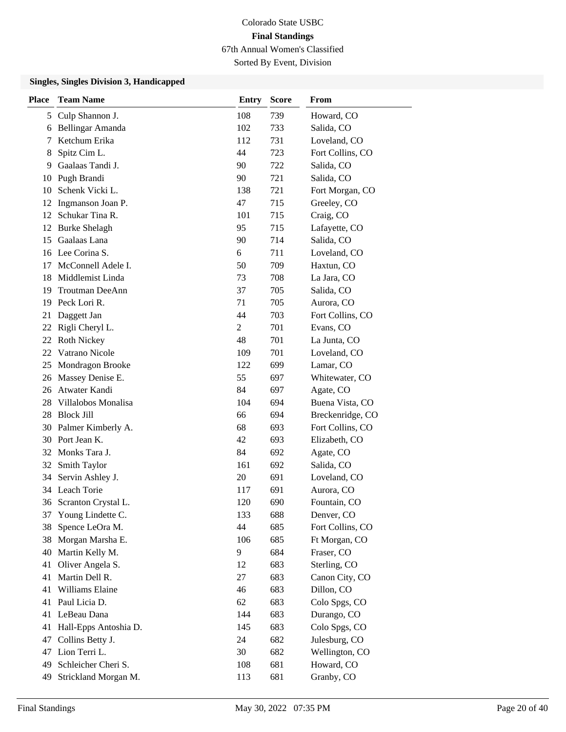Sorted By Event, Division

| <b>Place</b> | <b>Team Name</b>       | <b>Entry</b>   | <b>Score</b> | From             |
|--------------|------------------------|----------------|--------------|------------------|
| 5            | Culp Shannon J.        | 108            | 739          | Howard, CO       |
| 6            | Bellingar Amanda       | 102            | 733          | Salida, CO       |
| 7            | Ketchum Erika          | 112            | 731          | Loveland, CO     |
| 8            | Spitz Cim L.           | 44             | 723          | Fort Collins, CO |
| 9            | Gaalaas Tandi J.       | 90             | 722          | Salida, CO       |
| 10           | Pugh Brandi            | 90             | 721          | Salida, CO       |
| 10           | Schenk Vicki L.        | 138            | 721          | Fort Morgan, CO  |
| 12           | Ingmanson Joan P.      | 47             | 715          | Greeley, CO      |
| 12           | Schukar Tina R.        | 101            | 715          | Craig, CO        |
| 12           | <b>Burke Shelagh</b>   | 95             | 715          | Lafayette, CO    |
| 15           | Gaalaas Lana           | 90             | 714          | Salida, CO       |
|              | 16 Lee Corina S.       | 6              | 711          | Loveland, CO     |
| 17           | McConnell Adele I.     | 50             | 709          | Haxtun, CO       |
| 18           | Middlemist Linda       | 73             | 708          | La Jara, CO      |
| 19           | <b>Troutman DeeAnn</b> | 37             | 705          | Salida, CO       |
| 19           | Peck Lori R.           | 71             | 705          | Aurora, CO       |
| 21           | Daggett Jan            | 44             | 703          | Fort Collins, CO |
| 22           | Rigli Cheryl L.        | $\overline{2}$ | 701          | Evans, CO        |
| 22           | <b>Roth Nickey</b>     | 48             | 701          | La Junta, CO     |
| 22           | Vatrano Nicole         | 109            | 701          | Loveland, CO     |
| 25           | Mondragon Brooke       | 122            | 699          | Lamar, CO        |
| 26           | Massey Denise E.       | 55             | 697          | Whitewater, CO   |
| 26           | Atwater Kandi          | 84             | 697          | Agate, CO        |
| 28           | Villalobos Monalisa    | 104            | 694          | Buena Vista, CO  |
| 28           | <b>Block Jill</b>      | 66             | 694          | Breckenridge, CO |
| 30           | Palmer Kimberly A.     | 68             | 693          | Fort Collins, CO |
| 30           | Port Jean K.           | 42             | 693          | Elizabeth, CO    |
|              | 32 Monks Tara J.       | 84             | 692          | Agate, CO        |
| 32           | Smith Taylor           | 161            | 692          | Salida, CO       |
| 34           | Servin Ashley J.       | 20             | 691          | Loveland, CO     |
|              | 34 Leach Torie         | 117            | 691          | Aurora, CO       |
|              | 36 Scranton Crystal L. | 120            | 690          | Fountain, CO     |
| 37           | Young Lindette C.      | 133            | 688          | Denver, CO       |
| 38           | Spence LeOra M.        | 44             | 685          | Fort Collins, CO |
| 38           | Morgan Marsha E.       | 106            | 685          | Ft Morgan, CO    |
| 40           | Martin Kelly M.        | 9              | 684          | Fraser, CO       |
| 41           | Oliver Angela S.       | 12             | 683          | Sterling, CO     |
| 41           | Martin Dell R.         | 27             | 683          | Canon City, CO   |
| 41           | Williams Elaine        | 46             | 683          | Dillon, CO       |
| 41           | Paul Licia D.          | 62             | 683          | Colo Spgs, CO    |
| 41           | LeBeau Dana            | 144            | 683          | Durango, CO      |
| 41           | Hall-Epps Antoshia D.  | 145            | 683          | Colo Spgs, CO    |
| 47           | Collins Betty J.       | 24             | 682          | Julesburg, CO    |
| 47           | Lion Terri L.          | 30             | 682          | Wellington, CO   |
| 49           | Schleicher Cheri S.    | 108            | 681          | Howard, CO       |
| 49           | Strickland Morgan M.   | 113            | 681          | Granby, CO       |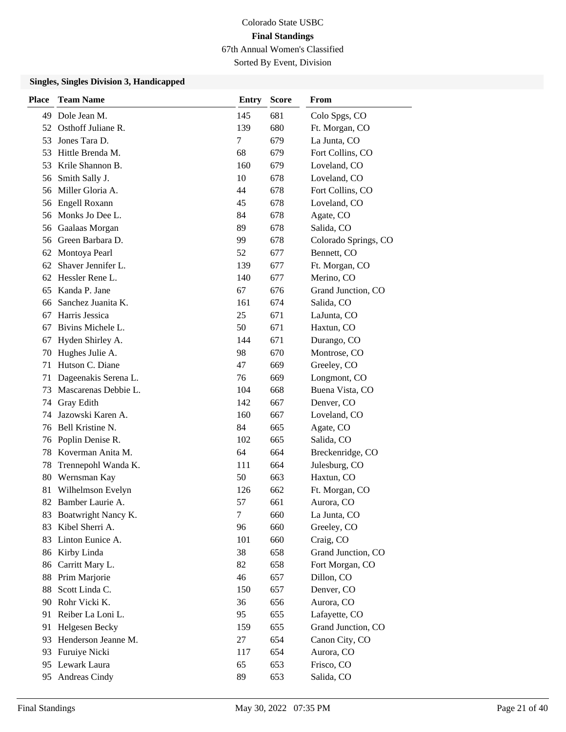Sorted By Event, Division

| Place | <b>Team Name</b>     | <b>Entry</b> | <b>Score</b> | From                 |
|-------|----------------------|--------------|--------------|----------------------|
| 49    | Dole Jean M.         | 145          | 681          | Colo Spgs, CO        |
| 52    | Osthoff Juliane R.   | 139          | 680          | Ft. Morgan, CO       |
| 53    | Jones Tara D.        | 7            | 679          | La Junta, CO         |
| 53    | Hittle Brenda M.     | 68           | 679          | Fort Collins, CO     |
| 53    | Krile Shannon B.     | 160          | 679          | Loveland, CO         |
| 56    | Smith Sally J.       | 10           | 678          | Loveland, CO         |
| 56    | Miller Gloria A.     | 44           | 678          | Fort Collins, CO     |
| 56    | Engell Roxann        | 45           | 678          | Loveland, CO         |
| 56    | Monks Jo Dee L.      | 84           | 678          | Agate, CO            |
| 56    | Gaalaas Morgan       | 89           | 678          | Salida, CO           |
| 56    | Green Barbara D.     | 99           | 678          | Colorado Springs, CO |
| 62    | Montoya Pearl        | 52           | 677          | Bennett, CO          |
| 62    | Shaver Jennifer L.   | 139          | 677          | Ft. Morgan, CO       |
| 62    | Hessler Rene L.      | 140          | 677          | Merino, CO           |
| 65    | Kanda P. Jane        | 67           | 676          | Grand Junction, CO   |
| 66    | Sanchez Juanita K.   | 161          | 674          | Salida, CO           |
| 67    | Harris Jessica       | 25           | 671          | LaJunta, CO          |
| 67    | Bivins Michele L.    | 50           | 671          | Haxtun, CO           |
| 67    | Hyden Shirley A.     | 144          | 671          | Durango, CO          |
| 70    | Hughes Julie A.      | 98           | 670          | Montrose, CO         |
| 71    | Hutson C. Diane      | 47           | 669          | Greeley, CO          |
| 71    | Dageenakis Serena L. | 76           | 669          | Longmont, CO         |
| 73    | Mascarenas Debbie L. | 104          | 668          | Buena Vista, CO      |
| 74    | Gray Edith           | 142          | 667          | Denver, CO           |
| 74    | Jazowski Karen A.    | 160          | 667          | Loveland, CO         |
| 76    | Bell Kristine N.     | 84           | 665          | Agate, CO            |
| 76    | Poplin Denise R.     | 102          | 665          | Salida, CO           |
| 78    | Koverman Anita M.    | 64           | 664          | Breckenridge, CO     |
| 78    | Trennepohl Wanda K.  | 111          | 664          | Julesburg, CO        |
| 80    | Wernsman Kay         | 50           | 663          | Haxtun, CO           |
| 81    | Wilhelmson Evelyn    | 126          | 662          | Ft. Morgan, CO       |
|       | 82 Bamber Laurie A.  | 57           | 661          | Aurora, CO           |
| 83    | Boatwright Nancy K.  | $\tau$       | 660          | La Junta, CO         |
| 83    | Kibel Sherri A.      | 96           | 660          | Greeley, CO          |
| 83    | Linton Eunice A.     | 101          | 660          | Craig, CO            |
| 86    | Kirby Linda          | 38           | 658          | Grand Junction, CO   |
| 86    | Carritt Mary L.      | 82           | 658          | Fort Morgan, CO      |
| 88    | Prim Marjorie        | 46           | 657          | Dillon, CO           |
| 88    | Scott Linda C.       | 150          | 657          | Denver, CO           |
| 90    | Rohr Vicki K.        | 36           | 656          | Aurora, CO           |
| 91    | Reiber La Loni L.    | 95           | 655          | Lafayette, CO        |
| 91    | Helgesen Becky       | 159          | 655          | Grand Junction, CO   |
| 93    | Henderson Jeanne M.  | 27           | 654          | Canon City, CO       |
| 93    | Furuiye Nicki        | 117          | 654          | Aurora, CO           |
| 95    | Lewark Laura         | 65           | 653          | Frisco, CO           |
| 95    | Andreas Cindy        | 89           | 653          | Salida, CO           |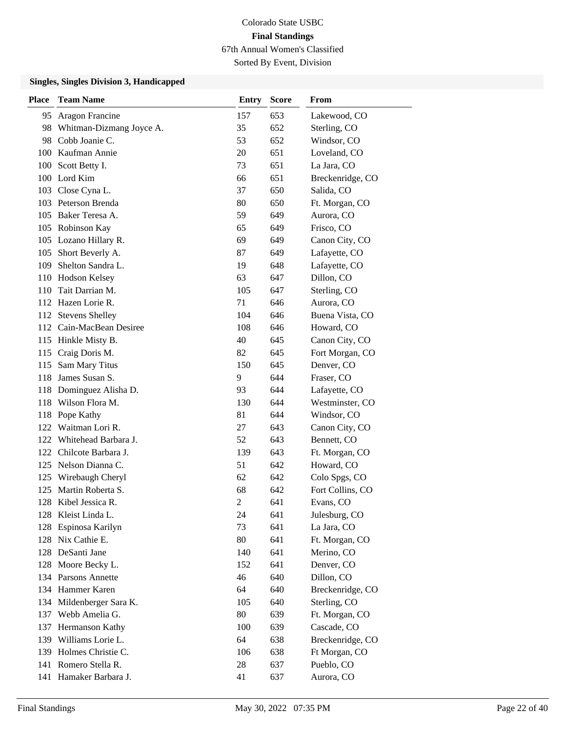Sorted By Event, Division

| <b>Place</b> | <b>Team Name</b>         | <b>Entry</b> | <b>Score</b> | From             |
|--------------|--------------------------|--------------|--------------|------------------|
| 95           | Aragon Francine          | 157          | 653          | Lakewood, CO     |
| 98           | Whitman-Dizmang Joyce A. | 35           | 652          | Sterling, CO     |
|              | 98 Cobb Joanie C.        | 53           | 652          | Windsor, CO      |
|              | 100 Kaufman Annie        | 20           | 651          | Loveland, CO     |
|              | 100 Scott Betty I.       | 73           | 651          | La Jara, CO      |
|              | 100 Lord Kim             | 66           | 651          | Breckenridge, CO |
|              | 103 Close Cyna L.        | 37           | 650          | Salida, CO       |
|              | 103 Peterson Brenda      | 80           | 650          | Ft. Morgan, CO   |
|              | 105 Baker Teresa A.      | 59           | 649          | Aurora, CO       |
|              | 105 Robinson Kay         | 65           | 649          | Frisco, CO       |
|              | 105 Lozano Hillary R.    | 69           | 649          | Canon City, CO   |
|              | 105 Short Beverly A.     | 87           | 649          | Lafayette, CO    |
| 109          | Shelton Sandra L.        | 19           | 648          | Lafayette, CO    |
|              | 110 Hodson Kelsey        | 63           | 647          | Dillon, CO       |
| 110          | Tait Darrian M.          | 105          | 647          | Sterling, CO     |
|              | 112 Hazen Lorie R.       | 71           | 646          | Aurora, CO       |
|              | 112 Stevens Shelley      | 104          | 646          | Buena Vista, CO  |
|              | 112 Cain-MacBean Desiree | 108          | 646          | Howard, CO       |
|              | 115 Hinkle Misty B.      | 40           | 645          | Canon City, CO   |
|              | 115 Craig Doris M.       | 82           | 645          | Fort Morgan, CO  |
| 115          | Sam Mary Titus           | 150          | 645          | Denver, CO       |
|              | 118 James Susan S.       | 9            | 644          | Fraser, CO       |
|              | 118 Dominguez Alisha D.  | 93           | 644          | Lafayette, CO    |
|              | 118 Wilson Flora M.      | 130          | 644          | Westminster, CO  |
|              | 118 Pope Kathy           | 81           | 644          | Windsor, CO      |
|              | 122 Waitman Lori R.      | 27           | 643          | Canon City, CO   |
|              | 122 Whitehead Barbara J. | 52           | 643          | Bennett, CO      |
|              | 122 Chilcote Barbara J.  | 139          | 643          | Ft. Morgan, CO   |
|              | 125 Nelson Dianna C.     | 51           | 642          | Howard, CO       |
|              | 125 Wirebaugh Cheryl     | 62           | 642          | Colo Spgs, CO    |
|              | 125 Martin Roberta S.    | 68           | 642          | Fort Collins, CO |
| 128          | Kibel Jessica R.         | 2            | 641          | Evans, CO        |
|              | 128 Kleist Linda L.      | 24           | 641          | Julesburg, CO    |
|              | 128 Espinosa Karilyn     | 73           | 641          | La Jara, CO      |
|              | 128 Nix Cathie E.        | 80           | 641          | Ft. Morgan, CO   |
|              | 128 DeSanti Jane         | 140          | 641          | Merino, CO       |
|              | 128 Moore Becky L.       | 152          | 641          | Denver, CO       |
|              | 134 Parsons Annette      | 46           | 640          | Dillon, CO       |
|              | 134 Hammer Karen         | 64           | 640          | Breckenridge, CO |
|              | 134 Mildenberger Sara K. | 105          | 640          | Sterling, CO     |
|              | 137 Webb Amelia G.       | 80           | 639          | Ft. Morgan, CO   |
|              | 137 Hermanson Kathy      | 100          | 639          | Cascade, CO      |
|              | 139 Williams Lorie L.    | 64           | 638          | Breckenridge, CO |
|              | 139 Holmes Christie C.   | 106          | 638          | Ft Morgan, CO    |
|              | 141 Romero Stella R.     | 28           | 637          | Pueblo, CO       |
|              | 141 Hamaker Barbara J.   | 41           | 637          | Aurora, CO       |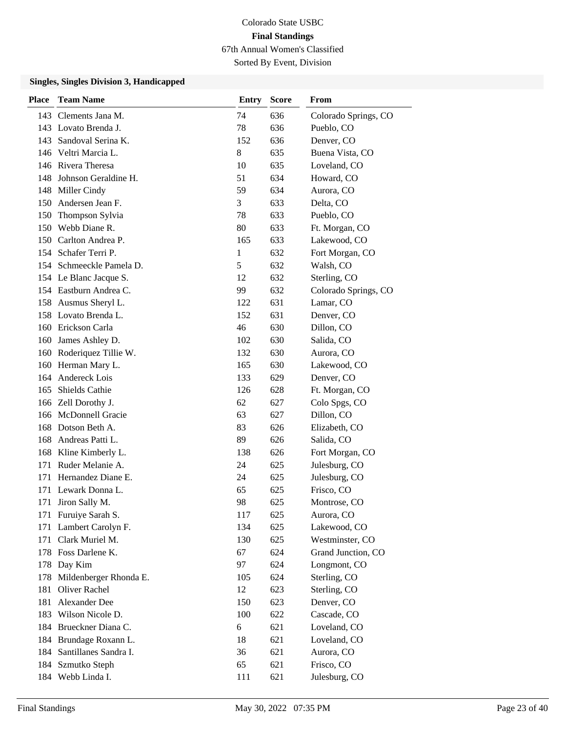Sorted By Event, Division

| <b>Place</b> | <b>Team Name</b>         | <b>Entry</b> | <b>Score</b> | From                 |
|--------------|--------------------------|--------------|--------------|----------------------|
|              | 143 Clements Jana M.     | 74           | 636          | Colorado Springs, CO |
|              | 143 Lovato Brenda J.     | 78           | 636          | Pueblo, CO           |
| 143          | Sandoval Serina K.       | 152          | 636          | Denver, CO           |
|              | 146 Veltri Marcia L.     | 8            | 635          | Buena Vista, CO      |
|              | 146 Rivera Theresa       | 10           | 635          | Loveland, CO         |
| 148          | Johnson Geraldine H.     | 51           | 634          | Howard, CO           |
|              | 148 Miller Cindy         | 59           | 634          | Aurora, CO           |
|              | 150 Andersen Jean F.     | 3            | 633          | Delta, CO            |
| 150          | Thompson Sylvia          | 78           | 633          | Pueblo, CO           |
|              | 150 Webb Diane R.        | 80           | 633          | Ft. Morgan, CO       |
|              | 150 Carlton Andrea P.    | 165          | 633          | Lakewood, CO         |
|              | 154 Schafer Terri P.     | 1            | 632          | Fort Morgan, CO      |
|              | 154 Schmeeckle Pamela D. | 5            | 632          | Walsh, CO            |
|              | 154 Le Blanc Jacque S.   | 12           | 632          | Sterling, CO         |
|              | 154 Eastburn Andrea C.   | 99           | 632          | Colorado Springs, CO |
|              | 158 Ausmus Sheryl L.     | 122          | 631          | Lamar, CO            |
|              | 158 Lovato Brenda L.     | 152          | 631          | Denver, CO           |
|              | 160 Erickson Carla       | 46           | 630          | Dillon, CO           |
| 160          | James Ashley D.          | 102          | 630          | Salida, CO           |
|              | 160 Roderiquez Tillie W. | 132          | 630          | Aurora, CO           |
| 160          | Herman Mary L.           | 165          | 630          | Lakewood, CO         |
| 164          | Andereck Lois            | 133          | 629          | Denver, CO           |
| 165          | Shields Cathie           | 126          | 628          | Ft. Morgan, CO       |
|              | 166 Zell Dorothy J.      | 62           | 627          | Colo Spgs, CO        |
|              | 166 McDonnell Gracie     | 63           | 627          | Dillon, CO           |
| 168          | Dotson Beth A.           | 83           | 626          | Elizabeth, CO        |
|              | 168 Andreas Patti L.     | 89           | 626          | Salida, CO           |
|              | 168 Kline Kimberly L.    | 138          | 626          | Fort Morgan, CO      |
| 171          | Ruder Melanie A.         | 24           | 625          | Julesburg, CO        |
| 171          | Hernandez Diane E.       | 24           | 625          | Julesburg, CO        |
|              | 171 Lewark Donna L.      | 65           | 625          | Frisco, CO           |
| 171          | Jiron Sally M.           | 98           | 625          | Montrose, CO         |
|              | 171 Furuiye Sarah S.     | 117          | 625          | Aurora, CO           |
| 171          | Lambert Carolyn F.       | 134          | 625          | Lakewood, CO         |
| 171          | Clark Muriel M.          | 130          | 625          | Westminster, CO      |
|              | 178 Foss Darlene K.      | 67           | 624          | Grand Junction, CO   |
| 178          | Day Kim                  | 97           | 624          | Longmont, CO         |
| 178          | Mildenberger Rhonda E.   | 105          | 624          | Sterling, CO         |
| 181          | Oliver Rachel            | 12           | 623          | Sterling, CO         |
| 181          | Alexander Dee            | 150          | 623          | Denver, CO           |
| 183          | Wilson Nicole D.         | 100          | 622          | Cascade, CO          |
| 184          | Brueckner Diana C.       | 6            | 621          | Loveland, CO         |
| 184          | Brundage Roxann L.       | 18           | 621          | Loveland, CO         |
| 184          | Santillanes Sandra I.    | 36           | 621          | Aurora, CO           |
| 184          | Szmutko Steph            | 65           | 621          | Frisco, CO           |
| 184          | Webb Linda I.            | 111          | 621          | Julesburg, CO        |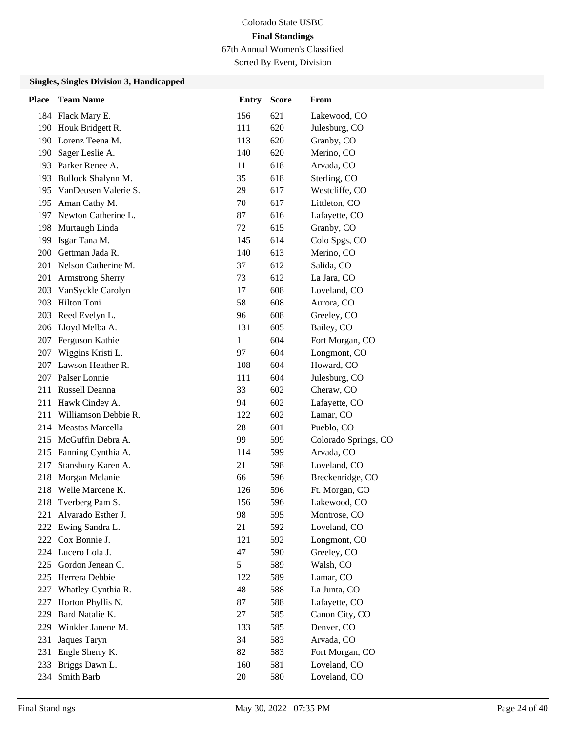Sorted By Event, Division

| <b>Place</b> | <b>Team Name</b>         | <b>Entry</b> | <b>Score</b> | From                 |
|--------------|--------------------------|--------------|--------------|----------------------|
|              | 184 Flack Mary E.        | 156          | 621          | Lakewood, CO         |
|              | 190 Houk Bridgett R.     | 111          | 620          | Julesburg, CO        |
|              | 190 Lorenz Teena M.      | 113          | 620          | Granby, CO           |
|              | 190 Sager Leslie A.      | 140          | 620          | Merino, CO           |
|              | 193 Parker Renee A.      | 11           | 618          | Arvada, CO           |
| 193          | Bullock Shalynn M.       | 35           | 618          | Sterling, CO         |
|              | 195 VanDeusen Valerie S. | 29           | 617          | Westcliffe, CO       |
| 195          | Aman Cathy M.            | 70           | 617          | Littleton, CO        |
|              | 197 Newton Catherine L.  | 87           | 616          | Lafayette, CO        |
| 198          | Murtaugh Linda           | 72           | 615          | Granby, CO           |
| 199          | Isgar Tana M.            | 145          | 614          | Colo Spgs, CO        |
|              | 200 Gettman Jada R.      | 140          | 613          | Merino, CO           |
|              | 201 Nelson Catherine M.  | 37           | 612          | Salida, CO           |
| 201          | <b>Armstrong Sherry</b>  | 73           | 612          | La Jara, CO          |
| 203          | VanSyckle Carolyn        | 17           | 608          | Loveland, CO         |
| 203          | Hilton Toni              | 58           | 608          | Aurora, CO           |
| 203          | Reed Evelyn L.           | 96           | 608          | Greeley, CO          |
|              | 206 Lloyd Melba A.       | 131          | 605          | Bailey, CO           |
| 207          | Ferguson Kathie          | 1            | 604          | Fort Morgan, CO      |
| 207          | Wiggins Kristi L.        | 97           | 604          | Longmont, CO         |
| 207          | Lawson Heather R.        | 108          | 604          | Howard, CO           |
|              | 207 Palser Lonnie        | 111          | 604          | Julesburg, CO        |
|              | 211 Russell Deanna       | 33           | 602          | Cheraw, CO           |
|              | 211 Hawk Cindey A.       | 94           | 602          | Lafayette, CO        |
| 211          | Williamson Debbie R.     | 122          | 602          | Lamar, CO            |
| 214          | Meastas Marcella         | 28           | 601          | Pueblo, CO           |
| 215          | McGuffin Debra A.        | 99           | 599          | Colorado Springs, CO |
| 215          | Fanning Cynthia A.       | 114          | 599          | Arvada, CO           |
| 217          | Stansbury Karen A.       | 21           | 598          | Loveland, CO         |
| 218          | Morgan Melanie           | 66           | 596          | Breckenridge, CO     |
| 218          | Welle Marcene K.         | 126          | 596          | Ft. Morgan, CO       |
| 218          | Tverberg Pam S.          | 156          | 596          | Lakewood, CO         |
| 221          | Alvarado Esther J.       | 98           | 595          | Montrose, CO         |
| 222          | Ewing Sandra L.          | 21           | 592          | Loveland, CO         |
|              | 222 Cox Bonnie J.        | 121          | 592          | Longmont, CO         |
|              | 224 Lucero Lola J.       | 47           | 590          | Greeley, CO          |
| 225          | Gordon Jenean C.         | 5            | 589          | Walsh, CO            |
| 225          | Herrera Debbie           | 122          | 589          | Lamar, CO            |
| 227          | Whatley Cynthia R.       | 48           | 588          | La Junta, CO         |
| 227          | Horton Phyllis N.        | 87           | 588          | Lafayette, CO        |
| 229          | Bard Natalie K.          | 27           | 585          | Canon City, CO       |
| 229          | Winkler Janene M.        | 133          | 585          | Denver, CO           |
| 231          | Jaques Taryn             | 34           | 583          | Arvada, CO           |
| 231          | Engle Sherry K.          | 82           | 583          | Fort Morgan, CO      |
| 233          | Briggs Dawn L.           | 160          | 581          | Loveland, CO         |
| 234          | Smith Barb               | 20           | 580          | Loveland, CO         |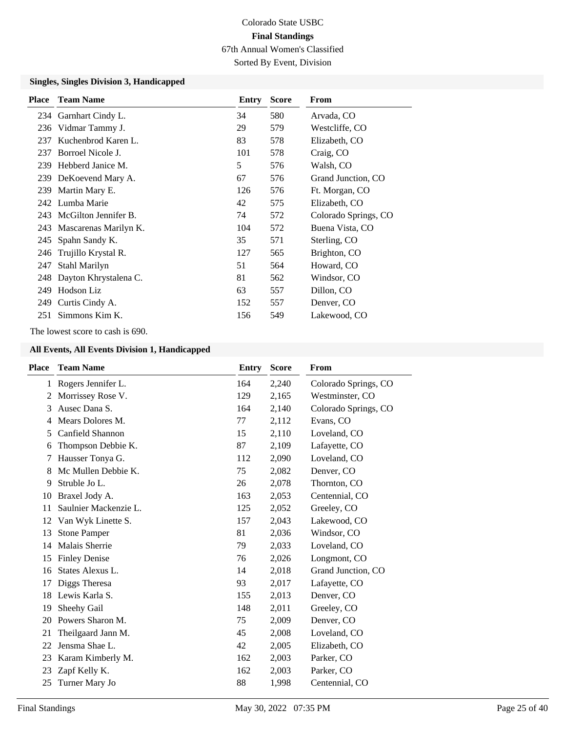Sorted By Event, Division

#### **Singles, Singles Division 3, Handicapped**

| <b>Place</b> | <b>Team Name</b>          | Entry | <b>Score</b> | From                 |
|--------------|---------------------------|-------|--------------|----------------------|
|              | 234 Garnhart Cindy L.     | 34    | 580          | Arvada, CO           |
| 236          | Vidmar Tammy J.           | 29    | 579          | Westcliffe, CO       |
| 237          | Kuchenbrod Karen L.       | 83    | 578          | Elizabeth, CO        |
| 237          | Borroel Nicole J.         | 101   | 578          | Craig, CO            |
|              | 239 Hebberd Janice M.     | 5     | 576          | Walsh, CO            |
|              | 239 DeKoevend Mary A.     | 67    | 576          | Grand Junction, CO   |
|              | 239 Martin Mary E.        | 126   | 576          | Ft. Morgan, CO       |
|              | 242 Lumba Marie           | 42    | 575          | Elizabeth, CO        |
|              | 243 McGilton Jennifer B.  | 74    | 572          | Colorado Springs, CO |
|              | 243 Mascarenas Marilyn K. | 104   | 572          | Buena Vista, CO      |
|              | 245 Spahn Sandy K.        | 35    | 571          | Sterling, CO         |
| 246          | Trujillo Krystal R.       | 127   | 565          | Brighton, CO         |
| 247          | Stahl Marilyn             | 51    | 564          | Howard, CO           |
|              | 248 Dayton Khrystalena C. | 81    | 562          | Windsor, CO          |
| 249          | Hodson Liz                | 63    | 557          | Dillon, CO           |
| 249.         | Curtis Cindy A.           | 152   | 557          | Denver, CO           |
| 251          | Simmons Kim K.            | 156   | 549          | Lakewood, CO         |

The lowest score to cash is 690.

| <b>Place</b> | <b>Team Name</b>      | Entry | <b>Score</b> | From                 |
|--------------|-----------------------|-------|--------------|----------------------|
|              | 1 Rogers Jennifer L.  | 164   | 2,240        | Colorado Springs, CO |
| 2            | Morrissey Rose V.     | 129   | 2,165        | Westminster, CO      |
| 3            | Ausec Dana S.         | 164   | 2,140        | Colorado Springs, CO |
| 4            | Mears Dolores M.      | 77    | 2,112        | Evans, CO            |
| 5            | Canfield Shannon      | 15    | 2,110        | Loveland, CO         |
| 6            | Thompson Debbie K.    | 87    | 2,109        | Lafayette, CO        |
| 7            | Hausser Tonya G.      | 112   | 2,090        | Loveland, CO         |
| 8            | Mc Mullen Debbie K.   | 75    | 2,082        | Denver, CO           |
| 9            | Struble Jo L.         | 26    | 2,078        | Thornton, CO         |
| 10           | Braxel Jody A.        | 163   | 2,053        | Centennial, CO       |
| 11           | Saulnier Mackenzie L. | 125   | 2,052        | Greeley, CO          |
| 12           | Van Wyk Linette S.    | 157   | 2,043        | Lakewood, CO         |
| 13           | <b>Stone Pamper</b>   | 81    | 2,036        | Windsor, CO          |
| 14           | Malais Sherrie        | 79    | 2,033        | Loveland, CO         |
| 15           | <b>Finley Denise</b>  | 76    | 2,026        | Longmont, CO         |
| 16           | States Alexus L.      | 14    | 2,018        | Grand Junction, CO   |
| 17           | Diggs Theresa         | 93    | 2,017        | Lafayette, CO        |
| 18           | Lewis Karla S.        | 155   | 2,013        | Denver, CO           |
| 19           | Sheehy Gail           | 148   | 2,011        | Greeley, CO          |
| 20           | Powers Sharon M.      | 75    | 2,009        | Denver, CO           |
| 21           | Theilgaard Jann M.    | 45    | 2,008        | Loveland, CO         |
| 22           | Jensma Shae L.        | 42    | 2,005        | Elizabeth, CO        |
| 23           | Karam Kimberly M.     | 162   | 2,003        | Parker, CO           |
| 23           | Zapf Kelly K.         | 162   | 2,003        | Parker, CO           |
| 25           | Turner Mary Jo        | 88    | 1,998        | Centennial, CO       |
|              |                       |       |              |                      |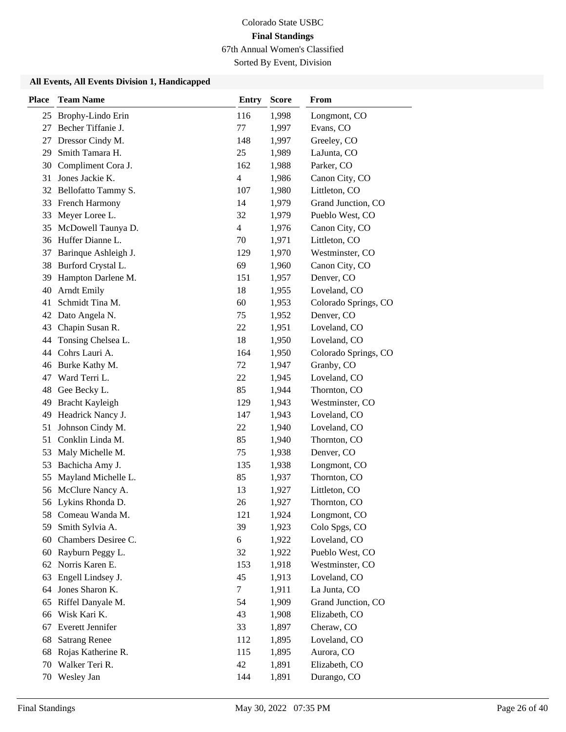Sorted By Event, Division

| <b>Place</b> | <b>Team Name</b>        | <b>Entry</b>             | <b>Score</b> | From                 |
|--------------|-------------------------|--------------------------|--------------|----------------------|
| 25           | Brophy-Lindo Erin       | 116                      | 1,998        | Longmont, CO         |
| 27           | Becher Tiffanie J.      | 77                       | 1,997        | Evans, CO            |
| 27           | Dressor Cindy M.        | 148                      | 1,997        | Greeley, CO          |
| 29           | Smith Tamara H.         | 25                       | 1,989        | LaJunta, CO          |
| 30           | Compliment Cora J.      | 162                      | 1,988        | Parker, CO           |
| 31           | Jones Jackie K.         | $\overline{\mathcal{L}}$ | 1,986        | Canon City, CO       |
|              | 32 Bellofatto Tammy S.  | 107                      | 1,980        | Littleton, CO        |
| 33           | <b>French Harmony</b>   | 14                       | 1,979        | Grand Junction, CO   |
| 33           | Meyer Loree L.          | 32                       | 1,979        | Pueblo West, CO      |
| 35           | McDowell Taunya D.      | $\overline{4}$           | 1,976        | Canon City, CO       |
|              | 36 Huffer Dianne L.     | 70                       | 1,971        | Littleton, CO        |
| 37           | Barinque Ashleigh J.    | 129                      | 1,970        | Westminster, CO      |
| 38           | Burford Crystal L.      | 69                       | 1,960        | Canon City, CO       |
| 39           | Hampton Darlene M.      | 151                      | 1,957        | Denver, CO           |
| 40           | <b>Arndt Emily</b>      | 18                       | 1,955        | Loveland, CO         |
| 41           | Schmidt Tina M.         | 60                       | 1,953        | Colorado Springs, CO |
| 42           | Dato Angela N.          | 75                       | 1,952        | Denver, CO           |
| 43           | Chapin Susan R.         | 22                       | 1,951        | Loveland, CO         |
| 44           | Tonsing Chelsea L.      | 18                       | 1,950        | Loveland, CO         |
| 44           | Cohrs Lauri A.          | 164                      | 1,950        | Colorado Springs, CO |
| 46           | Burke Kathy M.          | 72                       | 1,947        | Granby, CO           |
| 47           | Ward Terri L.           | 22                       | 1,945        | Loveland, CO         |
| 48           | Gee Becky L.            | 85                       | 1,944        | Thornton, CO         |
| 49           | Bracht Kayleigh         | 129                      | 1,943        | Westminster, CO      |
| 49           | Headrick Nancy J.       | 147                      | 1,943        | Loveland, CO         |
| 51           | Johnson Cindy M.        | 22                       | 1,940        | Loveland, CO         |
| 51           | Conklin Linda M.        | 85                       | 1,940        | Thornton, CO         |
| 53           | Maly Michelle M.        | 75                       | 1,938        | Denver, CO           |
| 53           | Bachicha Amy J.         | 135                      | 1,938        | Longmont, CO         |
| 55           | Mayland Michelle L.     | 85                       | 1,937        | Thornton, CO         |
| 56           | McClure Nancy A.        | 13                       | 1,927        | Littleton, CO        |
|              | 56 Lykins Rhonda D.     | 26                       | 1,927        | Thornton, CO         |
| 58           | Comeau Wanda M.         | 121                      | 1,924        | Longmont, CO         |
| 59           | Smith Sylvia A.         | 39                       | 1,923        | Colo Spgs, CO        |
| 60           | Chambers Desiree C.     | 6                        | 1,922        | Loveland, CO         |
| 60           | Rayburn Peggy L.        | 32                       | 1,922        | Pueblo West, CO      |
| 62           | Norris Karen E.         | 153                      | 1,918        | Westminster, CO      |
| 63           | Engell Lindsey J.       | 45                       | 1,913        | Loveland, CO         |
| 64           | Jones Sharon K.         | $\tau$                   | 1,911        | La Junta, CO         |
| 65           | Riffel Danyale M.       | 54                       | 1,909        | Grand Junction, CO   |
| 66           | Wisk Kari K.            | 43                       | 1,908        | Elizabeth, CO        |
| 67           | <b>Everett Jennifer</b> | 33                       | 1,897        | Cheraw, CO           |
| 68           | <b>Satrang Renee</b>    | 112                      | 1,895        | Loveland, CO         |
| 68           | Rojas Katherine R.      | 115                      | 1,895        | Aurora, CO           |
| 70           | Walker Teri R.          | 42                       | 1,891        | Elizabeth, CO        |
|              | 70 Wesley Jan           | 144                      | 1,891        | Durango, CO          |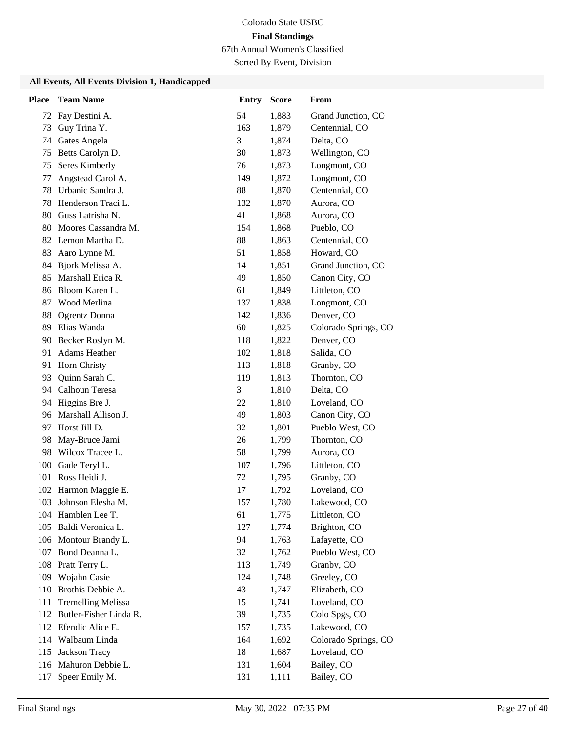Sorted By Event, Division

| <b>Place</b> | <b>Team Name</b>          | <b>Entry</b> | <b>Score</b> | From                 |
|--------------|---------------------------|--------------|--------------|----------------------|
| 72           | Fay Destini A.            | 54           | 1,883        | Grand Junction, CO   |
| 73           | Guy Trina Y.              | 163          | 1,879        | Centennial, CO       |
| 74           | Gates Angela              | 3            | 1,874        | Delta, CO            |
| 75           | Betts Carolyn D.          | 30           | 1,873        | Wellington, CO       |
| 75           | Seres Kimberly            | 76           | 1,873        | Longmont, CO         |
| 77           | Angstead Carol A.         | 149          | 1,872        | Longmont, CO         |
| 78           | Urbanic Sandra J.         | 88           | 1,870        | Centennial, CO       |
| 78           | Henderson Traci L.        | 132          | 1,870        | Aurora, CO           |
| 80           | Guss Latrisha N.          | 41           | 1,868        | Aurora, CO           |
| 80           | Moores Cassandra M.       | 154          | 1,868        | Pueblo, CO           |
|              | 82 Lemon Martha D.        | 88           | 1,863        | Centennial, CO       |
| 83           | Aaro Lynne M.             | 51           | 1,858        | Howard, CO           |
| 84           | Bjork Melissa A.          | 14           | 1,851        | Grand Junction, CO   |
| 85           | Marshall Erica R.         | 49           | 1,850        | Canon City, CO       |
| 86           | Bloom Karen L.            | 61           | 1,849        | Littleton, CO        |
| 87           | Wood Merlina              | 137          | 1,838        | Longmont, CO         |
| 88           | Ogrentz Donna             | 142          | 1,836        | Denver, CO           |
| 89           | Elias Wanda               | 60           | 1,825        | Colorado Springs, CO |
| 90           | Becker Roslyn M.          | 118          | 1,822        | Denver, CO           |
| 91           | Adams Heather             | 102          | 1,818        | Salida, CO           |
| 91           | Horn Christy              | 113          | 1,818        | Granby, CO           |
| 93           | Quinn Sarah C.            | 119          | 1,813        | Thornton, CO         |
|              | 94 Calhoun Teresa         | 3            | 1,810        | Delta, CO            |
| 94           | Higgins Bre J.            | 22           | 1,810        | Loveland, CO         |
| 96           | Marshall Allison J.       | 49           | 1,803        | Canon City, CO       |
| 97           | Horst Jill D.             | 32           | 1,801        | Pueblo West, CO      |
| 98           | May-Bruce Jami            | 26           | 1,799        | Thornton, CO         |
| 98           | Wilcox Tracee L.          | 58           | 1,799        | Aurora, CO           |
| 100          | Gade Teryl L.             | 107          | 1,796        | Littleton, CO        |
| 101          | Ross Heidi J.             | 72           | 1,795        | Granby, CO           |
| 102          | Harmon Maggie E.          | 17           | 1,792        | Loveland, CO         |
| 103          | Johnson Elesha M.         | 157          | 1,780        | Lakewood, CO         |
|              | 104 Hamblen Lee T.        | 61           | 1,775        | Littleton, CO        |
|              | 105 Baldi Veronica L.     | 127          | 1,774        | Brighton, CO         |
|              | 106 Montour Brandy L.     | 94           | 1,763        | Lafayette, CO        |
|              | 107 Bond Deanna L.        | 32           | 1,762        | Pueblo West, CO      |
| 108          | Pratt Terry L.            | 113          | 1,749        | Granby, CO           |
| 109          | Wojahn Casie              | 124          | 1,748        | Greeley, CO          |
| 110          | Brothis Debbie A.         | 43           | 1,747        | Elizabeth, CO        |
| 111          | <b>Tremelling Melissa</b> | 15           | 1,741        | Loveland, CO         |
| 112          | Butler-Fisher Linda R.    | 39           | 1,735        | Colo Spgs, CO        |
|              | 112 Efendic Alice E.      | 157          | 1,735        | Lakewood, CO         |
| 114          | Walbaum Linda             | 164          | 1,692        | Colorado Springs, CO |
| 115          | Jackson Tracy             | 18           | 1,687        | Loveland, CO         |
|              | 116 Mahuron Debbie L.     | 131          | 1,604        | Bailey, CO           |
| 117          | Speer Emily M.            | 131          | 1,111        | Bailey, CO           |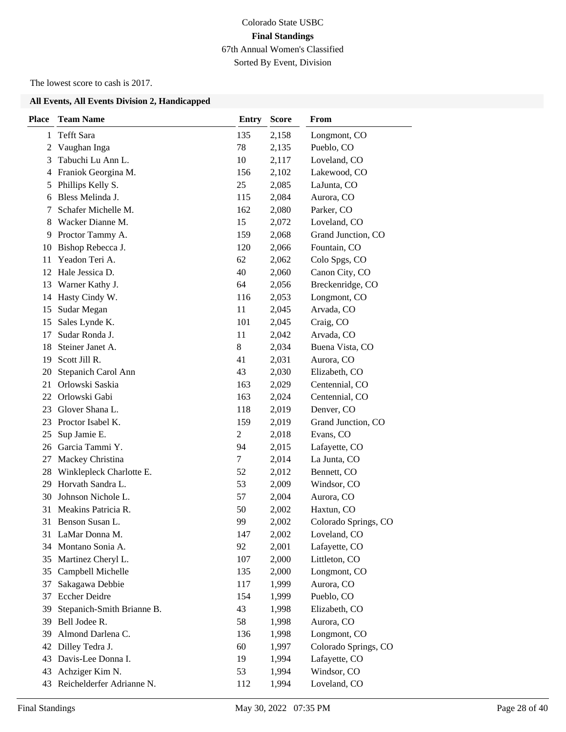## Colorado State USBC **Final Standings** 67th Annual Women's Classified Sorted By Event, Division

The lowest score to cash is 2017.

| <b>Place</b> | <b>Team Name</b>           | <b>Entry</b>   | <b>Score</b> | From                 |
|--------------|----------------------------|----------------|--------------|----------------------|
| 1            | <b>Tefft Sara</b>          | 135            | 2,158        | Longmont, CO         |
| 2            | Vaughan Inga               | 78             | 2,135        | Pueblo, CO           |
| 3            | Tabuchi Lu Ann L.          | 10             | 2,117        | Loveland, CO         |
| 4            | Franiok Georgina M.        | 156            | 2,102        | Lakewood, CO         |
| 5            | Phillips Kelly S.          | 25             | 2,085        | LaJunta, CO          |
| 6            | Bless Melinda J.           | 115            | 2,084        | Aurora, CO           |
| 7            | Schafer Michelle M.        | 162            | 2,080        | Parker, CO           |
| 8            | Wacker Dianne M.           | 15             | 2,072        | Loveland, CO         |
| 9            | Proctor Tammy A.           | 159            | 2,068        | Grand Junction, CO   |
| 10           | Bishop Rebecca J.          | 120            | 2,066        | Fountain, CO         |
| 11           | Yeadon Teri A.             | 62             | 2,062        | Colo Spgs, CO        |
| 12           | Hale Jessica D.            | 40             | 2,060        | Canon City, CO       |
| 13           | Warner Kathy J.            | 64             | 2,056        | Breckenridge, CO     |
| 14           | Hasty Cindy W.             | 116            | 2,053        | Longmont, CO         |
| 15           | Sudar Megan                | 11             | 2,045        | Arvada, CO           |
| 15           | Sales Lynde K.             | 101            | 2,045        | Craig, CO            |
| 17           | Sudar Ronda J.             | 11             | 2,042        | Arvada, CO           |
| 18           | Steiner Janet A.           | 8              | 2,034        | Buena Vista, CO      |
| 19           | Scott Jill R.              | 41             | 2,031        | Aurora, CO           |
| 20           | Stepanich Carol Ann        | 43             | 2,030        | Elizabeth, CO        |
| 21           | Orlowski Saskia            | 163            | 2,029        | Centennial, CO       |
| 22           | Orlowski Gabi              | 163            | 2,024        | Centennial, CO       |
| 23           | Glover Shana L.            | 118            | 2,019        | Denver, CO           |
| 23           | Proctor Isabel K.          | 159            | 2,019        | Grand Junction, CO   |
| 25           | Sup Jamie E.               | $\overline{c}$ | 2,018        | Evans, CO            |
| 26           | Garcia Tammi Y.            | 94             | 2,015        | Lafayette, CO        |
| 27           | Mackey Christina           | 7              | 2,014        | La Junta, CO         |
| 28           | Winklepleck Charlotte E.   | 52             | 2,012        | Bennett, CO          |
| 29           | Horvath Sandra L.          | 53             | 2,009        | Windsor, CO          |
| 30           | Johnson Nichole L.         | 57             | 2,004        | Aurora, CO           |
| 31           | Meakins Patricia R.        | 50             | 2,002        | Haxtun, CO           |
| 31           | Benson Susan L.            | 99             | 2,002        | Colorado Springs, CO |
|              | 31 LaMar Donna M.          | 147            | 2,002        | Loveland, CO         |
|              | 34 Montano Sonia A.        | 92             | 2,001        | Lafayette, CO        |
| 35           | Martinez Cheryl L.         | 107            | 2,000        | Littleton, CO        |
| 35           | Campbell Michelle          | 135            | 2,000        | Longmont, CO         |
| 37           | Sakagawa Debbie            | 117            | 1,999        | Aurora, CO           |
| 37           | <b>Eccher Deidre</b>       | 154            | 1,999        | Pueblo, CO           |
| 39           | Stepanich-Smith Brianne B. | 43             | 1,998        | Elizabeth, CO        |
| 39           | Bell Jodee R.              | 58             | 1,998        | Aurora, CO           |
| 39           | Almond Darlena C.          | 136            | 1,998        | Longmont, CO         |
| 42           | Dilley Tedra J.            | 60             | 1,997        | Colorado Springs, CO |
| 43           | Davis-Lee Donna I.         | 19             | 1,994        | Lafayette, CO        |
| 43           | Achziger Kim N.            | 53             | 1,994        | Windsor, CO          |
| 43           | Reichelderfer Adrianne N.  | 112            | 1,994        | Loveland, CO         |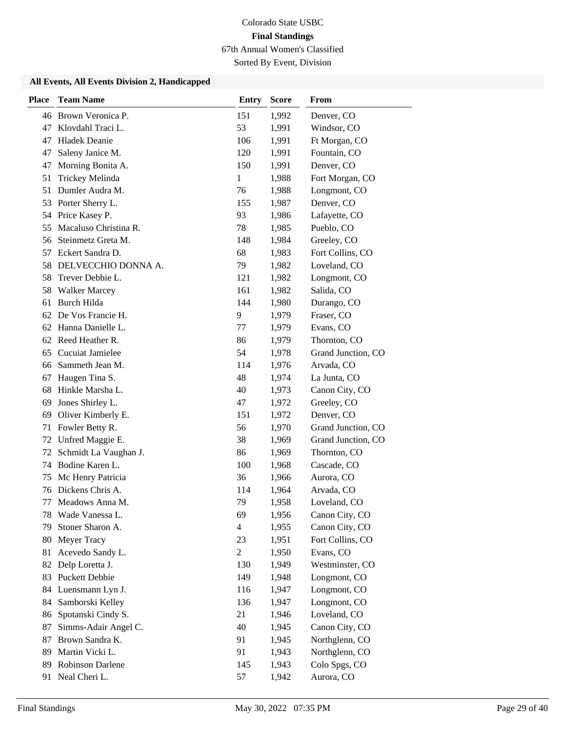Sorted By Event, Division

| <b>Place</b> | <b>Team Name</b>      | <b>Entry</b>   | <b>Score</b> | From               |
|--------------|-----------------------|----------------|--------------|--------------------|
|              | 46 Brown Veronica P.  | 151            | 1,992        | Denver, CO         |
| 47           | Klovdahl Traci L.     | 53             | 1,991        | Windsor, CO        |
| 47           | <b>Hladek Deanie</b>  | 106            | 1,991        | Ft Morgan, CO      |
| 47           | Saleny Janice M.      | 120            | 1,991        | Fountain, CO       |
| 47           | Morning Bonita A.     | 150            | 1,991        | Denver, CO         |
| 51           | Trickey Melinda       | $\mathbf{1}$   | 1,988        | Fort Morgan, CO    |
| 51           | Dumler Audra M.       | 76             | 1,988        | Longmont, CO       |
| 53           | Porter Sherry L.      | 155            | 1,987        | Denver, CO         |
|              | 54 Price Kasey P.     | 93             | 1,986        | Lafayette, CO      |
| 55           | Macaluso Christina R. | 78             | 1,985        | Pueblo, CO         |
| 56           | Steinmetz Greta M.    | 148            | 1,984        | Greeley, CO        |
| 57           | Eckert Sandra D.      | 68             | 1,983        | Fort Collins, CO   |
| 58           | DELVECCHIO DONNA A.   | 79             | 1,982        | Loveland, CO       |
| 58           | Trever Debbie L.      | 121            | 1,982        | Longmont, CO       |
| 58           | <b>Walker Marcey</b>  | 161            | 1,982        | Salida, CO         |
| 61           | Burch Hilda           | 144            | 1,980        | Durango, CO        |
| 62           | De Vos Francie H.     | 9              | 1,979        | Fraser, CO         |
| 62           | Hanna Danielle L.     | 77             | 1,979        | Evans, CO          |
| 62           | Reed Heather R.       | 86             | 1,979        | Thornton, CO       |
| 65           | Cucuiat Jamielee      | 54             | 1,978        | Grand Junction, CO |
| 66           | Sammeth Jean M.       | 114            | 1,976        | Arvada, CO         |
| 67           | Haugen Tina S.        | 48             | 1,974        | La Junta, CO       |
| 68           | Hinkle Marsha L.      | 40             | 1,973        | Canon City, CO     |
| 69           | Jones Shirley L.      | 47             | 1,972        | Greeley, CO        |
| 69           | Oliver Kimberly E.    | 151            | 1,972        | Denver, CO         |
| 71           | Fowler Betty R.       | 56             | 1,970        | Grand Junction, CO |
| 72           | Unfred Maggie E.      | 38             | 1,969        | Grand Junction, CO |
| 72           | Schmidt La Vaughan J. | 86             | 1,969        | Thornton, CO       |
| 74           | Bodine Karen L.       | 100            | 1,968        | Cascade, CO        |
| 75           | Mc Henry Patricia     | 36             | 1,966        | Aurora, CO         |
| 76           | Dickens Chris A.      | 114            | 1,964        | Arvada, CO         |
| 77           | Meadows Anna M.       | 79             | 1,958        | Loveland, CO       |
| 78           | Wade Vanessa L.       | 69             | 1,956        | Canon City, CO     |
| 79           | Stoner Sharon A.      | $\overline{4}$ | 1,955        | Canon City, CO     |
| 80           | Meyer Tracy           | 23             | 1,951        | Fort Collins, CO   |
| 81           | Acevedo Sandy L.      | $\overline{2}$ | 1,950        | Evans, CO          |
| 82           | Delp Loretta J.       | 130            | 1,949        | Westminster, CO    |
| 83           | <b>Puckett Debbie</b> | 149            | 1,948        | Longmont, CO       |
| 84           | Luensmann Lyn J.      | 116            | 1,947        | Longmont, CO       |
| 84           | Samborski Kelley      | 136            | 1,947        | Longmont, CO       |
| 86           | Spotanski Cindy S.    | 21             | 1,946        | Loveland, CO       |
| 87           | Simms-Adair Angel C.  | 40             | 1,945        | Canon City, CO     |
| 87           | Brown Sandra K.       | 91             | 1,945        | Northglenn, CO     |
| 89           | Martin Vicki L.       | 91             | 1,943        | Northglenn, CO     |
| 89           | Robinson Darlene      | 145            | 1,943        | Colo Spgs, CO      |
| 91           | Neal Cheri L.         | 57             | 1,942        | Aurora, CO         |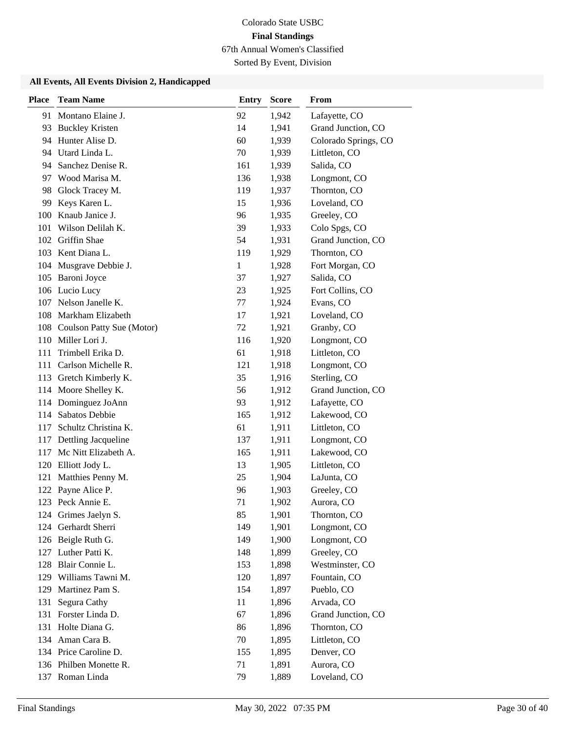Sorted By Event, Division

| <b>Place</b> | <b>Team Name</b>              | <b>Entry</b> | <b>Score</b> | From                 |
|--------------|-------------------------------|--------------|--------------|----------------------|
|              | 91 Montano Elaine J.          | 92           | 1,942        | Lafayette, CO        |
| 93           | <b>Buckley Kristen</b>        | 14           | 1,941        | Grand Junction, CO   |
|              | 94 Hunter Alise D.            | 60           | 1,939        | Colorado Springs, CO |
|              | 94 Utard Linda L.             | 70           | 1,939        | Littleton, CO        |
|              | 94 Sanchez Denise R.          | 161          | 1,939        | Salida, CO           |
|              | 97 Wood Marisa M.             | 136          | 1,938        | Longmont, CO         |
| 98           | Glock Tracey M.               | 119          | 1,937        | Thornton, CO         |
| 99           | Keys Karen L.                 | 15           | 1,936        | Loveland, CO         |
| 100          | Knaub Janice J.               | 96           | 1,935        | Greeley, CO          |
| 101          | Wilson Delilah K.             | 39           | 1,933        | Colo Spgs, CO        |
|              | 102 Griffin Shae              | 54           | 1,931        | Grand Junction, CO   |
|              | 103 Kent Diana L.             | 119          | 1,929        | Thornton, CO         |
|              | 104 Musgrave Debbie J.        | $\mathbf{1}$ | 1,928        | Fort Morgan, CO      |
|              | 105 Baroni Joyce              | 37           | 1,927        | Salida, CO           |
|              | 106 Lucio Lucy                | 23           | 1,925        | Fort Collins, CO     |
|              | 107 Nelson Janelle K.         | 77           | 1,924        | Evans, CO            |
|              | 108 Markham Elizabeth         | 17           | 1,921        | Loveland, CO         |
|              | 108 Coulson Patty Sue (Motor) | 72           | 1,921        | Granby, CO           |
|              | 110 Miller Lori J.            | 116          | 1,920        | Longmont, CO         |
| 111          | Trimbell Erika D.             | 61           | 1,918        | Littleton, CO        |
| 111          | Carlson Michelle R.           | 121          | 1,918        | Longmont, CO         |
|              | 113 Gretch Kimberly K.        | 35           | 1,916        | Sterling, CO         |
|              | 114 Moore Shelley K.          | 56           | 1,912        | Grand Junction, CO   |
|              | 114 Dominguez JoAnn           | 93           | 1,912        | Lafayette, CO        |
|              | 114 Sabatos Debbie            | 165          | 1,912        | Lakewood, CO         |
| 117          | Schultz Christina K.          | 61           | 1,911        | Littleton, CO        |
|              | 117 Dettling Jacqueline       | 137          | 1,911        | Longmont, CO         |
| 117          | Mc Nitt Elizabeth A.          | 165          | 1,911        | Lakewood, CO         |
|              | 120 Elliott Jody L.           | 13           | 1,905        | Littleton, CO        |
|              | 121 Matthies Penny M.         | 25           | 1,904        | LaJunta, CO          |
|              | 122 Payne Alice P.            | 96           | 1,903        | Greeley, CO          |
|              | 123 Peck Annie E.             | 71           | 1,902        | Aurora, CO           |
|              | 124 Grimes Jaelyn S.          | 85           | 1,901        | Thornton, CO         |
| 124          | Gerhardt Sherri               | 149          | 1,901        | Longmont, CO         |
|              | 126 Beigle Ruth G.            | 149          | 1,900        | Longmont, CO         |
|              | 127 Luther Patti K.           | 148          | 1,899        | Greeley, CO          |
| 128          | Blair Connie L.               | 153          | 1,898        | Westminster, CO      |
|              | 129 Williams Tawni M.         | 120          | 1,897        | Fountain, CO         |
| 129          | Martinez Pam S.               | 154          | 1,897        | Pueblo, CO           |
| 131          | Segura Cathy                  | 11           | 1,896        | Arvada, CO           |
| 131          | Forster Linda D.              | 67           | 1,896        | Grand Junction, CO   |
|              | 131 Holte Diana G.            | 86           | 1,896        | Thornton, CO         |
|              | 134 Aman Cara B.              | 70           | 1,895        | Littleton, CO        |
|              | 134 Price Caroline D.         | 155          | 1,895        | Denver, CO           |
|              | 136 Philben Monette R.        | 71           | 1,891        | Aurora, CO           |
|              | 137 Roman Linda               | 79           | 1,889        | Loveland, CO         |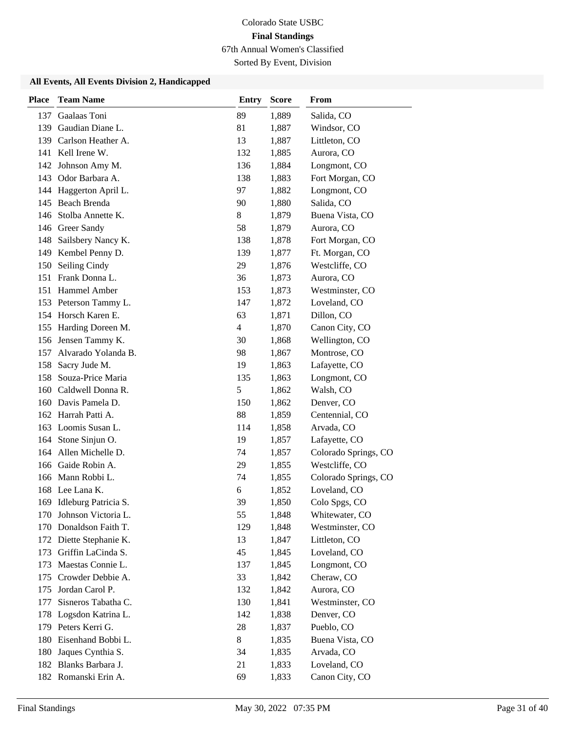Sorted By Event, Division

| <b>Place</b> | <b>Team Name</b>        | <b>Entry</b>   | <b>Score</b> | From                 |
|--------------|-------------------------|----------------|--------------|----------------------|
| 137          | Gaalaas Toni            | 89             | 1,889        | Salida, CO           |
| 139          | Gaudian Diane L.        | 81             | 1,887        | Windsor, CO          |
|              | 139 Carlson Heather A.  | 13             | 1,887        | Littleton, CO        |
| 141          | Kell Irene W.           | 132            | 1,885        | Aurora, CO           |
| 142          | Johnson Amy M.          | 136            | 1,884        | Longmont, CO         |
| 143          | Odor Barbara A.         | 138            | 1,883        | Fort Morgan, CO      |
|              | 144 Haggerton April L.  | 97             | 1,882        | Longmont, CO         |
| 145          | Beach Brenda            | 90             | 1,880        | Salida, CO           |
| 146          | Stolba Annette K.       | 8              | 1,879        | Buena Vista, CO      |
| 146          | Greer Sandy             | 58             | 1,879        | Aurora, CO           |
| 148          | Sailsbery Nancy K.      | 138            | 1,878        | Fort Morgan, CO      |
| 149          | Kembel Penny D.         | 139            | 1,877        | Ft. Morgan, CO       |
| 150          | Seiling Cindy           | 29             | 1,876        | Westcliffe, CO       |
| 151          | Frank Donna L.          | 36             | 1,873        | Aurora, CO           |
|              | 151 Hammel Amber        | 153            | 1,873        | Westminster, CO      |
|              | 153 Peterson Tammy L.   | 147            | 1,872        | Loveland, CO         |
|              | 154 Horsch Karen E.     | 63             | 1,871        | Dillon, CO           |
|              | 155 Harding Doreen M.   | $\overline{4}$ | 1,870        | Canon City, CO       |
|              | 156 Jensen Tammy K.     | 30             | 1,868        | Wellington, CO       |
| 157          | Alvarado Yolanda B.     | 98             | 1,867        | Montrose, CO         |
| 158          | Sacry Jude M.           | 19             | 1,863        | Lafayette, CO        |
| 158          | Souza-Price Maria       | 135            | 1,863        | Longmont, CO         |
|              | 160 Caldwell Donna R.   | 5              | 1,862        | Walsh, CO            |
|              | 160 Davis Pamela D.     | 150            | 1,862        | Denver, CO           |
|              | 162 Harrah Patti A.     | 88             | 1,859        | Centennial, CO       |
|              | 163 Loomis Susan L.     | 114            | 1,858        | Arvada, CO           |
|              | 164 Stone Sinjun O.     | 19             | 1,857        | Lafayette, CO        |
|              | 164 Allen Michelle D.   | 74             | 1,857        | Colorado Springs, CO |
|              | 166 Gaide Robin A.      | 29             | 1,855        | Westcliffe, CO       |
|              | 166 Mann Robbi L.       | 74             | 1,855        | Colorado Springs, CO |
|              | 168 Lee Lana K.         | 6              | 1,852        | Loveland, CO         |
| 169          | Idleburg Patricia S.    | 39             | 1,850        | Colo Spgs, CO        |
|              | 170 Johnson Victoria L. | 55             | 1,848        | Whitewater, CO       |
|              | 170 Donaldson Faith T.  | 129            | 1,848        | Westminster, CO      |
|              | 172 Diette Stephanie K. | 13             | 1,847        | Littleton, CO        |
|              | 173 Griffin LaCinda S.  | 45             | 1,845        | Loveland, CO         |
| 173          | Maestas Connie L.       | 137            | 1,845        | Longmont, CO         |
| 175          | Crowder Debbie A.       | 33             | 1,842        | Cheraw, CO           |
| 175          | Jordan Carol P.         | 132            | 1,842        | Aurora, CO           |
| 177          | Sisneros Tabatha C.     | 130            | 1,841        | Westminster, CO      |
| 178          | Logsdon Katrina L.      | 142            | 1,838        | Denver, CO           |
|              | 179 Peters Kerri G.     | 28             | 1,837        | Pueblo, CO           |
| 180          | Eisenhand Bobbi L.      | 8              | 1,835        | Buena Vista, CO      |
| 180          | Jaques Cynthia S.       | 34             | 1,835        | Arvada, CO           |
| 182          | Blanks Barbara J.       | 21             | 1,833        | Loveland, CO         |
|              | 182 Romanski Erin A.    | 69             | 1,833        | Canon City, CO       |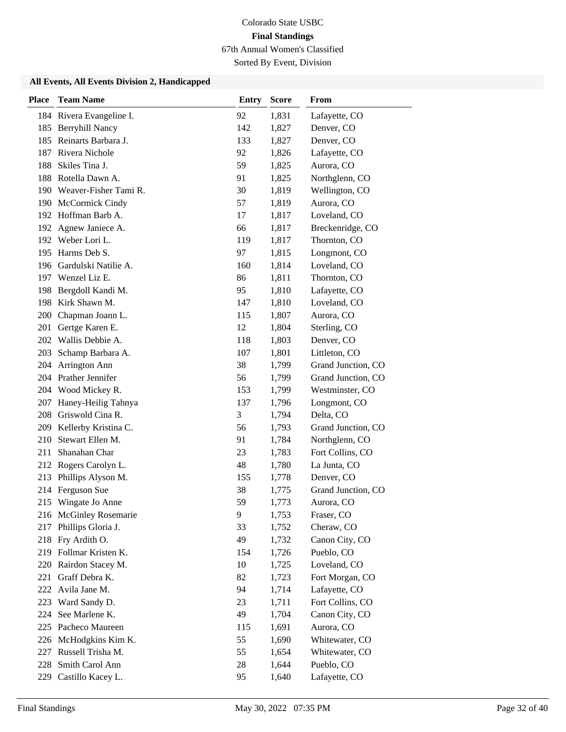Sorted By Event, Division

| <b>Place</b> | <b>Team Name</b>                     | <b>Entry</b> | <b>Score</b>   | <b>From</b>                      |
|--------------|--------------------------------------|--------------|----------------|----------------------------------|
|              | 184 Rivera Evangeline I.             | 92           | 1,831          | Lafayette, CO                    |
| 185          | <b>Berryhill Nancy</b>               | 142          | 1,827          | Denver, CO                       |
|              | 185 Reinarts Barbara J.              | 133          | 1,827          | Denver, CO                       |
|              | 187 Rivera Nichole                   | 92           | 1,826          | Lafayette, CO                    |
| 188          | Skiles Tina J.                       | 59           | 1,825          | Aurora, CO                       |
|              | 188 Rotella Dawn A.                  | 91           | 1,825          | Northglenn, CO                   |
|              | 190 Weaver-Fisher Tami R.            | 30           | 1,819          | Wellington, CO                   |
|              | 190 McCormick Cindy                  | 57           | 1,819          | Aurora, CO                       |
|              | 192 Hoffman Barb A.                  | 17           | 1,817          | Loveland, CO                     |
| 192          | Agnew Janiece A.                     | 66           | 1,817          | Breckenridge, CO                 |
| 192          | Weber Lori L.                        | 119          | 1,817          | Thornton, CO                     |
|              | 195 Harms Deb S.                     | 97           | 1,815          | Longmont, CO                     |
|              | 196 Gardulski Natilie A.             | 160          | 1,814          | Loveland, CO                     |
|              | 197 Wenzel Liz E.                    | 86           | 1,811          | Thornton, CO                     |
| 198          | Bergdoll Kandi M.                    | 95           | 1,810          | Lafayette, CO                    |
| 198          | Kirk Shawn M.                        | 147          | 1,810          | Loveland, CO                     |
| 200          | Chapman Joann L.                     | 115          | 1,807          | Aurora, CO                       |
| 201          | Gertge Karen E.                      | 12           | 1,804          | Sterling, CO                     |
| 202          | Wallis Debbie A.                     | 118          | 1,803          | Denver, CO                       |
| 203          | Schamp Barbara A.                    | 107          | 1,801          | Littleton, CO                    |
| 204          | Arrington Ann                        | 38           | 1,799          | Grand Junction, CO               |
|              | 204 Prather Jennifer                 | 56           | 1,799          | Grand Junction, CO               |
|              | 204 Wood Mickey R.                   | 153          | 1,799          | Westminster, CO                  |
| 207          | Haney-Heilig Tahnya                  | 137          | 1,796          | Longmont, CO                     |
| 208          | Griswold Cina R.                     | 3            | 1,794          | Delta, CO                        |
| 209          | Kellerby Kristina C.                 | 56           | 1,793          | Grand Junction, CO               |
| 210          | Stewart Ellen M.                     | 91           | 1,784          | Northglenn, CO                   |
| 211          | Shanahan Char                        | 23           | 1,783          | Fort Collins, CO                 |
| 212          | Rogers Carolyn L.                    | 48           | 1,780          | La Junta, CO                     |
| 213          | Phillips Alyson M.                   | 155          | 1,778          | Denver, CO                       |
| 214          | Ferguson Sue                         | 38           | 1,775          | Grand Junction, CO               |
| 215          | Wingate Jo Anne                      | 59           | 1,773          | Aurora, CO                       |
|              | 216 McGinley Rosemarie               | 9            | 1,753          | Fraser, CO                       |
| 217          | Phillips Gloria J.                   | 33           | 1,752          | Cheraw, CO                       |
|              | 218 Fry Ardith O.                    | 49           | 1,732          | Canon City, CO                   |
|              | 219 Follmar Kristen K.               | 154          | 1,726          | Pueblo, CO                       |
| 220          | Rairdon Stacey M.                    | 10           | 1,725          | Loveland, CO                     |
| 221          | Graff Debra K.<br>Avila Jane M.      | 82           | 1,723          | Fort Morgan, CO                  |
| 222          |                                      | 94           | 1,714          | Lafayette, CO                    |
| 223          | Ward Sandy D.<br>See Marlene K.      | 23<br>49     | 1,711          | Fort Collins, CO                 |
| 224          |                                      |              | 1,704          | Canon City, CO                   |
| 225          | Pacheco Maureen                      | 115          | 1,691          | Aurora, CO                       |
|              | 226 McHodgkins Kim K.                | 55           | 1,690          | Whitewater, CO<br>Whitewater, CO |
| 227<br>228   | Russell Trisha M.<br>Smith Carol Ann | 55<br>28     | 1,654<br>1,644 | Pueblo, CO                       |
|              |                                      |              |                |                                  |
| 229          | Castillo Kacey L.                    | 95           | 1,640          | Lafayette, CO                    |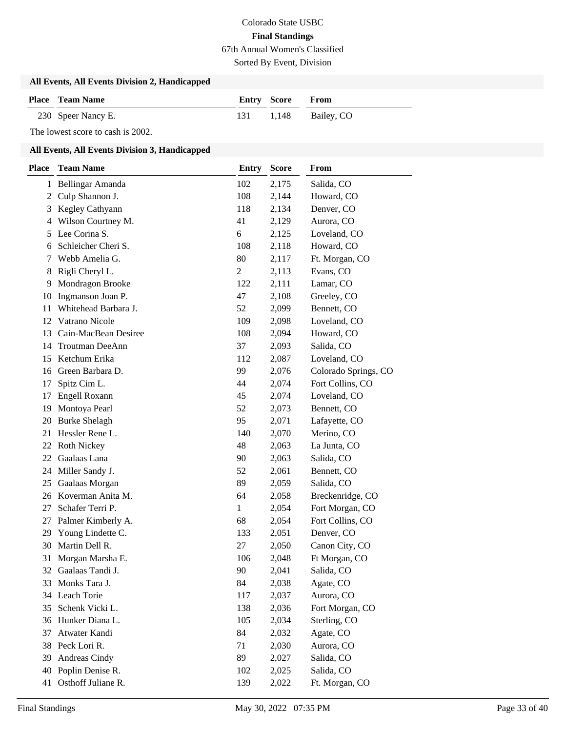Sorted By Event, Division

#### **All Events, All Events Division 2, Handicapped**

| <b>Place</b> Team Name | <b>Entry Score From</b> |                      |
|------------------------|-------------------------|----------------------|
| 230 Speer Nancy E.     |                         | 131 1,148 Bailey, CO |

The lowest score to cash is 2002.

| <b>Place</b> | <b>Team Name</b>       | <b>Entry</b> | <b>Score</b> | From                 |
|--------------|------------------------|--------------|--------------|----------------------|
|              | 1 Bellingar Amanda     | 102          | 2,175        | Salida, CO           |
| 2            | Culp Shannon J.        | 108          | 2,144        | Howard, CO           |
| 3            | Kegley Cathyann        | 118          | 2,134        | Denver, CO           |
| 4            | Wilson Courtney M.     | 41           | 2,129        | Aurora, CO           |
| 5            | Lee Corina S.          | 6            | 2,125        | Loveland, CO         |
| 6            | Schleicher Cheri S.    | 108          | 2,118        | Howard, CO           |
| 7            | Webb Amelia G.         | 80           | 2,117        | Ft. Morgan, CO       |
| 8            | Rigli Cheryl L.        | 2            | 2,113        | Evans, CO            |
| 9            | Mondragon Brooke       | 122          | 2,111        | Lamar, CO            |
| 10           | Ingmanson Joan P.      | 47           | 2,108        | Greeley, CO          |
| 11           | Whitehead Barbara J.   | 52           | 2,099        | Bennett, CO          |
| 12           | Vatrano Nicole         | 109          | 2,098        | Loveland, CO         |
| 13           | Cain-MacBean Desiree   | 108          | 2,094        | Howard, CO           |
| 14           | <b>Troutman DeeAnn</b> | 37           | 2,093        | Salida, CO           |
| 15           | Ketchum Erika          | 112          | 2,087        | Loveland, CO         |
| 16           | Green Barbara D.       | 99           | 2,076        | Colorado Springs, CO |
| 17           | Spitz Cim L.           | 44           | 2,074        | Fort Collins, CO     |
| 17           | Engell Roxann          | 45           | 2,074        | Loveland, CO         |
| 19           | Montoya Pearl          | 52           | 2,073        | Bennett, CO          |
| 20           | <b>Burke Shelagh</b>   | 95           | 2,071        | Lafayette, CO        |
| 21           | Hessler Rene L.        | 140          | 2,070        | Merino, CO           |
| 22           | <b>Roth Nickey</b>     | 48           | 2,063        | La Junta, CO         |
| 22           | Gaalaas Lana           | 90           | 2,063        | Salida, CO           |
| 24           | Miller Sandy J.        | 52           | 2,061        | Bennett, CO          |
| 25           | Gaalaas Morgan         | 89           | 2,059        | Salida, CO           |
| 26           | Koverman Anita M.      | 64           | 2,058        | Breckenridge, CO     |
| 27           | Schafer Terri P.       | 1            | 2,054        | Fort Morgan, CO      |
| 27           | Palmer Kimberly A.     | 68           | 2,054        | Fort Collins, CO     |
| 29           | Young Lindette C.      | 133          | 2,051        | Denver, CO           |
| 30           | Martin Dell R.         | 27           | 2,050        | Canon City, CO       |
| 31           | Morgan Marsha E.       | 106          | 2,048        | Ft Morgan, CO        |
| 32           | Gaalaas Tandi J.       | 90           | 2,041        | Salida, CO           |
| 33           | Monks Tara J.          | 84           | 2,038        | Agate, CO            |
| 34           | Leach Torie            | 117          | 2,037        | Aurora, CO           |
| 35           | Schenk Vicki L.        | 138          | 2,036        | Fort Morgan, CO      |
| 36           | Hunker Diana L.        | 105          | 2,034        | Sterling, CO         |
| 37           | Atwater Kandi          | 84           | 2,032        | Agate, CO            |
|              | 38 Peck Lori R.        | 71           | 2,030        | Aurora, CO           |
| 39           | Andreas Cindy          | 89           | 2,027        | Salida, CO           |
| 40           | Poplin Denise R.       | 102          | 2,025        | Salida, CO           |
| 41           | Osthoff Juliane R.     | 139          | 2,022        | Ft. Morgan, CO       |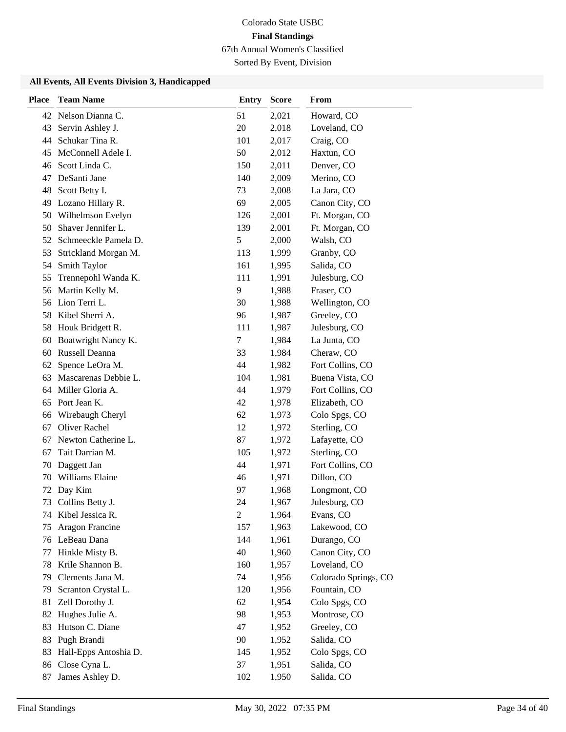Sorted By Event, Division

| <b>Place</b> | <b>Team Name</b>        | <b>Entry</b>   | <b>Score</b> | From                 |
|--------------|-------------------------|----------------|--------------|----------------------|
|              | 42 Nelson Dianna C.     | 51             | 2,021        | Howard, CO           |
| 43           | Servin Ashley J.        | 20             | 2,018        | Loveland, CO         |
| 44           | Schukar Tina R.         | 101            | 2,017        | Craig, CO            |
| 45           | McConnell Adele I.      | 50             | 2,012        | Haxtun, CO           |
| 46           | Scott Linda C.          | 150            | 2,011        | Denver, CO           |
| 47           | DeSanti Jane            | 140            | 2,009        | Merino, CO           |
| 48           | Scott Betty I.          | 73             | 2,008        | La Jara, CO          |
| 49           | Lozano Hillary R.       | 69             | 2,005        | Canon City, CO       |
| 50           | Wilhelmson Evelyn       | 126            | 2,001        | Ft. Morgan, CO       |
| 50           | Shaver Jennifer L.      | 139            | 2,001        | Ft. Morgan, CO       |
|              | 52 Schmeeckle Pamela D. | 5              | 2,000        | Walsh, CO            |
| 53           | Strickland Morgan M.    | 113            | 1,999        | Granby, CO           |
| 54           | Smith Taylor            | 161            | 1,995        | Salida, CO           |
| 55           | Trennepohl Wanda K.     | 111            | 1,991        | Julesburg, CO        |
| 56           | Martin Kelly M.         | 9              | 1,988        | Fraser, CO           |
| 56           | Lion Terri L.           | 30             | 1,988        | Wellington, CO       |
| 58           | Kibel Sherri A.         | 96             | 1,987        | Greeley, CO          |
| 58           | Houk Bridgett R.        | 111            | 1,987        | Julesburg, CO        |
| 60           | Boatwright Nancy K.     | 7              | 1,984        | La Junta, CO         |
| 60           | Russell Deanna          | 33             | 1,984        | Cheraw, CO           |
| 62           | Spence LeOra M.         | 44             | 1,982        | Fort Collins, CO     |
| 63           | Mascarenas Debbie L.    | 104            | 1,981        | Buena Vista, CO      |
|              | 64 Miller Gloria A.     | 44             | 1,979        | Fort Collins, CO     |
| 65           | Port Jean K.            | 42             | 1,978        | Elizabeth, CO        |
| 66           | Wirebaugh Cheryl        | 62             | 1,973        | Colo Spgs, CO        |
| 67           | <b>Oliver Rachel</b>    | 12             | 1,972        | Sterling, CO         |
| 67           | Newton Catherine L.     | 87             | 1,972        | Lafayette, CO        |
| 67           | Tait Darrian M.         | 105            | 1,972        | Sterling, CO         |
| 70           | Daggett Jan             | 44             | 1,971        | Fort Collins, CO     |
| 70           | Williams Elaine         | 46             | 1,971        | Dillon, CO           |
| 72           | Day Kim                 | 97             | 1,968        | Longmont, CO         |
| 73           | Collins Betty J.        | 24             | 1,967        | Julesburg, CO        |
|              | 74 Kibel Jessica R.     | $\mathfrak{2}$ | 1,964        | Evans, CO            |
| 75           | Aragon Francine         | 157            | 1,963        | Lakewood, CO         |
|              | 76 LeBeau Dana          | 144            | 1,961        | Durango, CO          |
| 77           | Hinkle Misty B.         | 40             | 1,960        | Canon City, CO       |
| 78           | Krile Shannon B.        | 160            | 1,957        | Loveland, CO         |
| 79           | Clements Jana M.        | 74             | 1,956        | Colorado Springs, CO |
| 79           | Scranton Crystal L.     | 120            | 1,956        | Fountain, CO         |
| 81           | Zell Dorothy J.         | 62             | 1,954        | Colo Spgs, CO        |
| 82           | Hughes Julie A.         | 98             | 1,953        | Montrose, CO         |
| 83           | Hutson C. Diane         | 47             | 1,952        | Greeley, CO          |
| 83           | Pugh Brandi             | 90             | 1,952        | Salida, CO           |
| 83           | Hall-Epps Antoshia D.   | 145            | 1,952        | Colo Spgs, CO        |
| 86           | Close Cyna L.           | 37             | 1,951        | Salida, CO           |
| 87           | James Ashley D.         | 102            | 1,950        | Salida, CO           |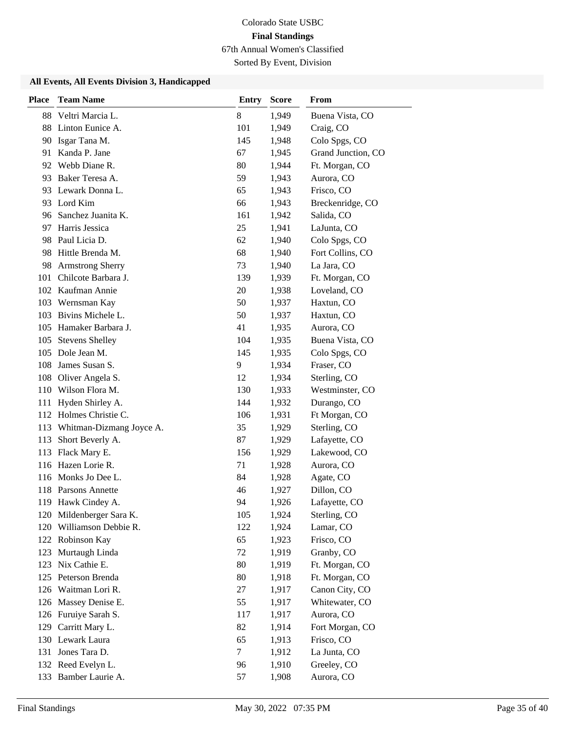Sorted By Event, Division

| <b>Place</b> | <b>Team Name</b>                                     | <b>Entry</b> | <b>Score</b>   | <b>From</b>              |
|--------------|------------------------------------------------------|--------------|----------------|--------------------------|
|              | 88 Veltri Marcia L.                                  | 8            | 1,949          | Buena Vista, CO          |
| 88           | Linton Eunice A.                                     | 101          | 1,949          | Craig, CO                |
| 90           | Isgar Tana M.                                        | 145          | 1,948          | Colo Spgs, CO            |
| 91           | Kanda P. Jane                                        | 67           | 1,945          | Grand Junction, CO       |
| 92           | Webb Diane R.                                        | 80           | 1,944          | Ft. Morgan, CO           |
|              | 93 Baker Teresa A.                                   | 59           | 1,943          | Aurora, CO               |
|              | 93 Lewark Donna L.                                   | 65           | 1,943          | Frisco, CO               |
|              | 93 Lord Kim                                          | 66           | 1,943          | Breckenridge, CO         |
| 96           | Sanchez Juanita K.                                   | 161          | 1,942          | Salida, CO               |
| 97           | Harris Jessica                                       | 25           | 1,941          | LaJunta, CO              |
|              | 98 Paul Licia D.                                     | 62           | 1,940          | Colo Spgs, CO            |
| 98           | Hittle Brenda M.                                     | 68           | 1,940          | Fort Collins, CO         |
| 98           | <b>Armstrong Sherry</b>                              | 73           | 1,940          | La Jara, CO              |
| 101          | Chilcote Barbara J.                                  | 139          | 1,939          | Ft. Morgan, CO           |
|              | 102 Kaufman Annie                                    | 20           | 1,938          | Loveland, CO             |
| 103          | Wernsman Kay                                         | 50           | 1,937          | Haxtun, CO               |
| 103          | Bivins Michele L.                                    | 50           | 1,937          | Haxtun, CO               |
|              | 105 Hamaker Barbara J.                               | 41           | 1,935          | Aurora, CO               |
| 105          | <b>Stevens Shelley</b>                               | 104          | 1,935          | Buena Vista, CO          |
|              | 105 Dole Jean M.                                     | 145          | 1,935          | Colo Spgs, CO            |
| 108          | James Susan S.                                       | 9            | 1,934          | Fraser, CO               |
|              | 108 Oliver Angela S.                                 | 12           | 1,934          | Sterling, CO             |
|              | 110 Wilson Flora M.                                  | 130          | 1,933          | Westminster, CO          |
| 111          | Hyden Shirley A.                                     | 144          | 1,932          | Durango, CO              |
|              | 112 Holmes Christie C.                               | 106          | 1,931          | Ft Morgan, CO            |
| 113          | Whitman-Dizmang Joyce A.                             | 35           | 1,929          | Sterling, CO             |
| 113          | Short Beverly A.                                     | 87           | 1,929          | Lafayette, CO            |
| 113          | Flack Mary E.                                        | 156          | 1,929          | Lakewood, CO             |
|              | 116 Hazen Lorie R.                                   | 71           | 1,928          | Aurora, CO               |
|              | 116 Monks Jo Dee L.                                  | 84           | 1,928          | Agate, CO                |
|              | 118 Parsons Annette                                  | 46           | 1,927          | Dillon, CO               |
| 119          | Hawk Cindey A.                                       | 94           | 1,926          | Lafayette, CO            |
|              | 120 Mildenberger Sara K.<br>120 Williamson Debbie R. | 105          | 1,924          | Sterling, CO             |
|              |                                                      | 122<br>65    | 1,924          | Lamar, CO                |
| 123          | 122 Robinson Kay<br>Murtaugh Linda                   | 72           | 1,923<br>1,919 | Frisco, CO<br>Granby, CO |
| 123          | Nix Cathie E.                                        | 80           | 1,919          | Ft. Morgan, CO           |
| 125          | Peterson Brenda                                      | 80           | 1,918          | Ft. Morgan, CO           |
|              | 126 Waitman Lori R.                                  | 27           | 1,917          | Canon City, CO           |
| 126          | Massey Denise E.                                     | 55           | 1,917          | Whitewater, CO           |
| 126          | Furuiye Sarah S.                                     | 117          | 1,917          | Aurora, CO               |
| 129          | Carritt Mary L.                                      | 82           | 1,914          | Fort Morgan, CO          |
|              | 130 Lewark Laura                                     | 65           | 1,913          | Frisco, CO               |
| 131          | Jones Tara D.                                        | 7            | 1,912          | La Junta, CO             |
|              | 132 Reed Evelyn L.                                   | 96           | 1,910          | Greeley, CO              |
| 133          | Bamber Laurie A.                                     | 57           | 1,908          | Aurora, CO               |
|              |                                                      |              |                |                          |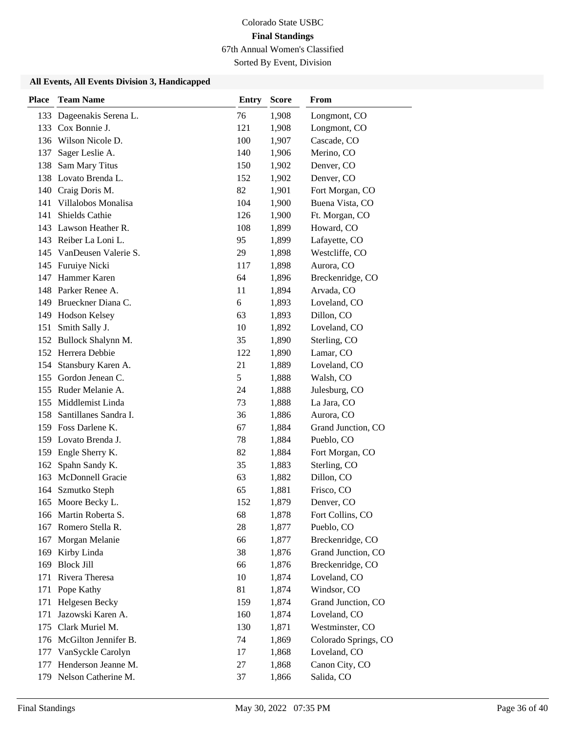Sorted By Event, Division

| <b>Place</b> | <b>Team Name</b>       | <b>Entry</b> | <b>Score</b> | From                 |
|--------------|------------------------|--------------|--------------|----------------------|
| 133          | Dageenakis Serena L.   | 76           | 1,908        | Longmont, CO         |
| 133          | Cox Bonnie J.          | 121          | 1,908        | Longmont, CO         |
|              | 136 Wilson Nicole D.   | 100          | 1,907        | Cascade, CO          |
| 137          | Sager Leslie A.        | 140          | 1,906        | Merino, CO           |
| 138          | Sam Mary Titus         | 150          | 1,902        | Denver, CO           |
| 138          | Lovato Brenda L.       | 152          | 1,902        | Denver, CO           |
|              | 140 Craig Doris M.     | 82           | 1,901        | Fort Morgan, CO      |
| 141          | Villalobos Monalisa    | 104          | 1,900        | Buena Vista, CO      |
| 141          | Shields Cathie         | 126          | 1,900        | Ft. Morgan, CO       |
| 143          | Lawson Heather R.      | 108          | 1,899        | Howard, CO           |
|              | 143 Reiber La Loni L.  | 95           | 1,899        | Lafayette, CO        |
| 145          | VanDeusen Valerie S.   | 29           | 1,898        | Westcliffe, CO       |
| 145          | Furuiye Nicki          | 117          | 1,898        | Aurora, CO           |
| 147          | Hammer Karen           | 64           | 1,896        | Breckenridge, CO     |
| 148          | Parker Renee A.        | 11           | 1,894        | Arvada, CO           |
| 149          | Brueckner Diana C.     | 6            | 1,893        | Loveland, CO         |
|              | 149 Hodson Kelsey      | 63           | 1,893        | Dillon, CO           |
| 151          | Smith Sally J.         | 10           | 1,892        | Loveland, CO         |
|              | 152 Bullock Shalynn M. | 35           | 1,890        | Sterling, CO         |
|              | 152 Herrera Debbie     | 122          | 1,890        | Lamar, CO            |
| 154          | Stansbury Karen A.     | 21           | 1,889        | Loveland, CO         |
| 155          | Gordon Jenean C.       | 5            | 1,888        | Walsh, CO            |
|              | 155 Ruder Melanie A.   | 24           | 1,888        | Julesburg, CO        |
| 155          | Middlemist Linda       | 73           | 1,888        | La Jara, CO          |
| 158          | Santillanes Sandra I.  | 36           | 1,886        | Aurora, CO           |
|              | 159 Foss Darlene K.    | 67           | 1,884        | Grand Junction, CO   |
|              | 159 Lovato Brenda J.   | 78           | 1,884        | Pueblo, CO           |
| 159          | Engle Sherry K.        | 82           | 1,884        | Fort Morgan, CO      |
| 162          | Spahn Sandy K.         | 35           | 1,883        | Sterling, CO         |
| 163          | McDonnell Gracie       | 63           | 1,882        | Dillon, CO           |
| 164          | Szmutko Steph          | 65           | 1,881        | Frisco, CO           |
|              | 165 Moore Becky L.     | 152          | 1,879        | Denver, CO           |
|              | 166 Martin Roberta S.  | 68           | 1,878        | Fort Collins, CO     |
| 167          | Romero Stella R.       | 28           | 1,877        | Pueblo, CO           |
| 167          | Morgan Melanie         | 66           | 1,877        | Breckenridge, CO     |
| 169          | Kirby Linda            | 38           | 1,876        | Grand Junction, CO   |
| 169          | <b>Block Jill</b>      | 66           | 1,876        | Breckenridge, CO     |
| 171          | Rivera Theresa         | 10           | 1,874        | Loveland, CO         |
| 171          | Pope Kathy             | 81           | 1,874        | Windsor, CO          |
| 171          | Helgesen Becky         | 159          | 1,874        | Grand Junction, CO   |
| 171          | Jazowski Karen A.      | 160          | 1,874        | Loveland, CO         |
| 175          | Clark Muriel M.        | 130          | 1,871        | Westminster, CO      |
| 176          | McGilton Jennifer B.   | 74           | 1,869        | Colorado Springs, CO |
| 177          | VanSyckle Carolyn      | 17           | 1,868        | Loveland, CO         |
| 177          | Henderson Jeanne M.    | 27           | 1,868        | Canon City, CO       |
| 179          | Nelson Catherine M.    | 37           | 1,866        | Salida, CO           |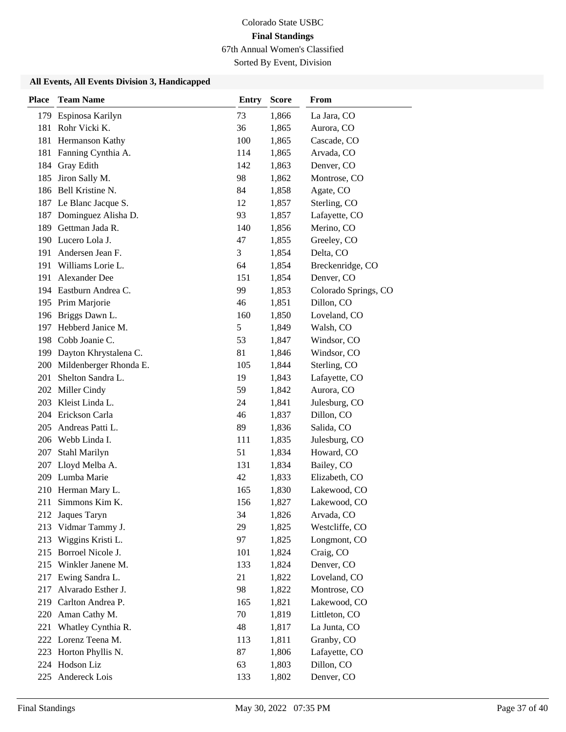Sorted By Event, Division

| <b>Place</b> | <b>Team Name</b>           | <b>Entry</b> | <b>Score</b> | From                 |
|--------------|----------------------------|--------------|--------------|----------------------|
| 179          | Espinosa Karilyn           | 73           | 1,866        | La Jara, CO          |
|              | 181 Rohr Vicki K.          | 36           | 1,865        | Aurora, CO           |
|              | 181 Hermanson Kathy        | 100          | 1,865        | Cascade, CO          |
| 181          | Fanning Cynthia A.         | 114          | 1,865        | Arvada, CO           |
| 184          | Gray Edith                 | 142          | 1,863        | Denver, CO           |
| 185          | Jiron Sally M.             | 98           | 1,862        | Montrose, CO         |
|              | 186 Bell Kristine N.       | 84           | 1,858        | Agate, CO            |
|              | 187 Le Blanc Jacque S.     | 12           | 1,857        | Sterling, CO         |
| 187          | Dominguez Alisha D.        | 93           | 1,857        | Lafayette, CO        |
| 189          | Gettman Jada R.            | 140          | 1,856        | Merino, CO           |
|              | 190 Lucero Lola J.         | 47           | 1,855        | Greeley, CO          |
| 191          | Andersen Jean F.           | 3            | 1,854        | Delta, CO            |
|              | 191 Williams Lorie L.      | 64           | 1,854        | Breckenridge, CO     |
|              | 191 Alexander Dee          | 151          | 1,854        | Denver, CO           |
|              | 194 Eastburn Andrea C.     | 99           | 1,853        | Colorado Springs, CO |
|              | 195 Prim Marjorie          | 46           | 1,851        | Dillon, CO           |
|              | 196 Briggs Dawn L.         | 160          | 1,850        | Loveland, CO         |
| 197          | Hebberd Janice M.          | 5            | 1,849        | Walsh, CO            |
|              | 198 Cobb Joanie C.         | 53           | 1,847        | Windsor, CO          |
|              | 199 Dayton Khrystalena C.  | 81           | 1,846        | Windsor, CO          |
|              | 200 Mildenberger Rhonda E. | 105          | 1,844        | Sterling, CO         |
| 201          | Shelton Sandra L.          | 19           | 1,843        | Lafayette, CO        |
|              | 202 Miller Cindy           | 59           | 1,842        | Aurora, CO           |
|              | 203 Kleist Linda L.        | 24           | 1,841        | Julesburg, CO        |
| 204          | Erickson Carla             | 46           | 1,837        | Dillon, CO           |
| 205          | Andreas Patti L.           | 89           | 1,836        | Salida, CO           |
|              | 206 Webb Linda I.          | 111          | 1,835        | Julesburg, CO        |
| 207          | Stahl Marilyn              | 51           | 1,834        | Howard, CO           |
| 207          | Lloyd Melba A.             | 131          | 1,834        | Bailey, CO           |
|              | 209 Lumba Marie            | 42           | 1,833        | Elizabeth, CO        |
|              | 210 Herman Mary L.         | 165          | 1,830        | Lakewood, CO         |
| 211          | Simmons Kim K.             | 156          | 1,827        | Lakewood, CO         |
| 212          | Jaques Taryn               | 34           | 1,826        | Arvada, CO           |
| 213          | Vidmar Tammy J.            | 29           | 1,825        | Westcliffe, CO       |
| 213          | Wiggins Kristi L.          | 97           | 1,825        | Longmont, CO         |
| 215          | Borroel Nicole J.          | 101          | 1,824        | Craig, CO            |
| 215          | Winkler Janene M.          | 133          | 1,824        | Denver, CO           |
| 217          | Ewing Sandra L.            | 21           | 1,822        | Loveland, CO         |
| 217          | Alvarado Esther J.         | 98           | 1,822        | Montrose, CO         |
| 219          | Carlton Andrea P.          | 165          | 1,821        | Lakewood, CO         |
| 220          | Aman Cathy M.              | 70           | 1,819        | Littleton, CO        |
| 221          | Whatley Cynthia R.         | 48           | 1,817        | La Junta, CO         |
|              | 222 Lorenz Teena M.        | 113          | 1,811        | Granby, CO           |
| 223          | Horton Phyllis N.          | 87           | 1,806        | Lafayette, CO        |
| 224          | Hodson Liz                 | 63           | 1,803        | Dillon, CO           |
| 225          | Andereck Lois              | 133          | 1,802        | Denver, CO           |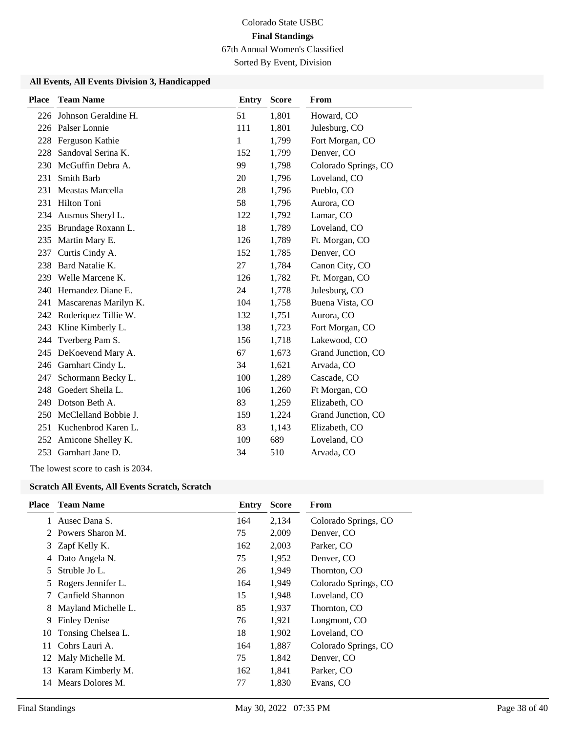Sorted By Event, Division

#### **All Events, All Events Division 3, Handicapped**

| <b>Place</b> | <b>Team Name</b>         | <b>Entry</b> | <b>Score</b> | <b>From</b>          |
|--------------|--------------------------|--------------|--------------|----------------------|
|              | 226 Johnson Geraldine H. | 51           | 1,801        | Howard, CO           |
|              | 226 Palser Lonnie        | 111          | 1,801        | Julesburg, CO        |
| 228          | Ferguson Kathie          | $\mathbf{1}$ | 1,799        | Fort Morgan, CO      |
| 228          | Sandoval Serina K.       | 152          | 1,799        | Denver, CO           |
| 230          | McGuffin Debra A.        | 99           | 1,798        | Colorado Springs, CO |
| 231          | <b>Smith Barb</b>        | 20           | 1,796        | Loveland, CO         |
| 231          | Meastas Marcella         | 28           | 1,796        | Pueblo, CO           |
|              | 231 Hilton Toni          | 58           | 1,796        | Aurora, CO           |
|              | 234 Ausmus Sheryl L.     | 122          | 1,792        | Lamar, CO            |
| 235          | Brundage Roxann L.       | 18           | 1,789        | Loveland, CO         |
| 235          | Martin Mary E.           | 126          | 1,789        | Ft. Morgan, CO       |
| 237          | Curtis Cindy A.          | 152          | 1,785        | Denver, CO           |
| 238          | Bard Natalie K.          | 27           | 1,784        | Canon City, CO       |
| 239          | Welle Marcene K.         | 126          | 1,782        | Ft. Morgan, CO       |
| 240          | Hernandez Diane E.       | 24           | 1,778        | Julesburg, CO        |
| 241          | Mascarenas Marilyn K.    | 104          | 1,758        | Buena Vista, CO      |
| 242          | Roderiquez Tillie W.     | 132          | 1,751        | Aurora, CO           |
| 243          | Kline Kimberly L.        | 138          | 1,723        | Fort Morgan, CO      |
| 244          | Tverberg Pam S.          | 156          | 1,718        | Lakewood, CO         |
| 245          | DeKoevend Mary A.        | 67           | 1,673        | Grand Junction, CO   |
| 246          | Garnhart Cindy L.        | 34           | 1,621        | Arvada, CO           |
| 247          | Schormann Becky L.       | 100          | 1,289        | Cascade, CO          |
| 248          | Goedert Sheila L.        | 106          | 1,260        | Ft Morgan, CO        |
| 249          | Dotson Beth A.           | 83           | 1,259        | Elizabeth, CO        |
| 250          | McClelland Bobbie J.     | 159          | 1,224        | Grand Junction, CO   |
| 251          | Kuchenbrod Karen L.      | 83           | 1,143        | Elizabeth, CO        |
| 252          | Amicone Shelley K.       | 109          | 689          | Loveland, CO         |
|              | 253 Garnhart Jane D.     | 34           | 510          | Arvada, CO           |

The lowest score to cash is 2034.

#### **Scratch All Events, All Events Scratch, Scratch**

| <b>Place</b> | <b>Team Name</b>     | Entry | <b>Score</b> | From                 |
|--------------|----------------------|-------|--------------|----------------------|
| 1            | Ausec Dana S.        | 164   | 2,134        | Colorado Springs, CO |
|              | 2 Powers Sharon M.   | 75    | 2,009        | Denver, CO           |
| 3            | Zapf Kelly K.        | 162   | 2,003        | Parker, CO           |
|              | Dato Angela N.       | 75    | 1,952        | Denver, CO           |
| 5.           | Struble Jo L.        | 26    | 1,949        | Thornton, CO         |
|              | Rogers Jennifer L.   | 164   | 1,949        | Colorado Springs, CO |
|              | Canfield Shannon     | 15    | 1,948        | Loveland, CO         |
| 8            | Mayland Michelle L.  | 85    | 1,937        | Thornton, CO         |
| 9            | <b>Finley Denise</b> | 76    | 1,921        | Longmont, CO         |
| 10           | Tonsing Chelsea L.   | 18    | 1,902        | Loveland, CO         |
| 11           | Cohrs Lauri A.       | 164   | 1,887        | Colorado Springs, CO |
| 12           | Maly Michelle M.     | 75    | 1,842        | Denver, CO           |
| 13           | Karam Kimberly M.    | 162   | 1,841        | Parker, CO           |
| 14           | Mears Dolores M.     | 77    | 1,830        | Evans, CO            |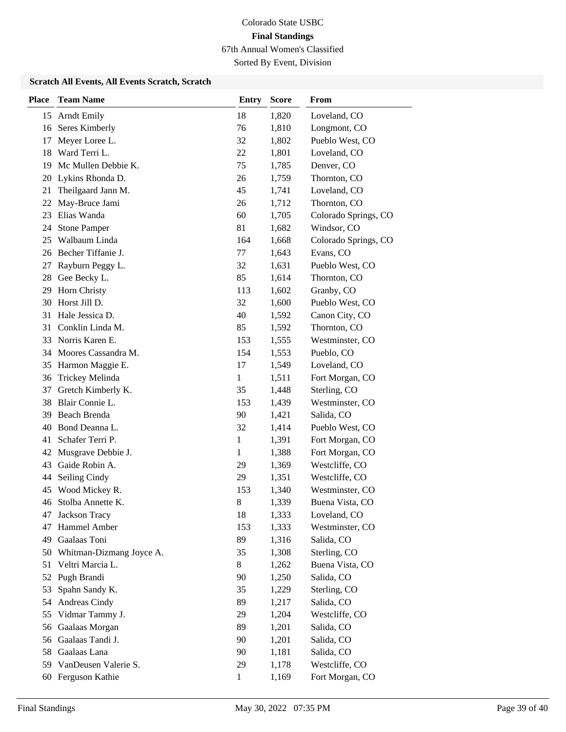Sorted By Event, Division

#### **Scratch All Events, All Events Scratch, Scratch**

| <b>Place</b> | <b>Team Name</b>         | <b>Entry</b> | <b>Score</b> | From                 |
|--------------|--------------------------|--------------|--------------|----------------------|
| 15           | <b>Arndt Emily</b>       | 18           | 1,820        | Loveland, CO         |
| 16           | Seres Kimberly           | 76           | 1,810        | Longmont, CO         |
| 17           | Meyer Loree L.           | 32           | 1,802        | Pueblo West, CO      |
| 18           | Ward Terri L.            | 22           | 1,801        | Loveland, CO         |
| 19           | Mc Mullen Debbie K.      | 75           | 1,785        | Denver, CO           |
| 20           | Lykins Rhonda D.         | 26           | 1,759        | Thornton, CO         |
| 21           | Theilgaard Jann M.       | 45           | 1,741        | Loveland, CO         |
| 22           | May-Bruce Jami           | 26           | 1,712        | Thornton, CO         |
| 23           | Elias Wanda              | 60           | 1,705        | Colorado Springs, CO |
| 24           | <b>Stone Pamper</b>      | 81           | 1,682        | Windsor, CO          |
| 25           | Walbaum Linda            | 164          | 1,668        | Colorado Springs, CO |
|              | 26 Becher Tiffanie J.    | 77           | 1,643        | Evans, CO            |
| 27           | Rayburn Peggy L.         | 32           | 1,631        | Pueblo West, CO      |
| 28           | Gee Becky L.             | 85           | 1,614        | Thornton, CO         |
| 29           | Horn Christy             | 113          | 1,602        | Granby, CO           |
| 30           | Horst Jill D.            | 32           | 1,600        | Pueblo West, CO      |
| 31           | Hale Jessica D.          | 40           | 1,592        | Canon City, CO       |
| 31           | Conklin Linda M.         | 85           | 1,592        | Thornton, CO         |
| 33           | Norris Karen E.          | 153          | 1,555        | Westminster, CO      |
| 34           | Moores Cassandra M.      | 154          | 1,553        | Pueblo, CO           |
| 35           | Harmon Maggie E.         | 17           | 1,549        | Loveland, CO         |
| 36           | Trickey Melinda          | $\mathbf{1}$ | 1,511        | Fort Morgan, CO      |
| 37           | Gretch Kimberly K.       | 35           | 1,448        | Sterling, CO         |
| 38           | Blair Connie L.          | 153          | 1,439        | Westminster, CO      |
| 39           | Beach Brenda             | 90           | 1,421        | Salida, CO           |
| 40           | Bond Deanna L.           | 32           | 1,414        | Pueblo West, CO      |
| 41           | Schafer Terri P.         | 1            | 1,391        | Fort Morgan, CO      |
| 42           | Musgrave Debbie J.       | 1            | 1,388        | Fort Morgan, CO      |
| 43           | Gaide Robin A.           | 29           | 1,369        | Westcliffe, CO       |
| 44           | Seiling Cindy            | 29           | 1,351        | Westcliffe, CO       |
| 45           | Wood Mickey R.           | 153          | 1,340        | Westminster, CO      |
| 46           | Stolba Annette K.        | 8            | 1,339        | Buena Vista, CO      |
| 47           | Jackson Tracy            | 18           | 1,333        | Loveland, CO         |
| 47           | Hammel Amber             | 153          | 1,333        | Westminster, CO      |
| 49           | Gaalaas Toni             | 89           | 1,316        | Salida, CO           |
| 50           | Whitman-Dizmang Joyce A. | 35           | 1,308        | Sterling, CO         |
| 51           | Veltri Marcia L.         | $8\,$        | 1,262        | Buena Vista, CO      |
| 52           | Pugh Brandi              | 90           | 1,250        | Salida, CO           |
| 53           | Spahn Sandy K.           | 35           | 1,229        | Sterling, CO         |
| 54           | Andreas Cindy            | 89           | 1,217        | Salida, CO           |
| 55           | Vidmar Tammy J.          | 29           | 1,204        | Westcliffe, CO       |
| 56           | Gaalaas Morgan           | 89           | 1,201        | Salida, CO           |
| 56           | Gaalaas Tandi J.         | 90           | 1,201        | Salida, CO           |
| 58           | Gaalaas Lana             | 90           | 1,181        | Salida, CO           |
| 59           | VanDeusen Valerie S.     | 29           | 1,178        | Westcliffe, CO       |
| 60           | Ferguson Kathie          | $\mathbf{1}$ | 1,169        | Fort Morgan, CO      |